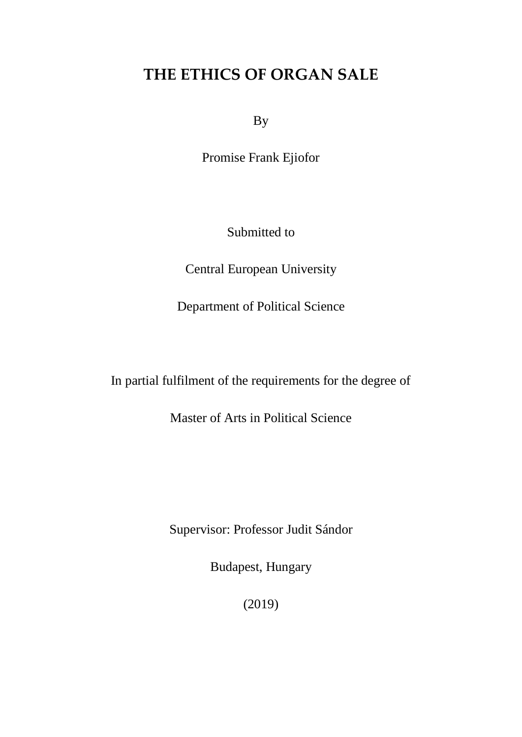# **THE ETHICS OF ORGAN SALE**

By

Promise Frank Ejiofor

Submitted to

Central European University

Department of Political Science

In partial fulfilment of the requirements for the degree of

Master of Arts in Political Science

Supervisor: Professor Judit Sándor

Budapest, Hungary

(2019)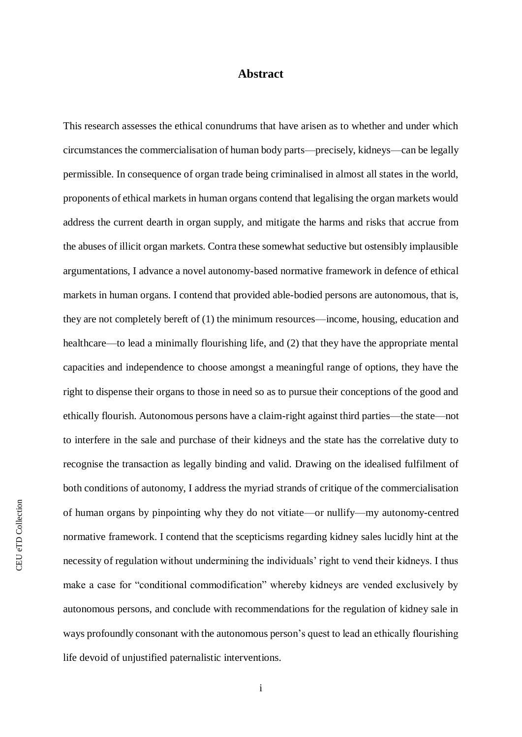## **Abstract**

This research assesses the ethical conundrums that have arisen as to whether and under which circumstances the commercialisation of human body parts—precisely, kidneys—can be legally permissible. In consequence of organ trade being criminalised in almost all states in the world, proponents of ethical markets in human organs contend that legalising the organ markets would address the current dearth in organ supply, and mitigate the harms and risks that accrue from the abuses of illicit organ markets. Contra these somewhat seductive but ostensibly implausible argumentations, I advance a novel autonomy-based normative framework in defence of ethical markets in human organs. I contend that provided able-bodied persons are autonomous, that is, they are not completely bereft of (1) the minimum resources—income, housing, education and healthcare—to lead a minimally flourishing life, and (2) that they have the appropriate mental capacities and independence to choose amongst a meaningful range of options, they have the right to dispense their organs to those in need so as to pursue their conceptions of the good and ethically flourish. Autonomous persons have a claim-right against third parties—the state—not to interfere in the sale and purchase of their kidneys and the state has the correlative duty to recognise the transaction as legally binding and valid. Drawing on the idealised fulfilment of both conditions of autonomy, I address the myriad strands of critique of the commercialisation of human organs by pinpointing why they do not vitiate—or nullify—my autonomy-centred normative framework. I contend that the scepticisms regarding kidney sales lucidly hint at the necessity of regulation without undermining the individuals' right to vend their kidneys. I thus make a case for "conditional commodification" whereby kidneys are vended exclusively by autonomous persons, and conclude with recommendations for the regulation of kidney sale in ways profoundly consonant with the autonomous person's quest to lead an ethically flourishing life devoid of unjustified paternalistic interventions.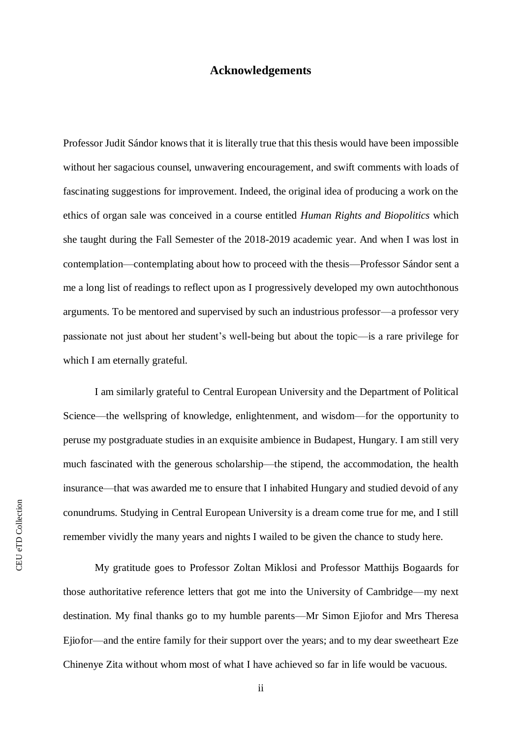### **Acknowledgements**

Professor Judit Sándor knows that it is literally true that this thesis would have been impossible without her sagacious counsel, unwavering encouragement, and swift comments with loads of fascinating suggestions for improvement. Indeed, the original idea of producing a work on the ethics of organ sale was conceived in a course entitled *Human Rights and Biopolitics* which she taught during the Fall Semester of the 2018-2019 academic year. And when I was lost in contemplation—contemplating about how to proceed with the thesis—Professor Sándor sent a me a long list of readings to reflect upon as I progressively developed my own autochthonous arguments. To be mentored and supervised by such an industrious professor—a professor very passionate not just about her student's well-being but about the topic—is a rare privilege for which I am eternally grateful.

I am similarly grateful to Central European University and the Department of Political Science—the wellspring of knowledge, enlightenment, and wisdom—for the opportunity to peruse my postgraduate studies in an exquisite ambience in Budapest, Hungary. I am still very much fascinated with the generous scholarship—the stipend, the accommodation, the health insurance—that was awarded me to ensure that I inhabited Hungary and studied devoid of any conundrums. Studying in Central European University is a dream come true for me, and I still remember vividly the many years and nights I wailed to be given the chance to study here.

My gratitude goes to Professor Zoltan Miklosi and Professor Matthijs Bogaards for those authoritative reference letters that got me into the University of Cambridge—my next destination. My final thanks go to my humble parents—Mr Simon Ejiofor and Mrs Theresa Ejiofor—and the entire family for their support over the years; and to my dear sweetheart Eze Chinenye Zita without whom most of what I have achieved so far in life would be vacuous.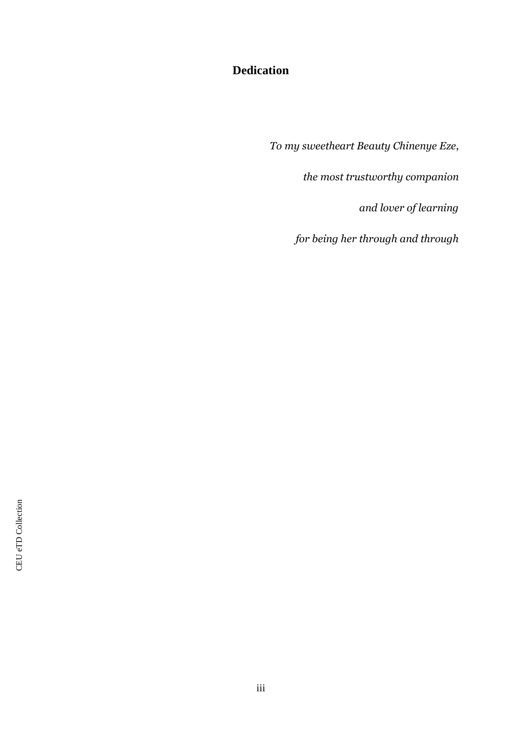# **Dedication**

*To my sweetheart Beauty Chinenye Eze*,

*the most trustworthy companion*

*and lover of learning*

*for being her through and through*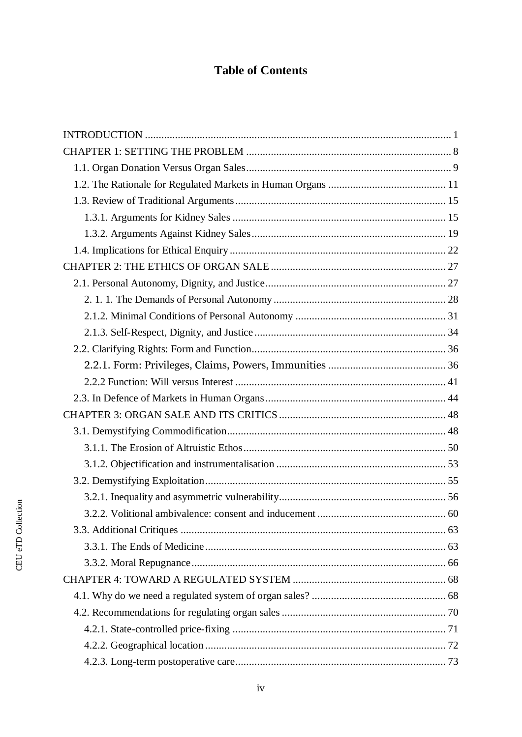# **Table of Contents**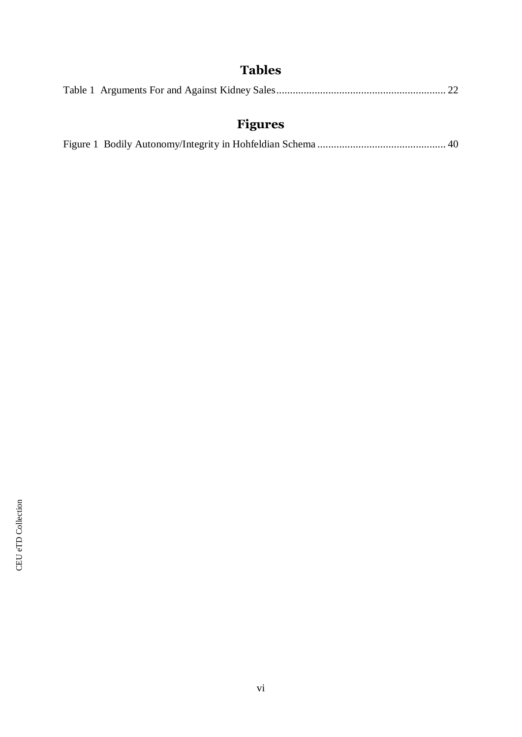# **Tables**

|--|--|--|--|--|--|

# **Figures**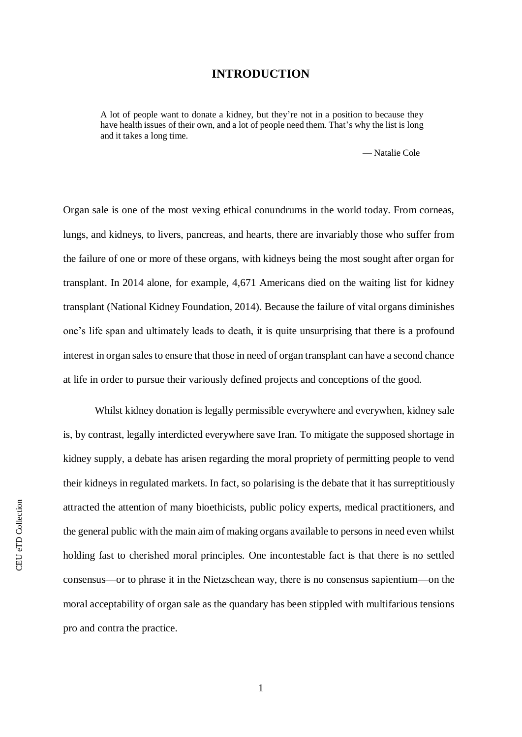## **INTRODUCTION**

<span id="page-7-0"></span>A lot of people want to donate a kidney, but they're not in a position to because they have health issues of their own, and a lot of people need them. That's why the list is long and it takes a long time.

— Natalie Cole

Organ sale is one of the most vexing ethical conundrums in the world today. From corneas, lungs, and kidneys, to livers, pancreas, and hearts, there are invariably those who suffer from the failure of one or more of these organs, with kidneys being the most sought after organ for transplant. In 2014 alone, for example, 4,671 Americans died on the waiting list for kidney transplant (National Kidney Foundation, 2014). Because the failure of vital organs diminishes one's life span and ultimately leads to death, it is quite unsurprising that there is a profound interest in organ sales to ensure that those in need of organ transplant can have a second chance at life in order to pursue their variously defined projects and conceptions of the good.

Whilst kidney donation is legally permissible everywhere and everywhen, kidney sale is, by contrast, legally interdicted everywhere save Iran. To mitigate the supposed shortage in kidney supply, a debate has arisen regarding the moral propriety of permitting people to vend their kidneys in regulated markets. In fact, so polarising is the debate that it has surreptitiously attracted the attention of many bioethicists, public policy experts, medical practitioners, and the general public with the main aim of making organs available to persons in need even whilst holding fast to cherished moral principles. One incontestable fact is that there is no settled consensus—or to phrase it in the Nietzschean way, there is no consensus sapientium—on the moral acceptability of organ sale as the quandary has been stippled with multifarious tensions pro and contra the practice.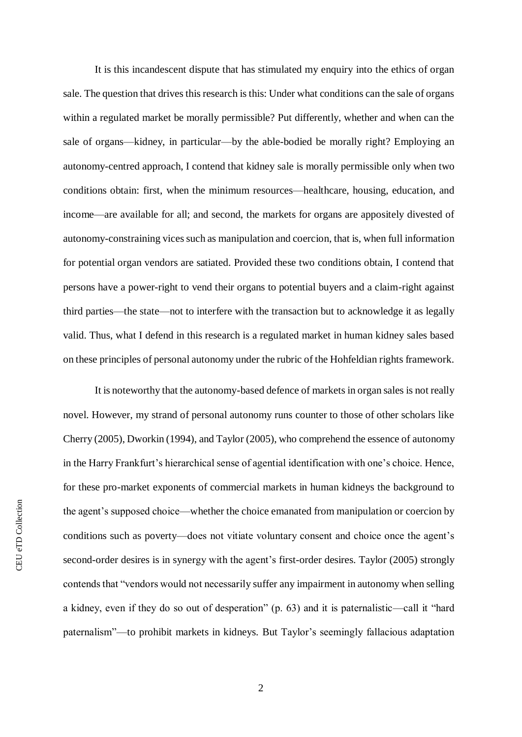It is this incandescent dispute that has stimulated my enquiry into the ethics of organ sale. The question that drives this research is this: Under what conditions can the sale of organs within a regulated market be morally permissible? Put differently, whether and when can the sale of organs—kidney, in particular—by the able-bodied be morally right? Employing an autonomy-centred approach, I contend that kidney sale is morally permissible only when two conditions obtain: first, when the minimum resources—healthcare, housing, education, and income—are available for all; and second, the markets for organs are appositely divested of autonomy-constraining vices such as manipulation and coercion, that is, when full information for potential organ vendors are satiated. Provided these two conditions obtain, I contend that persons have a power-right to vend their organs to potential buyers and a claim-right against third parties—the state—not to interfere with the transaction but to acknowledge it as legally valid. Thus, what I defend in this research is a regulated market in human kidney sales based on these principles of personal autonomy under the rubric of the Hohfeldian rights framework.

It is noteworthy that the autonomy-based defence of markets in organ sales is not really novel. However, my strand of personal autonomy runs counter to those of other scholars like Cherry (2005), Dworkin (1994), and Taylor (2005), who comprehend the essence of autonomy in the Harry Frankfurt's hierarchical sense of agential identification with one's choice. Hence, for these pro-market exponents of commercial markets in human kidneys the background to the agent's supposed choice—whether the choice emanated from manipulation or coercion by conditions such as poverty—does not vitiate voluntary consent and choice once the agent's second-order desires is in synergy with the agent's first-order desires. Taylor (2005) strongly contends that "vendors would not necessarily suffer any impairment in autonomy when selling a kidney, even if they do so out of desperation" (p. 63) and it is paternalistic—call it "hard paternalism"—to prohibit markets in kidneys. But Taylor's seemingly fallacious adaptation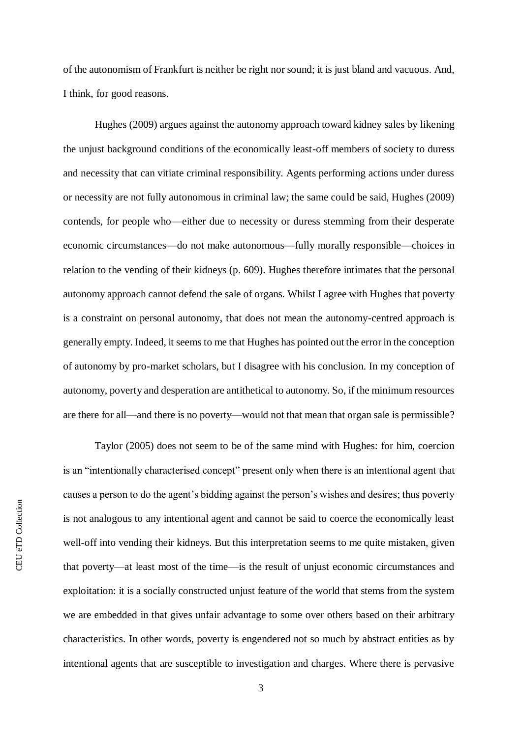of the autonomism of Frankfurt is neither be right nor sound; it is just bland and vacuous. And, I think, for good reasons.

Hughes (2009) argues against the autonomy approach toward kidney sales by likening the unjust background conditions of the economically least-off members of society to duress and necessity that can vitiate criminal responsibility. Agents performing actions under duress or necessity are not fully autonomous in criminal law; the same could be said, Hughes (2009) contends, for people who—either due to necessity or duress stemming from their desperate economic circumstances—do not make autonomous—fully morally responsible—choices in relation to the vending of their kidneys (p. 609). Hughes therefore intimates that the personal autonomy approach cannot defend the sale of organs. Whilst I agree with Hughes that poverty is a constraint on personal autonomy, that does not mean the autonomy-centred approach is generally empty. Indeed, it seems to me that Hughes has pointed out the error in the conception of autonomy by pro-market scholars, but I disagree with his conclusion. In my conception of autonomy, poverty and desperation are antithetical to autonomy. So, if the minimum resources are there for all—and there is no poverty—would not that mean that organ sale is permissible?

Taylor (2005) does not seem to be of the same mind with Hughes: for him, coercion is an "intentionally characterised concept" present only when there is an intentional agent that causes a person to do the agent's bidding against the person's wishes and desires; thus poverty is not analogous to any intentional agent and cannot be said to coerce the economically least well-off into vending their kidneys. But this interpretation seems to me quite mistaken, given that poverty—at least most of the time—is the result of unjust economic circumstances and exploitation: it is a socially constructed unjust feature of the world that stems from the system we are embedded in that gives unfair advantage to some over others based on their arbitrary characteristics. In other words, poverty is engendered not so much by abstract entities as by intentional agents that are susceptible to investigation and charges. Where there is pervasive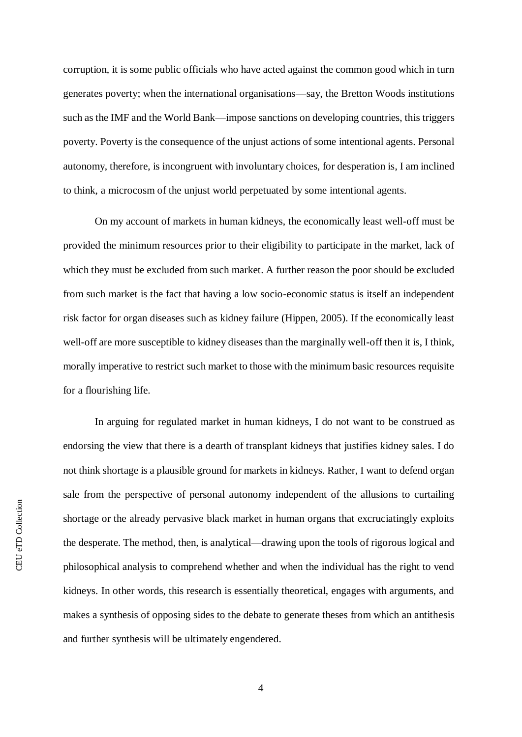corruption, it is some public officials who have acted against the common good which in turn generates poverty; when the international organisations—say, the Bretton Woods institutions such as the IMF and the World Bank—impose sanctions on developing countries, this triggers poverty. Poverty is the consequence of the unjust actions of some intentional agents. Personal autonomy, therefore, is incongruent with involuntary choices, for desperation is, I am inclined to think, a microcosm of the unjust world perpetuated by some intentional agents.

On my account of markets in human kidneys, the economically least well-off must be provided the minimum resources prior to their eligibility to participate in the market, lack of which they must be excluded from such market. A further reason the poor should be excluded from such market is the fact that having a low socio-economic status is itself an independent risk factor for organ diseases such as kidney failure (Hippen, 2005). If the economically least well-off are more susceptible to kidney diseases than the marginally well-off then it is, I think, morally imperative to restrict such market to those with the minimum basic resources requisite for a flourishing life.

In arguing for regulated market in human kidneys, I do not want to be construed as endorsing the view that there is a dearth of transplant kidneys that justifies kidney sales. I do not think shortage is a plausible ground for markets in kidneys. Rather, I want to defend organ sale from the perspective of personal autonomy independent of the allusions to curtailing shortage or the already pervasive black market in human organs that excruciatingly exploits the desperate. The method, then, is analytical—drawing upon the tools of rigorous logical and philosophical analysis to comprehend whether and when the individual has the right to vend kidneys. In other words, this research is essentially theoretical, engages with arguments, and makes a synthesis of opposing sides to the debate to generate theses from which an antithesis and further synthesis will be ultimately engendered.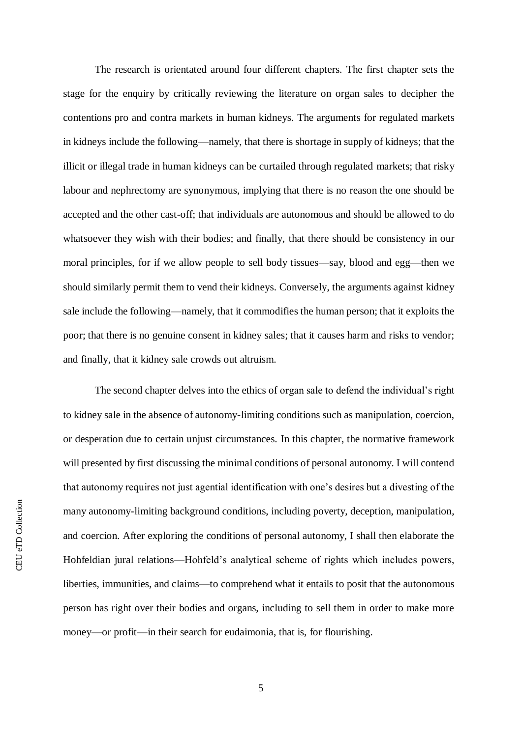The research is orientated around four different chapters. The first chapter sets the stage for the enquiry by critically reviewing the literature on organ sales to decipher the contentions pro and contra markets in human kidneys. The arguments for regulated markets in kidneys include the following—namely, that there is shortage in supply of kidneys; that the illicit or illegal trade in human kidneys can be curtailed through regulated markets; that risky labour and nephrectomy are synonymous, implying that there is no reason the one should be accepted and the other cast-off; that individuals are autonomous and should be allowed to do whatsoever they wish with their bodies; and finally, that there should be consistency in our moral principles, for if we allow people to sell body tissues—say, blood and egg—then we should similarly permit them to vend their kidneys. Conversely, the arguments against kidney sale include the following—namely, that it commodifies the human person; that it exploits the poor; that there is no genuine consent in kidney sales; that it causes harm and risks to vendor; and finally, that it kidney sale crowds out altruism.

The second chapter delves into the ethics of organ sale to defend the individual's right to kidney sale in the absence of autonomy-limiting conditions such as manipulation, coercion, or desperation due to certain unjust circumstances. In this chapter, the normative framework will presented by first discussing the minimal conditions of personal autonomy. I will contend that autonomy requires not just agential identification with one's desires but a divesting of the many autonomy-limiting background conditions, including poverty, deception, manipulation, and coercion. After exploring the conditions of personal autonomy, I shall then elaborate the Hohfeldian jural relations—Hohfeld's analytical scheme of rights which includes powers, liberties, immunities, and claims—to comprehend what it entails to posit that the autonomous person has right over their bodies and organs, including to sell them in order to make more money—or profit—in their search for eudaimonia, that is, for flourishing.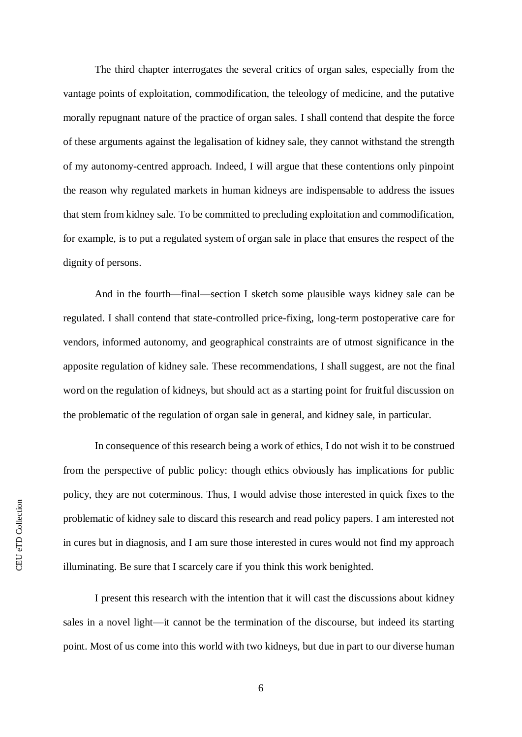The third chapter interrogates the several critics of organ sales, especially from the vantage points of exploitation, commodification, the teleology of medicine, and the putative morally repugnant nature of the practice of organ sales. I shall contend that despite the force of these arguments against the legalisation of kidney sale, they cannot withstand the strength of my autonomy-centred approach. Indeed, I will argue that these contentions only pinpoint the reason why regulated markets in human kidneys are indispensable to address the issues that stem from kidney sale. To be committed to precluding exploitation and commodification, for example, is to put a regulated system of organ sale in place that ensures the respect of the dignity of persons.

And in the fourth—final—section I sketch some plausible ways kidney sale can be regulated. I shall contend that state-controlled price-fixing, long-term postoperative care for vendors, informed autonomy, and geographical constraints are of utmost significance in the apposite regulation of kidney sale. These recommendations, I shall suggest, are not the final word on the regulation of kidneys, but should act as a starting point for fruitful discussion on the problematic of the regulation of organ sale in general, and kidney sale, in particular.

In consequence of this research being a work of ethics, I do not wish it to be construed from the perspective of public policy: though ethics obviously has implications for public policy, they are not coterminous. Thus, I would advise those interested in quick fixes to the problematic of kidney sale to discard this research and read policy papers. I am interested not in cures but in diagnosis, and I am sure those interested in cures would not find my approach illuminating. Be sure that I scarcely care if you think this work benighted.

I present this research with the intention that it will cast the discussions about kidney sales in a novel light—it cannot be the termination of the discourse, but indeed its starting point. Most of us come into this world with two kidneys, but due in part to our diverse human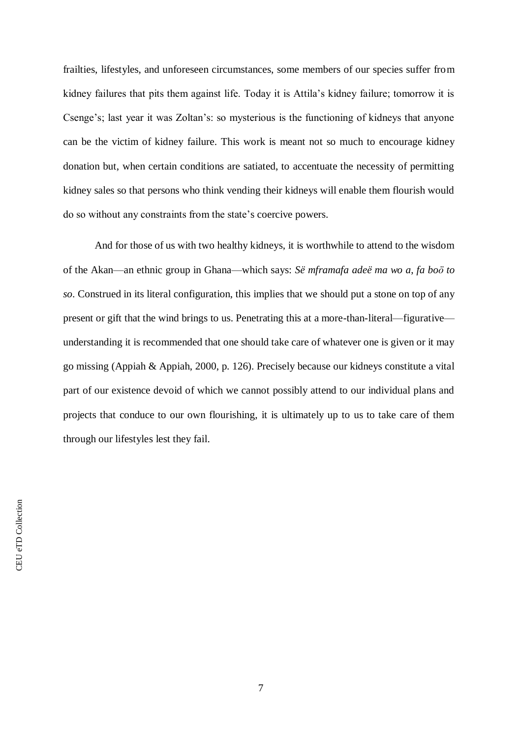frailties, lifestyles, and unforeseen circumstances, some members of our species suffer from kidney failures that pits them against life. Today it is Attila's kidney failure; tomorrow it is Csenge's; last year it was Zoltan's: so mysterious is the functioning of kidneys that anyone can be the victim of kidney failure. This work is meant not so much to encourage kidney donation but, when certain conditions are satiated, to accentuate the necessity of permitting kidney sales so that persons who think vending their kidneys will enable them flourish would do so without any constraints from the state's coercive powers.

And for those of us with two healthy kidneys, it is worthwhile to attend to the wisdom of the Akan—an ethnic group in Ghana—which says: *Së mframafa adeë ma wo a*, *fa boӧ to so*. Construed in its literal configuration, this implies that we should put a stone on top of any present or gift that the wind brings to us. Penetrating this at a more-than-literal—figurative understanding it is recommended that one should take care of whatever one is given or it may go missing (Appiah & Appiah, 2000, p. 126). Precisely because our kidneys constitute a vital part of our existence devoid of which we cannot possibly attend to our individual plans and projects that conduce to our own flourishing, it is ultimately up to us to take care of them through our lifestyles lest they fail.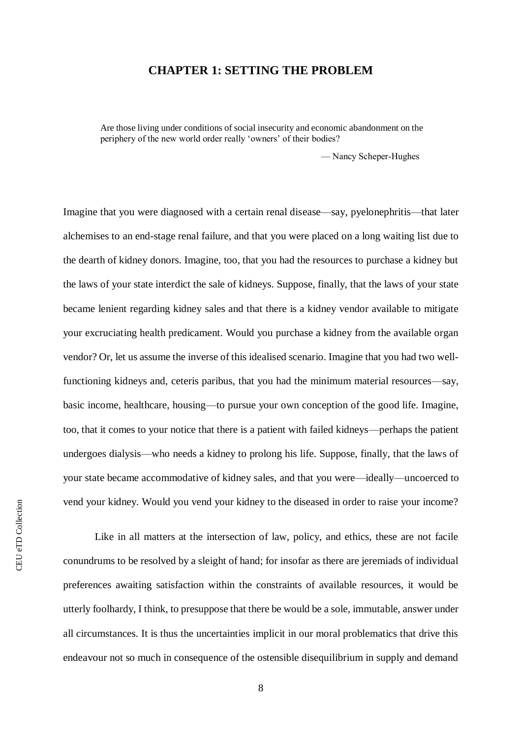## **CHAPTER 1: SETTING THE PROBLEM**

<span id="page-14-0"></span>Are those living under conditions of social insecurity and economic abandonment on the periphery of the new world order really 'owners' of their bodies?

— Nancy Scheper‐Hughes

Imagine that you were diagnosed with a certain renal disease—say, pyelonephritis—that later alchemises to an end-stage renal failure, and that you were placed on a long waiting list due to the dearth of kidney donors. Imagine, too, that you had the resources to purchase a kidney but the laws of your state interdict the sale of kidneys. Suppose, finally, that the laws of your state became lenient regarding kidney sales and that there is a kidney vendor available to mitigate your excruciating health predicament. Would you purchase a kidney from the available organ vendor? Or, let us assume the inverse of this idealised scenario. Imagine that you had two wellfunctioning kidneys and, ceteris paribus, that you had the minimum material resources—say, basic income, healthcare, housing—to pursue your own conception of the good life. Imagine, too, that it comes to your notice that there is a patient with failed kidneys—perhaps the patient undergoes dialysis—who needs a kidney to prolong his life. Suppose, finally, that the laws of your state became accommodative of kidney sales, and that you were—ideally—uncoerced to vend your kidney. Would you vend your kidney to the diseased in order to raise your income?

Like in all matters at the intersection of law, policy, and ethics, these are not facile conundrums to be resolved by a sleight of hand; for insofar as there are jeremiads of individual preferences awaiting satisfaction within the constraints of available resources, it would be utterly foolhardy, I think, to presuppose that there be would be a sole, immutable, answer under all circumstances. It is thus the uncertainties implicit in our moral problematics that drive this endeavour not so much in consequence of the ostensible disequilibrium in supply and demand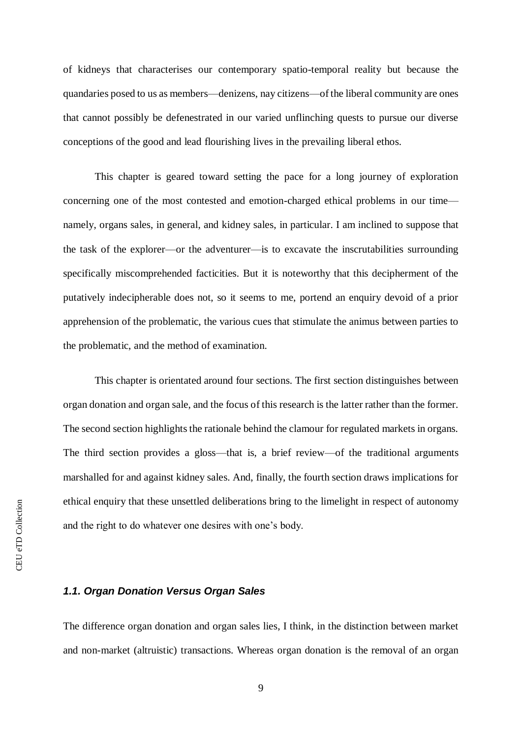of kidneys that characterises our contemporary spatio-temporal reality but because the quandaries posed to us as members—denizens, nay citizens—of the liberal community are ones that cannot possibly be defenestrated in our varied unflinching quests to pursue our diverse conceptions of the good and lead flourishing lives in the prevailing liberal ethos.

This chapter is geared toward setting the pace for a long journey of exploration concerning one of the most contested and emotion-charged ethical problems in our time namely, organs sales, in general, and kidney sales, in particular. I am inclined to suppose that the task of the explorer—or the adventurer—is to excavate the inscrutabilities surrounding specifically miscomprehended facticities. But it is noteworthy that this decipherment of the putatively indecipherable does not, so it seems to me, portend an enquiry devoid of a prior apprehension of the problematic, the various cues that stimulate the animus between parties to the problematic, and the method of examination.

This chapter is orientated around four sections. The first section distinguishes between organ donation and organ sale, and the focus of this research is the latter rather than the former. The second section highlights the rationale behind the clamour for regulated markets in organs. The third section provides a gloss—that is, a brief review—of the traditional arguments marshalled for and against kidney sales. And, finally, the fourth section draws implications for ethical enquiry that these unsettled deliberations bring to the limelight in respect of autonomy and the right to do whatever one desires with one's body.

### <span id="page-15-0"></span>*1.1. Organ Donation Versus Organ Sales*

The difference organ donation and organ sales lies, I think, in the distinction between market and non-market (altruistic) transactions. Whereas organ donation is the removal of an organ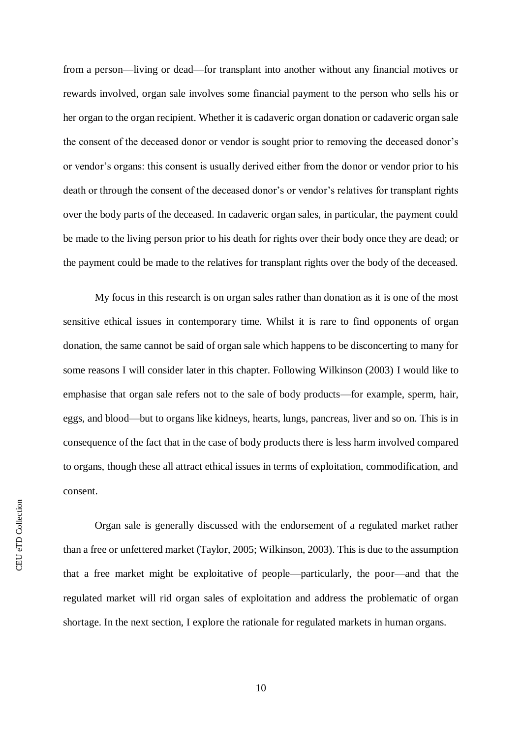from a person—living or dead—for transplant into another without any financial motives or rewards involved, organ sale involves some financial payment to the person who sells his or her organ to the organ recipient. Whether it is cadaveric organ donation or cadaveric organ sale the consent of the deceased donor or vendor is sought prior to removing the deceased donor's or vendor's organs: this consent is usually derived either from the donor or vendor prior to his death or through the consent of the deceased donor's or vendor's relatives for transplant rights over the body parts of the deceased. In cadaveric organ sales, in particular, the payment could be made to the living person prior to his death for rights over their body once they are dead; or the payment could be made to the relatives for transplant rights over the body of the deceased.

My focus in this research is on organ sales rather than donation as it is one of the most sensitive ethical issues in contemporary time. Whilst it is rare to find opponents of organ donation, the same cannot be said of organ sale which happens to be disconcerting to many for some reasons I will consider later in this chapter. Following Wilkinson (2003) I would like to emphasise that organ sale refers not to the sale of body products—for example, sperm, hair, eggs, and blood—but to organs like kidneys, hearts, lungs, pancreas, liver and so on. This is in consequence of the fact that in the case of body products there is less harm involved compared to organs, though these all attract ethical issues in terms of exploitation, commodification, and consent.

Organ sale is generally discussed with the endorsement of a regulated market rather than a free or unfettered market (Taylor, 2005; Wilkinson, 2003). This is due to the assumption that a free market might be exploitative of people—particularly, the poor—and that the regulated market will rid organ sales of exploitation and address the problematic of organ shortage. In the next section, I explore the rationale for regulated markets in human organs.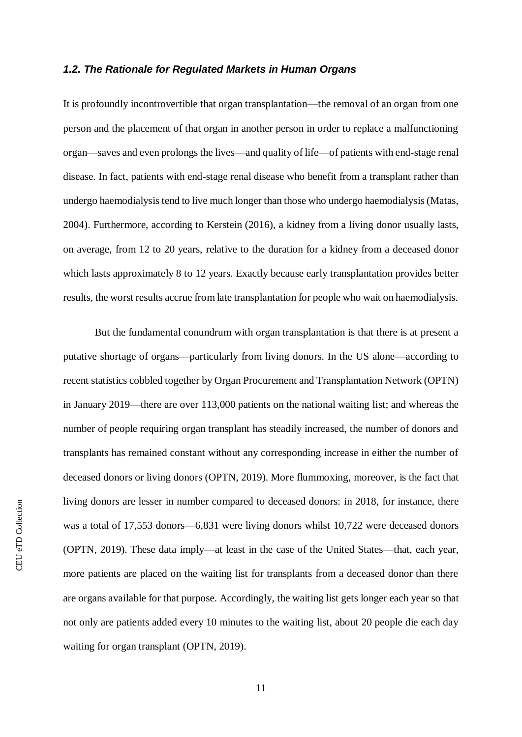#### <span id="page-17-0"></span>*1.2. The Rationale for Regulated Markets in Human Organs*

It is profoundly incontrovertible that organ transplantation—the removal of an organ from one person and the placement of that organ in another person in order to replace a malfunctioning organ—saves and even prolongs the lives—and quality of life—of patients with end-stage renal disease. In fact, patients with end-stage renal disease who benefit from a transplant rather than undergo haemodialysis tend to live much longer than those who undergo haemodialysis (Matas, 2004). Furthermore, according to Kerstein (2016), a kidney from a living donor usually lasts, on average, from 12 to 20 years, relative to the duration for a kidney from a deceased donor which lasts approximately 8 to 12 years. Exactly because early transplantation provides better results, the worst results accrue from late transplantation for people who wait on haemodialysis.

But the fundamental conundrum with organ transplantation is that there is at present a putative shortage of organs—particularly from living donors. In the US alone—according to recent statistics cobbled together by Organ Procurement and Transplantation Network (OPTN) in January 2019—there are over 113,000 patients on the national waiting list; and whereas the number of people requiring organ transplant has steadily increased, the number of donors and transplants has remained constant without any corresponding increase in either the number of deceased donors or living donors (OPTN, 2019). More flummoxing, moreover, is the fact that living donors are lesser in number compared to deceased donors: in 2018, for instance, there was a total of 17,553 donors—6,831 were living donors whilst 10,722 were deceased donors (OPTN, 2019). These data imply—at least in the case of the United States—that, each year, more patients are placed on the waiting list for transplants from a deceased donor than there are organs available for that purpose. Accordingly, the waiting list gets longer each year so that not only are patients added every 10 minutes to the waiting list, about 20 people die each day waiting for organ transplant (OPTN, 2019).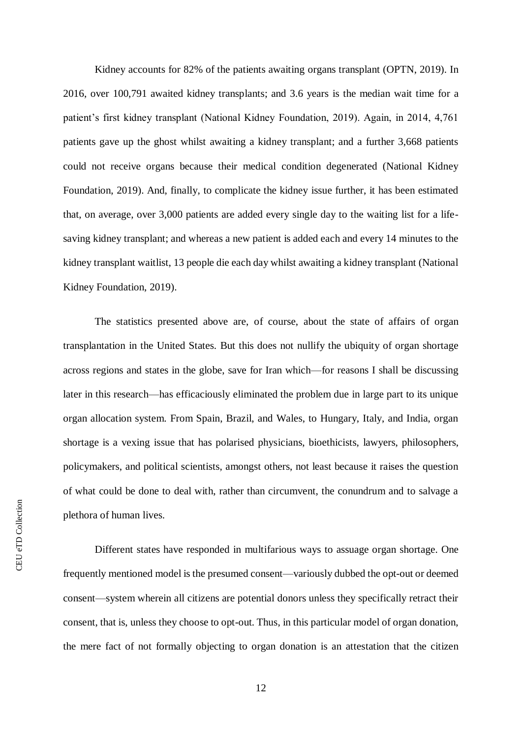Kidney accounts for 82% of the patients awaiting organs transplant (OPTN, 2019). In 2016, over 100,791 awaited kidney transplants; and 3.6 years is the median wait time for a patient's first kidney transplant (National Kidney Foundation, 2019). Again, in 2014, 4,761 patients gave up the ghost whilst awaiting a kidney transplant; and a further 3,668 patients could not receive organs because their medical condition degenerated (National Kidney Foundation, 2019). And, finally, to complicate the kidney issue further, it has been estimated that, on average, over 3,000 patients are added every single day to the waiting list for a lifesaving kidney transplant; and whereas a new patient is added each and every 14 minutes to the kidney transplant waitlist, 13 people die each day whilst awaiting a kidney transplant (National Kidney Foundation, 2019).

The statistics presented above are, of course, about the state of affairs of organ transplantation in the United States. But this does not nullify the ubiquity of organ shortage across regions and states in the globe, save for Iran which—for reasons I shall be discussing later in this research—has efficaciously eliminated the problem due in large part to its unique organ allocation system. From Spain, Brazil, and Wales, to Hungary, Italy, and India, organ shortage is a vexing issue that has polarised physicians, bioethicists, lawyers, philosophers, policymakers, and political scientists, amongst others, not least because it raises the question of what could be done to deal with, rather than circumvent, the conundrum and to salvage a plethora of human lives.

Different states have responded in multifarious ways to assuage organ shortage. One frequently mentioned model is the presumed consent—variously dubbed the opt-out or deemed consent—system wherein all citizens are potential donors unless they specifically retract their consent, that is, unless they choose to opt-out. Thus, in this particular model of organ donation, the mere fact of not formally objecting to organ donation is an attestation that the citizen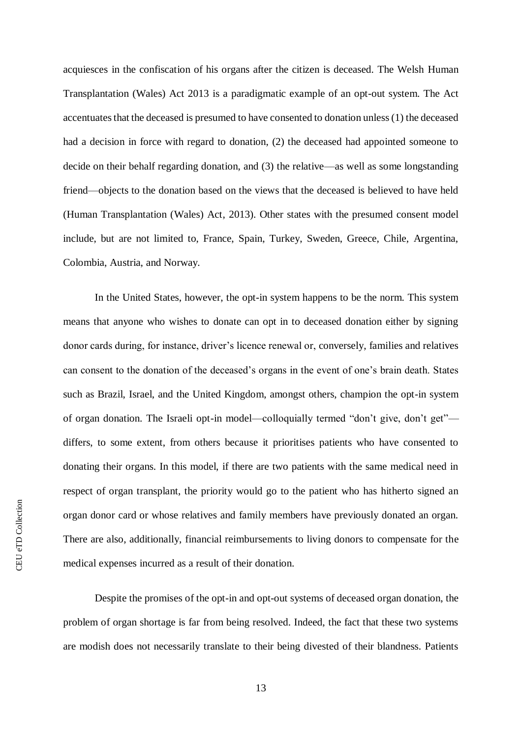acquiesces in the confiscation of his organs after the citizen is deceased. The Welsh Human Transplantation (Wales) Act 2013 is a paradigmatic example of an opt-out system. The Act accentuates that the deceased is presumed to have consented to donation unless (1) the deceased had a decision in force with regard to donation, (2) the deceased had appointed someone to decide on their behalf regarding donation, and (3) the relative—as well as some longstanding friend—objects to the donation based on the views that the deceased is believed to have held (Human Transplantation (Wales) Act, 2013). Other states with the presumed consent model include, but are not limited to, France, Spain, Turkey, Sweden, Greece, Chile, Argentina, Colombia, Austria, and Norway.

In the United States, however, the opt-in system happens to be the norm. This system means that anyone who wishes to donate can opt in to deceased donation either by signing donor cards during, for instance, driver's licence renewal or, conversely, families and relatives can consent to the donation of the deceased's organs in the event of one's brain death. States such as Brazil, Israel, and the United Kingdom, amongst others, champion the opt-in system of organ donation. The Israeli opt-in model—colloquially termed "don't give, don't get" differs, to some extent, from others because it prioritises patients who have consented to donating their organs. In this model, if there are two patients with the same medical need in respect of organ transplant, the priority would go to the patient who has hitherto signed an organ donor card or whose relatives and family members have previously donated an organ. There are also, additionally, financial reimbursements to living donors to compensate for the medical expenses incurred as a result of their donation.

Despite the promises of the opt-in and opt-out systems of deceased organ donation, the problem of organ shortage is far from being resolved. Indeed, the fact that these two systems are modish does not necessarily translate to their being divested of their blandness. Patients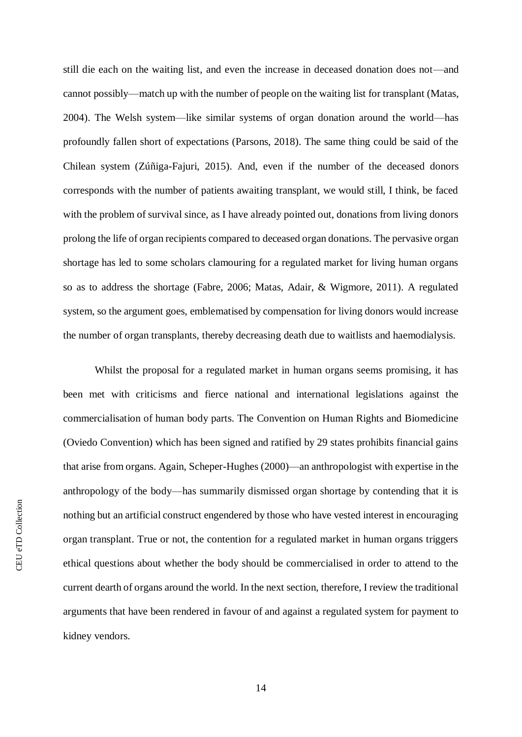still die each on the waiting list, and even the increase in deceased donation does not—and cannot possibly—match up with the number of people on the waiting list for transplant (Matas, 2004). The Welsh system—like similar systems of organ donation around the world—has profoundly fallen short of expectations (Parsons, 2018). The same thing could be said of the Chilean system (Zúñiga-Fajuri, 2015). And, even if the number of the deceased donors corresponds with the number of patients awaiting transplant, we would still, I think, be faced with the problem of survival since, as I have already pointed out, donations from living donors prolong the life of organ recipients compared to deceased organ donations. The pervasive organ shortage has led to some scholars clamouring for a regulated market for living human organs so as to address the shortage (Fabre, 2006; Matas, Adair, & Wigmore, 2011). A regulated system, so the argument goes, emblematised by compensation for living donors would increase the number of organ transplants, thereby decreasing death due to waitlists and haemodialysis.

Whilst the proposal for a regulated market in human organs seems promising, it has been met with criticisms and fierce national and international legislations against the commercialisation of human body parts. The Convention on Human Rights and Biomedicine (Oviedo Convention) which has been signed and ratified by 29 states prohibits financial gains that arise from organs. Again, Scheper-Hughes (2000)—an anthropologist with expertise in the anthropology of the body—has summarily dismissed organ shortage by contending that it is nothing but an artificial construct engendered by those who have vested interest in encouraging organ transplant. True or not, the contention for a regulated market in human organs triggers ethical questions about whether the body should be commercialised in order to attend to the current dearth of organs around the world. In the next section, therefore, I review the traditional arguments that have been rendered in favour of and against a regulated system for payment to kidney vendors.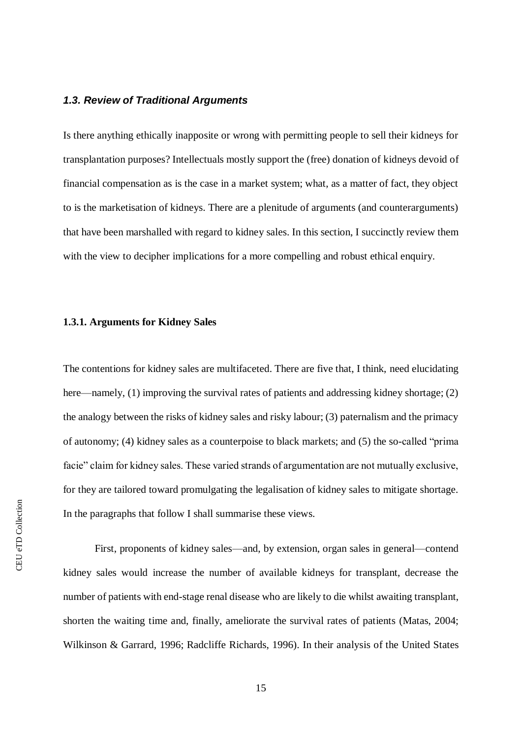#### <span id="page-21-0"></span>*1.3. Review of Traditional Arguments*

Is there anything ethically inapposite or wrong with permitting people to sell their kidneys for transplantation purposes? Intellectuals mostly support the (free) donation of kidneys devoid of financial compensation as is the case in a market system; what, as a matter of fact, they object to is the marketisation of kidneys. There are a plenitude of arguments (and counterarguments) that have been marshalled with regard to kidney sales. In this section, I succinctly review them with the view to decipher implications for a more compelling and robust ethical enquiry.

#### <span id="page-21-1"></span>**1.3.1. Arguments for Kidney Sales**

The contentions for kidney sales are multifaceted. There are five that, I think, need elucidating here—namely, (1) improving the survival rates of patients and addressing kidney shortage; (2) the analogy between the risks of kidney sales and risky labour; (3) paternalism and the primacy of autonomy; (4) kidney sales as a counterpoise to black markets; and (5) the so-called "prima facie" claim for kidney sales. These varied strands of argumentation are not mutually exclusive, for they are tailored toward promulgating the legalisation of kidney sales to mitigate shortage. In the paragraphs that follow I shall summarise these views.

First, proponents of kidney sales—and, by extension, organ sales in general—contend kidney sales would increase the number of available kidneys for transplant, decrease the number of patients with end-stage renal disease who are likely to die whilst awaiting transplant, shorten the waiting time and, finally, ameliorate the survival rates of patients (Matas, 2004; Wilkinson & Garrard, 1996; Radcliffe Richards, 1996). In their analysis of the United States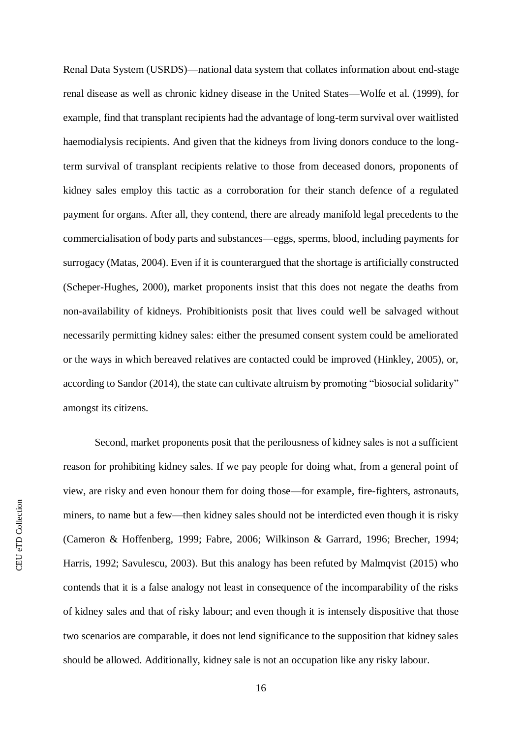Renal Data System (USRDS)—national data system that collates information about end-stage renal disease as well as chronic kidney disease in the United States—Wolfe et al. (1999), for example, find that transplant recipients had the advantage of long-term survival over waitlisted haemodialysis recipients. And given that the kidneys from living donors conduce to the longterm survival of transplant recipients relative to those from deceased donors, proponents of kidney sales employ this tactic as a corroboration for their stanch defence of a regulated payment for organs. After all, they contend, there are already manifold legal precedents to the commercialisation of body parts and substances—eggs, sperms, blood, including payments for surrogacy (Matas, 2004). Even if it is counterargued that the shortage is artificially constructed (Scheper-Hughes, 2000), market proponents insist that this does not negate the deaths from non-availability of kidneys. Prohibitionists posit that lives could well be salvaged without necessarily permitting kidney sales: either the presumed consent system could be ameliorated or the ways in which bereaved relatives are contacted could be improved (Hinkley, 2005), or, according to Sandor (2014), the state can cultivate altruism by promoting "biosocial solidarity" amongst its citizens.

Second, market proponents posit that the perilousness of kidney sales is not a sufficient reason for prohibiting kidney sales. If we pay people for doing what, from a general point of view, are risky and even honour them for doing those—for example, fire-fighters, astronauts, miners, to name but a few—then kidney sales should not be interdicted even though it is risky (Cameron & Hoffenberg, 1999; Fabre, 2006; Wilkinson & Garrard, 1996; Brecher, 1994; Harris, 1992; Savulescu, 2003). But this analogy has been refuted by Malmqvist (2015) who contends that it is a false analogy not least in consequence of the incomparability of the risks of kidney sales and that of risky labour; and even though it is intensely dispositive that those two scenarios are comparable, it does not lend significance to the supposition that kidney sales should be allowed. Additionally, kidney sale is not an occupation like any risky labour.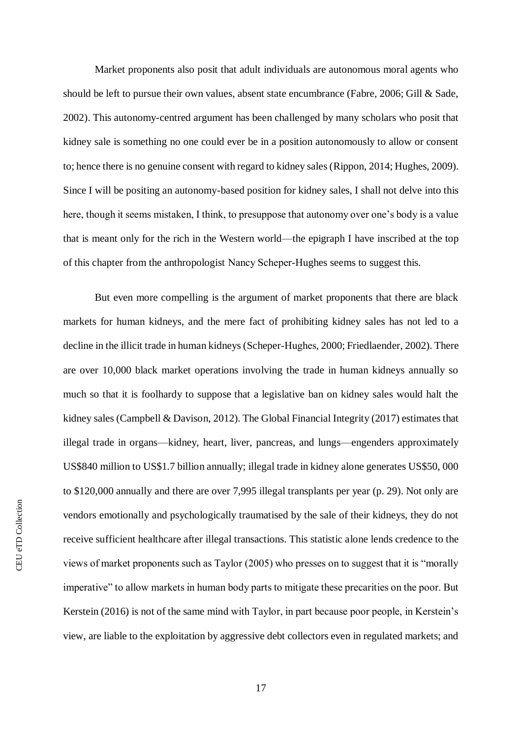Market proponents also posit that adult individuals are autonomous moral agents who should be left to pursue their own values, absent state encumbrance (Fabre, 2006; Gill & Sade, 2002). This autonomy-centred argument has been challenged by many scholars who posit that kidney sale is something no one could ever be in a position autonomously to allow or consent to; hence there is no genuine consent with regard to kidney sales (Rippon, 2014; Hughes, 2009). Since I will be positing an autonomy-based position for kidney sales, I shall not delve into this here, though it seems mistaken, I think, to presuppose that autonomy over one's body is a value that is meant only for the rich in the Western world—the epigraph I have inscribed at the top of this chapter from the anthropologist Nancy Scheper‐Hughes seems to suggest this.

But even more compelling is the argument of market proponents that there are black markets for human kidneys, and the mere fact of prohibiting kidney sales has not led to a decline in the illicit trade in human kidneys (Scheper‐Hughes, 2000; Friedlaender, 2002). There are over 10,000 black market operations involving the trade in human kidneys annually so much so that it is foolhardy to suppose that a legislative ban on kidney sales would halt the kidney sales (Campbell & Davison, 2012). The Global Financial Integrity (2017) estimates that illegal trade in organs—kidney, heart, liver, pancreas, and lungs—engenders approximately US\$840 million to US\$1.7 billion annually; illegal trade in kidney alone generates US\$50, 000 to \$120,000 annually and there are over 7,995 illegal transplants per year (p. 29). Not only are vendors emotionally and psychologically traumatised by the sale of their kidneys, they do not receive sufficient healthcare after illegal transactions. This statistic alone lends credence to the views of market proponents such as Taylor (2005) who presses on to suggest that it is "morally imperative" to allow markets in human body parts to mitigate these precarities on the poor. But Kerstein (2016) is not of the same mind with Taylor, in part because poor people, in Kerstein's view, are liable to the exploitation by aggressive debt collectors even in regulated markets; and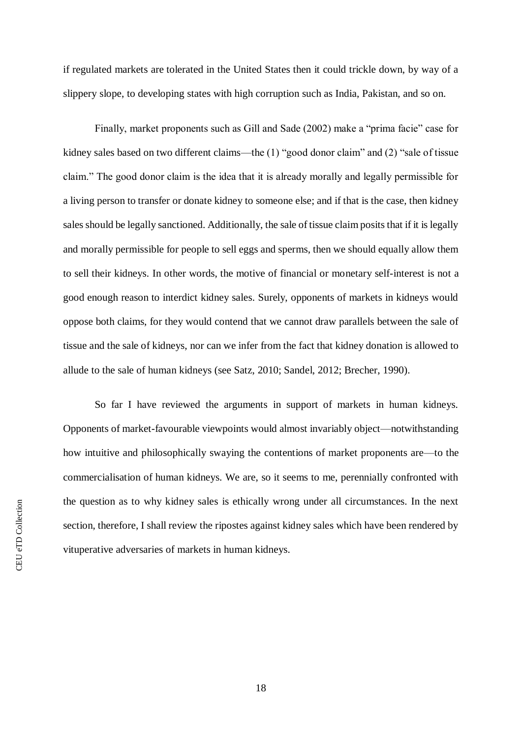if regulated markets are tolerated in the United States then it could trickle down, by way of a slippery slope, to developing states with high corruption such as India, Pakistan, and so on.

Finally, market proponents such as Gill and Sade (2002) make a "prima facie" case for kidney sales based on two different claims—the (1) "good donor claim" and (2) "sale of tissue claim." The good donor claim is the idea that it is already morally and legally permissible for a living person to transfer or donate kidney to someone else; and if that is the case, then kidney sales should be legally sanctioned. Additionally, the sale of tissue claim posits that if it is legally and morally permissible for people to sell eggs and sperms, then we should equally allow them to sell their kidneys. In other words, the motive of financial or monetary self-interest is not a good enough reason to interdict kidney sales. Surely, opponents of markets in kidneys would oppose both claims, for they would contend that we cannot draw parallels between the sale of tissue and the sale of kidneys, nor can we infer from the fact that kidney donation is allowed to allude to the sale of human kidneys (see Satz, 2010; Sandel, 2012; Brecher, 1990).

So far I have reviewed the arguments in support of markets in human kidneys. Opponents of market-favourable viewpoints would almost invariably object—notwithstanding how intuitive and philosophically swaying the contentions of market proponents are—to the commercialisation of human kidneys. We are, so it seems to me, perennially confronted with the question as to why kidney sales is ethically wrong under all circumstances. In the next section, therefore, I shall review the ripostes against kidney sales which have been rendered by vituperative adversaries of markets in human kidneys.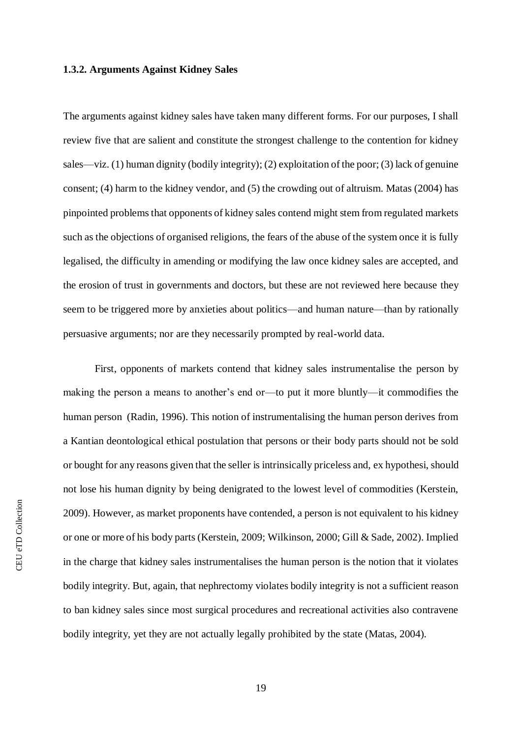#### <span id="page-25-0"></span>**1.3.2. Arguments Against Kidney Sales**

The arguments against kidney sales have taken many different forms. For our purposes, I shall review five that are salient and constitute the strongest challenge to the contention for kidney sales—viz. (1) human dignity (bodily integrity); (2) exploitation of the poor; (3) lack of genuine consent; (4) harm to the kidney vendor, and (5) the crowding out of altruism. Matas (2004) has pinpointed problems that opponents of kidney sales contend might stem from regulated markets such as the objections of organised religions, the fears of the abuse of the system once it is fully legalised, the difficulty in amending or modifying the law once kidney sales are accepted, and the erosion of trust in governments and doctors, but these are not reviewed here because they seem to be triggered more by anxieties about politics—and human nature—than by rationally persuasive arguments; nor are they necessarily prompted by real-world data.

First, opponents of markets contend that kidney sales instrumentalise the person by making the person a means to another's end or—to put it more bluntly—it commodifies the human person (Radin, 1996). This notion of instrumentalising the human person derives from a Kantian deontological ethical postulation that persons or their body parts should not be sold or bought for any reasons given that the seller is intrinsically priceless and, ex hypothesi, should not lose his human dignity by being denigrated to the lowest level of commodities (Kerstein, 2009). However, as market proponents have contended, a person is not equivalent to his kidney or one or more of his body parts (Kerstein, 2009; Wilkinson, 2000; Gill & Sade, 2002). Implied in the charge that kidney sales instrumentalises the human person is the notion that it violates bodily integrity. But, again, that nephrectomy violates bodily integrity is not a sufficient reason to ban kidney sales since most surgical procedures and recreational activities also contravene bodily integrity, yet they are not actually legally prohibited by the state (Matas, 2004).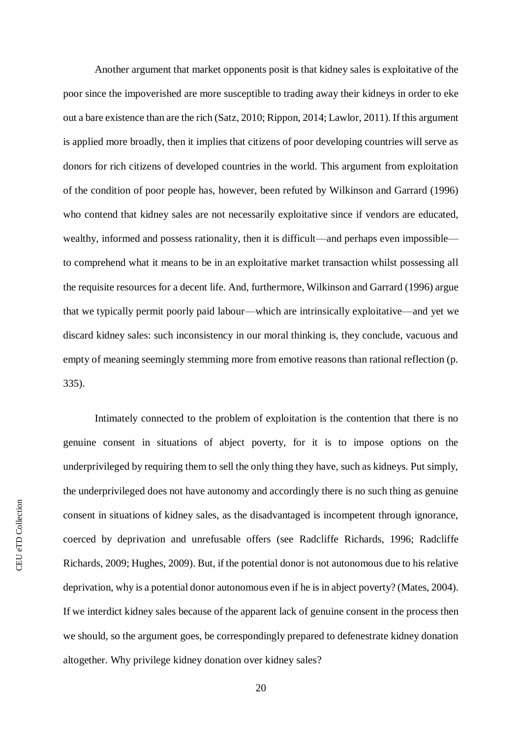Another argument that market opponents posit is that kidney sales is exploitative of the poor since the impoverished are more susceptible to trading away their kidneys in order to eke out a bare existence than are the rich (Satz, 2010; Rippon, 2014; Lawlor, 2011). If this argument is applied more broadly, then it implies that citizens of poor developing countries will serve as donors for rich citizens of developed countries in the world. This argument from exploitation of the condition of poor people has, however, been refuted by Wilkinson and Garrard (1996) who contend that kidney sales are not necessarily exploitative since if vendors are educated, wealthy, informed and possess rationality, then it is difficult—and perhaps even impossible to comprehend what it means to be in an exploitative market transaction whilst possessing all the requisite resources for a decent life. And, furthermore, Wilkinson and Garrard (1996) argue that we typically permit poorly paid labour—which are intrinsically exploitative—and yet we discard kidney sales: such inconsistency in our moral thinking is, they conclude, vacuous and empty of meaning seemingly stemming more from emotive reasons than rational reflection (p. 335).

Intimately connected to the problem of exploitation is the contention that there is no genuine consent in situations of abject poverty, for it is to impose options on the underprivileged by requiring them to sell the only thing they have, such as kidneys. Put simply, the underprivileged does not have autonomy and accordingly there is no such thing as genuine consent in situations of kidney sales, as the disadvantaged is incompetent through ignorance, coerced by deprivation and unrefusable offers (see Radcliffe Richards, 1996; Radcliffe Richards, 2009; Hughes, 2009). But, if the potential donor is not autonomous due to his relative deprivation, why is a potential donor autonomous even if he is in abject poverty? (Mates, 2004). If we interdict kidney sales because of the apparent lack of genuine consent in the process then we should, so the argument goes, be correspondingly prepared to defenestrate kidney donation altogether. Why privilege kidney donation over kidney sales?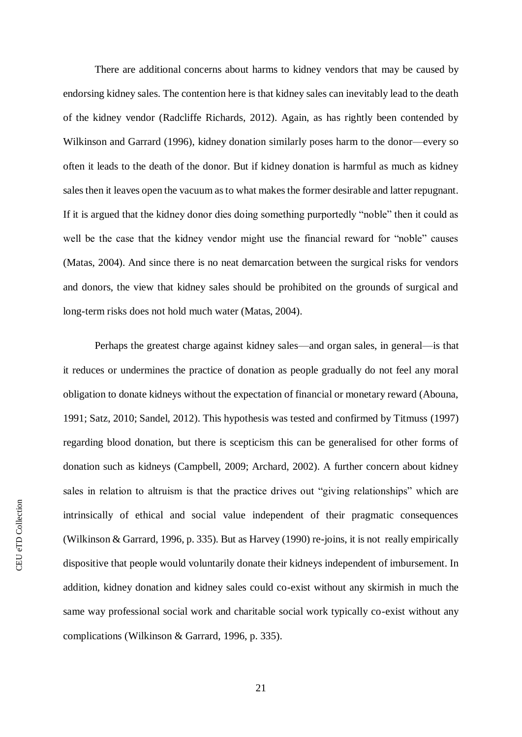There are additional concerns about harms to kidney vendors that may be caused by endorsing kidney sales. The contention here is that kidney sales can inevitably lead to the death of the kidney vendor (Radcliffe Richards, 2012). Again, as has rightly been contended by Wilkinson and Garrard (1996), kidney donation similarly poses harm to the donor—every so often it leads to the death of the donor. But if kidney donation is harmful as much as kidney sales then it leaves open the vacuum as to what makes the former desirable and latter repugnant. If it is argued that the kidney donor dies doing something purportedly "noble" then it could as well be the case that the kidney vendor might use the financial reward for "noble" causes (Matas, 2004). And since there is no neat demarcation between the surgical risks for vendors and donors, the view that kidney sales should be prohibited on the grounds of surgical and long-term risks does not hold much water (Matas, 2004).

Perhaps the greatest charge against kidney sales—and organ sales, in general—is that it reduces or undermines the practice of donation as people gradually do not feel any moral obligation to donate kidneys without the expectation of financial or monetary reward (Abouna, 1991; Satz, 2010; Sandel, 2012). This hypothesis was tested and confirmed by Titmuss (1997) regarding blood donation, but there is scepticism this can be generalised for other forms of donation such as kidneys (Campbell, 2009; Archard, 2002). A further concern about kidney sales in relation to altruism is that the practice drives out "giving relationships" which are intrinsically of ethical and social value independent of their pragmatic consequences (Wilkinson & Garrard, 1996, p. 335). But as Harvey (1990) re-joins, it is not really empirically dispositive that people would voluntarily donate their kidneys independent of imbursement. In addition, kidney donation and kidney sales could co-exist without any skirmish in much the same way professional social work and charitable social work typically co-exist without any complications (Wilkinson & Garrard, 1996, p. 335).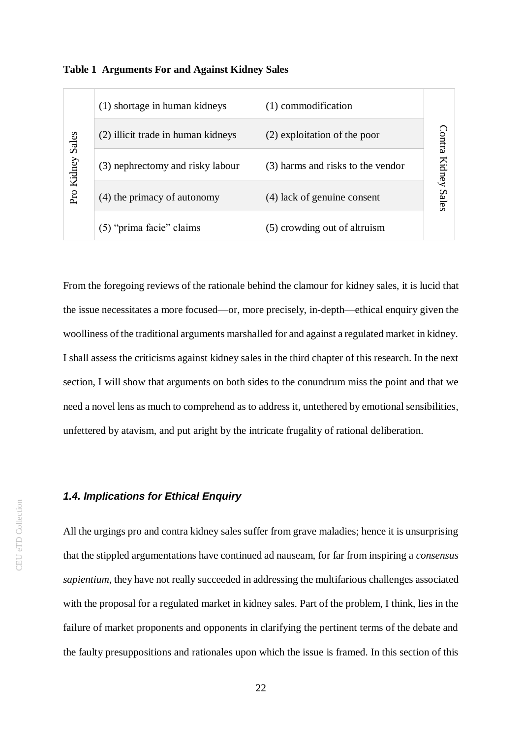| Pro Kidney Sales | (1) shortage in human kidneys      | (1) commodification               |                     |  |
|------------------|------------------------------------|-----------------------------------|---------------------|--|
|                  | (2) illicit trade in human kidneys | (2) exploitation of the poor      | Contra              |  |
|                  | (3) nephrectomy and risky labour   | (3) harms and risks to the vendor | <b>Kidney Sales</b> |  |
|                  | (4) the primacy of autonomy        | (4) lack of genuine consent       |                     |  |
|                  | (5) "prima facie" claims           | (5) crowding out of altruism      |                     |  |

<span id="page-28-1"></span>

From the foregoing reviews of the rationale behind the clamour for kidney sales, it is lucid that the issue necessitates a more focused—or, more precisely, in-depth—ethical enquiry given the woolliness of the traditional arguments marshalled for and against a regulated market in kidney. I shall assess the criticisms against kidney sales in the third chapter of this research. In the next section, I will show that arguments on both sides to the conundrum miss the point and that we need a novel lens as much to comprehend as to address it, untethered by emotional sensibilities, unfettered by atavism, and put aright by the intricate frugality of rational deliberation. (2) exploitations and risky thround (3) exploitation of the poor<br>  $\frac{25}{56}$ <br>
(3) membrectomy and risky labour<br>
(4) lack of genuine consent<br>  $\frac{25}{56}$ <br>
(5) "prima facie" claims<br>
(5) conveding out of altruism<br>
From the

#### <span id="page-28-0"></span>*1.4. Implications for Ethical Enquiry*

All the urgings pro and contra kidney sales suffer from grave maladies; hence it is unsurprising that the stippled argumentations have continued ad nauseam, for far from inspiring a *consensus sapientium*, they have not really succeeded in addressing the multifarious challenges associated with the proposal for a regulated market in kidney sales. Part of the problem, I think, lies in the failure of market proponents and opponents in clarifying the pertinent terms of the debate and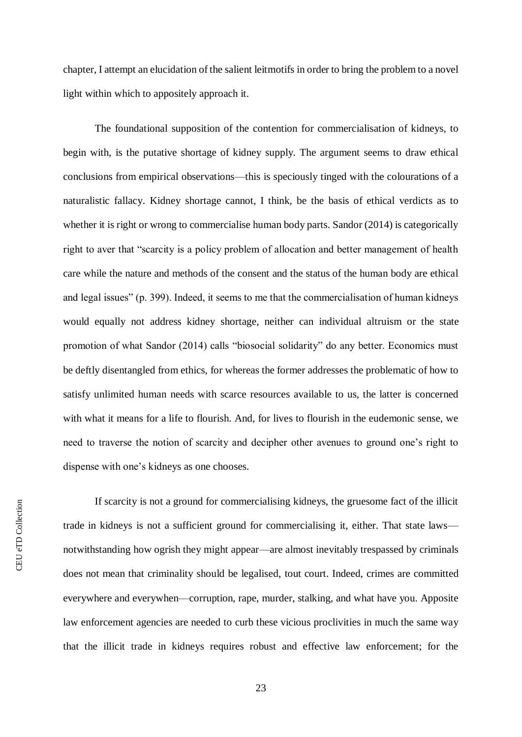chapter, I attempt an elucidation of the salient leitmotifs in order to bring the problem to a novel light within which to appositely approach it.

The foundational supposition of the contention for commercialisation of kidneys, to begin with, is the putative shortage of kidney supply. The argument seems to draw ethical conclusions from empirical observations—this is speciously tinged with the colourations of a naturalistic fallacy. Kidney shortage cannot, I think, be the basis of ethical verdicts as to whether it is right or wrong to commercialise human body parts. Sandor (2014) is categorically right to aver that "scarcity is a policy problem of allocation and better management of health care while the nature and methods of the consent and the status of the human body are ethical and legal issues" (p. 399). Indeed, it seems to me that the commercialisation of human kidneys would equally not address kidney shortage, neither can individual altruism or the state promotion of what Sandor (2014) calls "biosocial solidarity" do any better. Economics must be deftly disentangled from ethics, for whereas the former addresses the problematic of how to satisfy unlimited human needs with scarce resources available to us, the latter is concerned with what it means for a life to flourish. And, for lives to flourish in the eudemonic sense, we need to traverse the notion of scarcity and decipher other avenues to ground one's right to dispense with one's kidneys as one chooses.

If scarcity is not a ground for commercialising kidneys, the gruesome fact of the illicit trade in kidneys is not a sufficient ground for commercialising it, either. That state laws notwithstanding how ogrish they might appear—are almost inevitably trespassed by criminals does not mean that criminality should be legalised, tout court. Indeed, crimes are committed everywhere and everywhen—corruption, rape, murder, stalking, and what have you. Apposite law enforcement agencies are needed to curb these vicious proclivities in much the same way that the illicit trade in kidneys requires robust and effective law enforcement; for the

23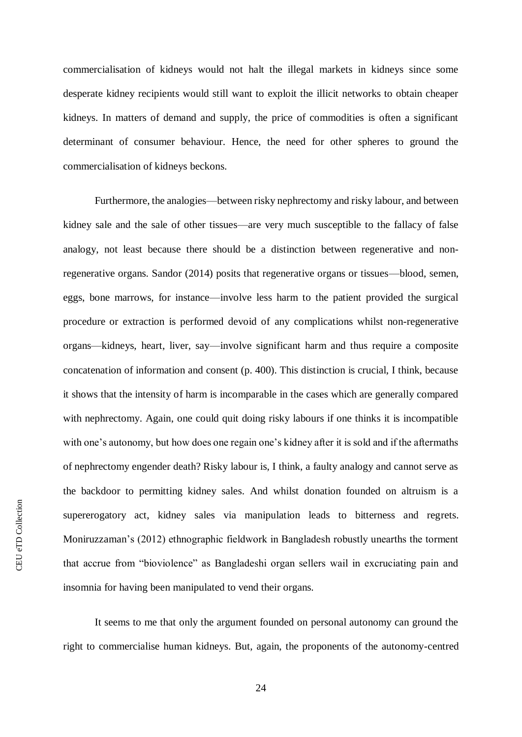commercialisation of kidneys would not halt the illegal markets in kidneys since some desperate kidney recipients would still want to exploit the illicit networks to obtain cheaper kidneys. In matters of demand and supply, the price of commodities is often a significant determinant of consumer behaviour. Hence, the need for other spheres to ground the commercialisation of kidneys beckons.

Furthermore, the analogies—between risky nephrectomy and risky labour, and between kidney sale and the sale of other tissues—are very much susceptible to the fallacy of false analogy, not least because there should be a distinction between regenerative and nonregenerative organs. Sandor (2014) posits that regenerative organs or tissues—blood, semen, eggs, bone marrows, for instance—involve less harm to the patient provided the surgical procedure or extraction is performed devoid of any complications whilst non-regenerative organs—kidneys, heart, liver, say—involve significant harm and thus require a composite concatenation of information and consent (p. 400). This distinction is crucial, I think, because it shows that the intensity of harm is incomparable in the cases which are generally compared with nephrectomy. Again, one could quit doing risky labours if one thinks it is incompatible with one's autonomy, but how does one regain one's kidney after it is sold and if the aftermaths of nephrectomy engender death? Risky labour is, I think, a faulty analogy and cannot serve as the backdoor to permitting kidney sales. And whilst donation founded on altruism is a supererogatory act, kidney sales via manipulation leads to bitterness and regrets. Moniruzzaman's (2012) ethnographic fieldwork in Bangladesh robustly unearths the torment that accrue from "bioviolence" as Bangladeshi organ sellers wail in excruciating pain and insomnia for having been manipulated to vend their organs.

It seems to me that only the argument founded on personal autonomy can ground the right to commercialise human kidneys. But, again, the proponents of the autonomy-centred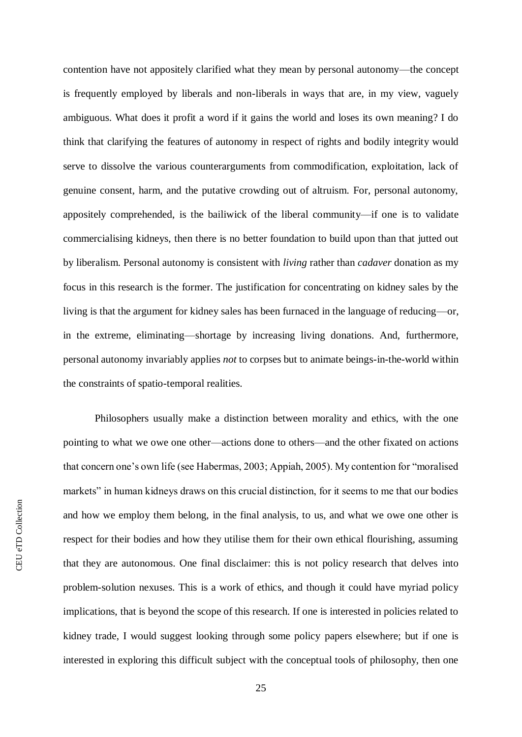contention have not appositely clarified what they mean by personal autonomy—the concept is frequently employed by liberals and non-liberals in ways that are, in my view, vaguely ambiguous. What does it profit a word if it gains the world and loses its own meaning? I do think that clarifying the features of autonomy in respect of rights and bodily integrity would serve to dissolve the various counterarguments from commodification, exploitation, lack of genuine consent, harm, and the putative crowding out of altruism. For, personal autonomy, appositely comprehended, is the bailiwick of the liberal community—if one is to validate commercialising kidneys, then there is no better foundation to build upon than that jutted out by liberalism. Personal autonomy is consistent with *living* rather than *cadaver* donation as my focus in this research is the former. The justification for concentrating on kidney sales by the living is that the argument for kidney sales has been furnaced in the language of reducing—or, in the extreme, eliminating—shortage by increasing living donations. And, furthermore, personal autonomy invariably applies *not* to corpses but to animate beings-in-the-world within the constraints of spatio-temporal realities.

Philosophers usually make a distinction between morality and ethics, with the one pointing to what we owe one other—actions done to others—and the other fixated on actions that concern one's own life (see Habermas, 2003; Appiah, 2005). My contention for "moralised markets" in human kidneys draws on this crucial distinction, for it seems to me that our bodies and how we employ them belong, in the final analysis, to us, and what we owe one other is respect for their bodies and how they utilise them for their own ethical flourishing, assuming that they are autonomous. One final disclaimer: this is not policy research that delves into problem-solution nexuses. This is a work of ethics, and though it could have myriad policy implications, that is beyond the scope of this research. If one is interested in policies related to kidney trade, I would suggest looking through some policy papers elsewhere; but if one is interested in exploring this difficult subject with the conceptual tools of philosophy, then one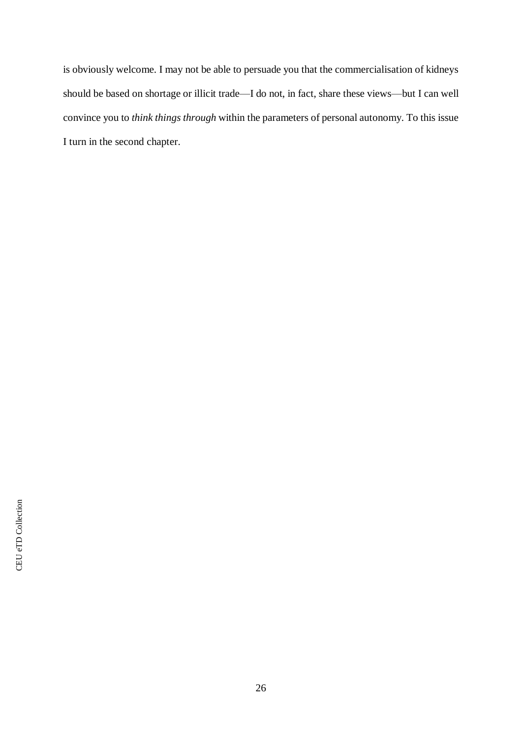is obviously welcome. I may not be able to persuade you that the commercialisation of kidneys should be based on shortage or illicit trade—I do not, in fact, share these views—but I can well convince you to *think things through* within the parameters of personal autonomy. To this issue I turn in the second chapter.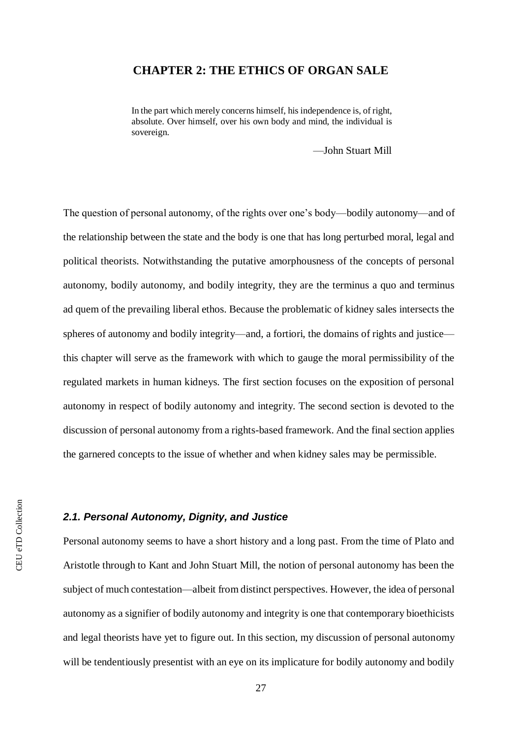### <span id="page-33-0"></span>**CHAPTER 2: THE ETHICS OF ORGAN SALE**

In the part which merely concerns himself, his independence is, of right, absolute. Over himself, over his own body and mind, the individual is sovereign.

—John Stuart Mill

The question of personal autonomy, of the rights over one's body—bodily autonomy—and of the relationship between the state and the body is one that has long perturbed moral, legal and political theorists. Notwithstanding the putative amorphousness of the concepts of personal autonomy, bodily autonomy, and bodily integrity, they are the terminus a quo and terminus ad quem of the prevailing liberal ethos. Because the problematic of kidney sales intersects the spheres of autonomy and bodily integrity—and, a fortiori, the domains of rights and justice this chapter will serve as the framework with which to gauge the moral permissibility of the regulated markets in human kidneys. The first section focuses on the exposition of personal autonomy in respect of bodily autonomy and integrity. The second section is devoted to the discussion of personal autonomy from a rights-based framework. And the final section applies the garnered concepts to the issue of whether and when kidney sales may be permissible.

#### <span id="page-33-1"></span>*2.1. Personal Autonomy, Dignity, and Justice*

Personal autonomy seems to have a short history and a long past. From the time of Plato and Aristotle through to Kant and John Stuart Mill, the notion of personal autonomy has been the subject of much contestation—albeit from distinct perspectives. However, the idea of personal autonomy as a signifier of bodily autonomy and integrity is one that contemporary bioethicists and legal theorists have yet to figure out. In this section, my discussion of personal autonomy will be tendentiously presentist with an eye on its implicature for bodily autonomy and bodily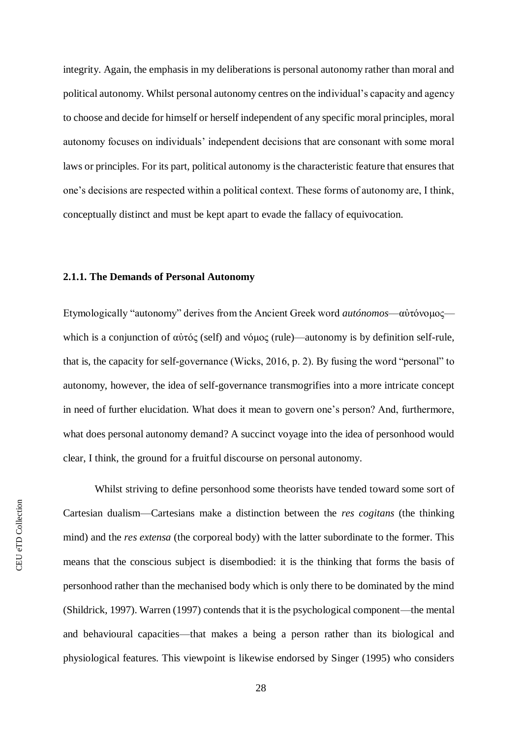integrity. Again, the emphasis in my deliberations is personal autonomy rather than moral and political autonomy. Whilst personal autonomy centres on the individual's capacity and agency to choose and decide for himself or herself independent of any specific moral principles, moral autonomy focuses on individuals' independent decisions that are consonant with some moral laws or principles. For its part, political autonomy is the characteristic feature that ensures that one's decisions are respected within a political context. These forms of autonomy are, I think, conceptually distinct and must be kept apart to evade the fallacy of equivocation.

#### <span id="page-34-0"></span>**2.1.1. The Demands of Personal Autonomy**

Etymologically "autonomy" derives from the Ancient Greek word *autónomos*—αὐτόνομος which is a conjunction of αὐτός (self) and νόμος (rule)—autonomy is by definition self-rule, that is, the capacity for self-governance (Wicks, 2016, p. 2). By fusing the word "personal" to autonomy, however, the idea of self-governance transmogrifies into a more intricate concept in need of further elucidation. What does it mean to govern one's person? And, furthermore, what does personal autonomy demand? A succinct voyage into the idea of personhood would clear, I think, the ground for a fruitful discourse on personal autonomy.

Whilst striving to define personhood some theorists have tended toward some sort of Cartesian dualism—Cartesians make a distinction between the *res cogitans* (the thinking mind) and the *res extensa* (the corporeal body) with the latter subordinate to the former. This means that the conscious subject is disembodied: it is the thinking that forms the basis of personhood rather than the mechanised body which is only there to be dominated by the mind (Shildrick, 1997). Warren (1997) contends that it is the psychological component—the mental and behavioural capacities—that makes a being a person rather than its biological and physiological features. This viewpoint is likewise endorsed by Singer (1995) who considers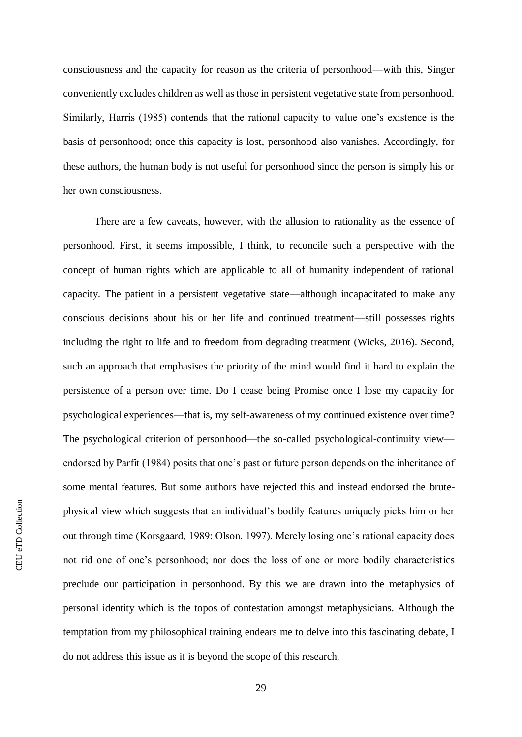consciousness and the capacity for reason as the criteria of personhood—with this, Singer conveniently excludes children as well as those in persistent vegetative state from personhood. Similarly, Harris (1985) contends that the rational capacity to value one's existence is the basis of personhood; once this capacity is lost, personhood also vanishes. Accordingly, for these authors, the human body is not useful for personhood since the person is simply his or her own consciousness.

There are a few caveats, however, with the allusion to rationality as the essence of personhood. First, it seems impossible, I think, to reconcile such a perspective with the concept of human rights which are applicable to all of humanity independent of rational capacity. The patient in a persistent vegetative state—although incapacitated to make any conscious decisions about his or her life and continued treatment—still possesses rights including the right to life and to freedom from degrading treatment (Wicks, 2016). Second, such an approach that emphasises the priority of the mind would find it hard to explain the persistence of a person over time. Do I cease being Promise once I lose my capacity for psychological experiences—that is, my self-awareness of my continued existence over time? The psychological criterion of personhood—the so-called psychological-continuity view endorsed by Parfit (1984) posits that one's past or future person depends on the inheritance of some mental features. But some authors have rejected this and instead endorsed the brutephysical view which suggests that an individual's bodily features uniquely picks him or her out through time (Korsgaard, 1989; Olson, 1997). Merely losing one's rational capacity does not rid one of one's personhood; nor does the loss of one or more bodily characteristics preclude our participation in personhood. By this we are drawn into the metaphysics of personal identity which is the topos of contestation amongst metaphysicians. Although the temptation from my philosophical training endears me to delve into this fascinating debate, I do not address this issue as it is beyond the scope of this research.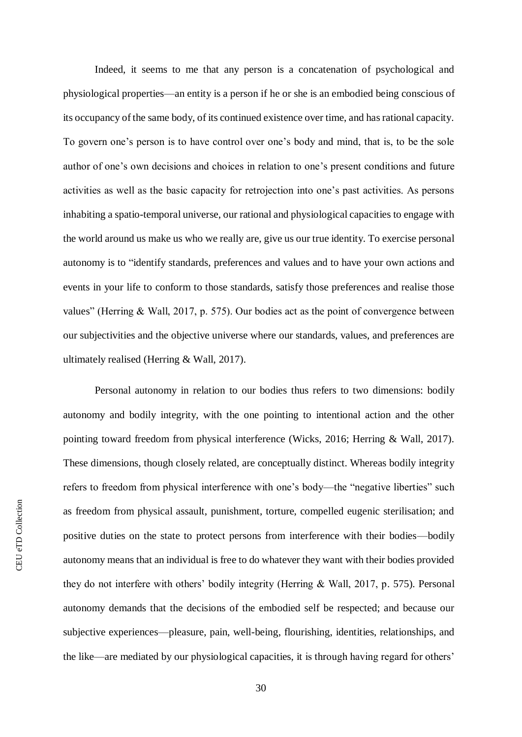Indeed, it seems to me that any person is a concatenation of psychological and physiological properties—an entity is a person if he or she is an embodied being conscious of its occupancy of the same body, of its continued existence over time, and has rational capacity. To govern one's person is to have control over one's body and mind, that is, to be the sole author of one's own decisions and choices in relation to one's present conditions and future activities as well as the basic capacity for retrojection into one's past activities. As persons inhabiting a spatio-temporal universe, our rational and physiological capacities to engage with the world around us make us who we really are, give us our true identity. To exercise personal autonomy is to "identify standards, preferences and values and to have your own actions and events in your life to conform to those standards, satisfy those preferences and realise those values" (Herring & Wall, 2017, p. 575). Our bodies act as the point of convergence between our subjectivities and the objective universe where our standards, values, and preferences are ultimately realised (Herring & Wall, 2017).

Personal autonomy in relation to our bodies thus refers to two dimensions: bodily autonomy and bodily integrity, with the one pointing to intentional action and the other pointing toward freedom from physical interference (Wicks, 2016; Herring & Wall, 2017). These dimensions, though closely related, are conceptually distinct. Whereas bodily integrity refers to freedom from physical interference with one's body—the "negative liberties" such as freedom from physical assault, punishment, torture, compelled eugenic sterilisation; and positive duties on the state to protect persons from interference with their bodies—bodily autonomy means that an individual is free to do whatever they want with their bodies provided they do not interfere with others' bodily integrity (Herring & Wall, 2017, p. 575). Personal autonomy demands that the decisions of the embodied self be respected; and because our subjective experiences—pleasure, pain, well-being, flourishing, identities, relationships, and the like—are mediated by our physiological capacities, it is through having regard for others'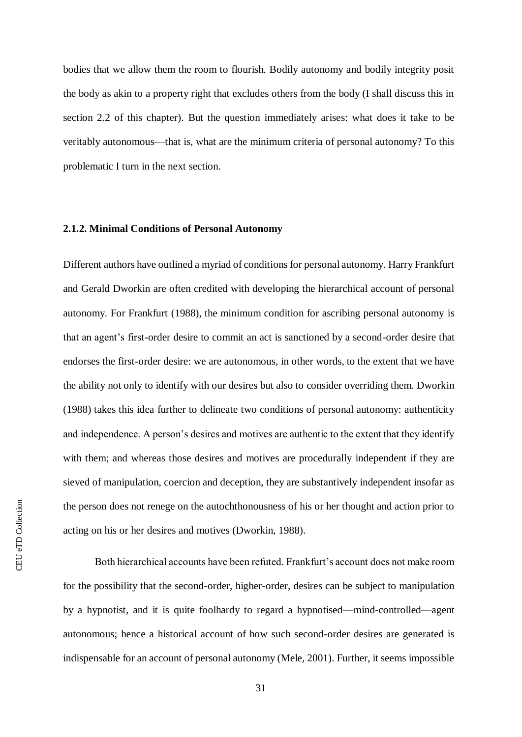bodies that we allow them the room to flourish. Bodily autonomy and bodily integrity posit the body as akin to a property right that excludes others from the body (I shall discuss this in section 2.2 of this chapter). But the question immediately arises: what does it take to be veritably autonomous—that is, what are the minimum criteria of personal autonomy? To this problematic I turn in the next section.

#### **2.1.2. Minimal Conditions of Personal Autonomy**

Different authors have outlined a myriad of conditions for personal autonomy. Harry Frankfurt and Gerald Dworkin are often credited with developing the hierarchical account of personal autonomy. For Frankfurt (1988), the minimum condition for ascribing personal autonomy is that an agent's first-order desire to commit an act is sanctioned by a second-order desire that endorses the first-order desire: we are autonomous, in other words, to the extent that we have the ability not only to identify with our desires but also to consider overriding them. Dworkin (1988) takes this idea further to delineate two conditions of personal autonomy: authenticity and independence. A person's desires and motives are authentic to the extent that they identify with them; and whereas those desires and motives are procedurally independent if they are sieved of manipulation, coercion and deception, they are substantively independent insofar as the person does not renege on the autochthonousness of his or her thought and action prior to acting on his or her desires and motives (Dworkin, 1988).

Both hierarchical accounts have been refuted. Frankfurt's account does not make room for the possibility that the second-order, higher-order, desires can be subject to manipulation by a hypnotist, and it is quite foolhardy to regard a hypnotised—mind-controlled—agent autonomous; hence a historical account of how such second-order desires are generated is indispensable for an account of personal autonomy (Mele, 2001). Further, it seems impossible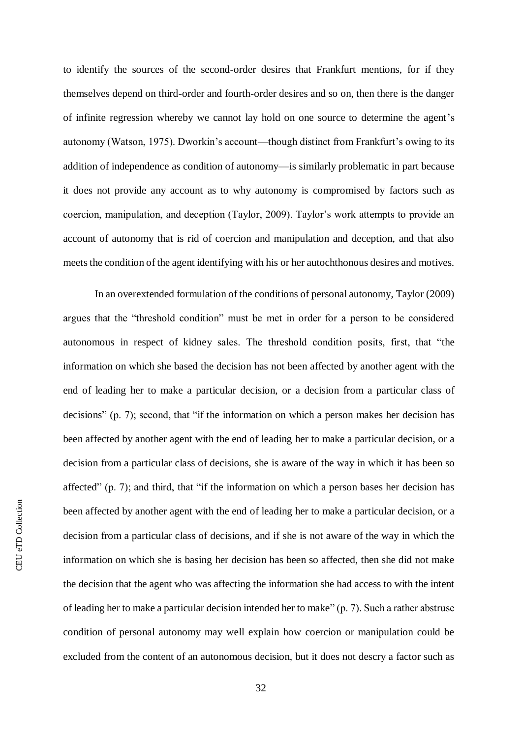to identify the sources of the second-order desires that Frankfurt mentions, for if they themselves depend on third-order and fourth-order desires and so on, then there is the danger of infinite regression whereby we cannot lay hold on one source to determine the agent's autonomy (Watson, 1975). Dworkin's account—though distinct from Frankfurt's owing to its addition of independence as condition of autonomy—is similarly problematic in part because it does not provide any account as to why autonomy is compromised by factors such as coercion, manipulation, and deception (Taylor, 2009). Taylor's work attempts to provide an account of autonomy that is rid of coercion and manipulation and deception, and that also meets the condition of the agent identifying with his or her autochthonous desires and motives.

In an overextended formulation of the conditions of personal autonomy, Taylor (2009) argues that the "threshold condition" must be met in order for a person to be considered autonomous in respect of kidney sales. The threshold condition posits, first, that "the information on which she based the decision has not been affected by another agent with the end of leading her to make a particular decision, or a decision from a particular class of decisions" (p. 7); second, that "if the information on which a person makes her decision has been affected by another agent with the end of leading her to make a particular decision, or a decision from a particular class of decisions, she is aware of the way in which it has been so affected" (p. 7); and third, that "if the information on which a person bases her decision has been affected by another agent with the end of leading her to make a particular decision, or a decision from a particular class of decisions, and if she is not aware of the way in which the information on which she is basing her decision has been so affected, then she did not make the decision that the agent who was affecting the information she had access to with the intent of leading her to make a particular decision intended her to make" (p. 7). Such a rather abstruse condition of personal autonomy may well explain how coercion or manipulation could be excluded from the content of an autonomous decision, but it does not descry a factor such as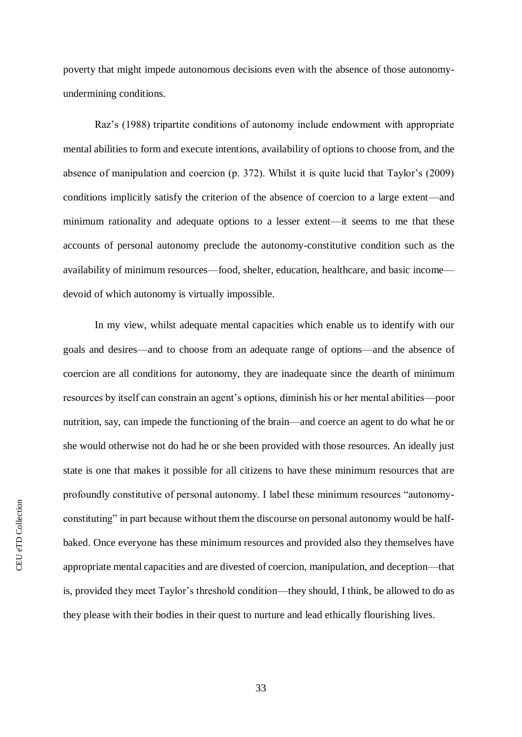poverty that might impede autonomous decisions even with the absence of those autonomyundermining conditions.

Raz's (1988) tripartite conditions of autonomy include endowment with appropriate mental abilities to form and execute intentions, availability of options to choose from, and the absence of manipulation and coercion (p. 372). Whilst it is quite lucid that Taylor's (2009) conditions implicitly satisfy the criterion of the absence of coercion to a large extent—and minimum rationality and adequate options to a lesser extent—it seems to me that these accounts of personal autonomy preclude the autonomy-constitutive condition such as the availability of minimum resources—food, shelter, education, healthcare, and basic income devoid of which autonomy is virtually impossible.

In my view, whilst adequate mental capacities which enable us to identify with our goals and desires—and to choose from an adequate range of options—and the absence of coercion are all conditions for autonomy, they are inadequate since the dearth of minimum resources by itself can constrain an agent's options, diminish his or her mental abilities—poor nutrition, say, can impede the functioning of the brain—and coerce an agent to do what he or she would otherwise not do had he or she been provided with those resources. An ideally just state is one that makes it possible for all citizens to have these minimum resources that are profoundly constitutive of personal autonomy. I label these minimum resources "autonomyconstituting" in part because without them the discourse on personal autonomy would be halfbaked. Once everyone has these minimum resources and provided also they themselves have appropriate mental capacities and are divested of coercion, manipulation, and deception—that is, provided they meet Taylor's threshold condition—they should, I think, be allowed to do as they please with their bodies in their quest to nurture and lead ethically flourishing lives.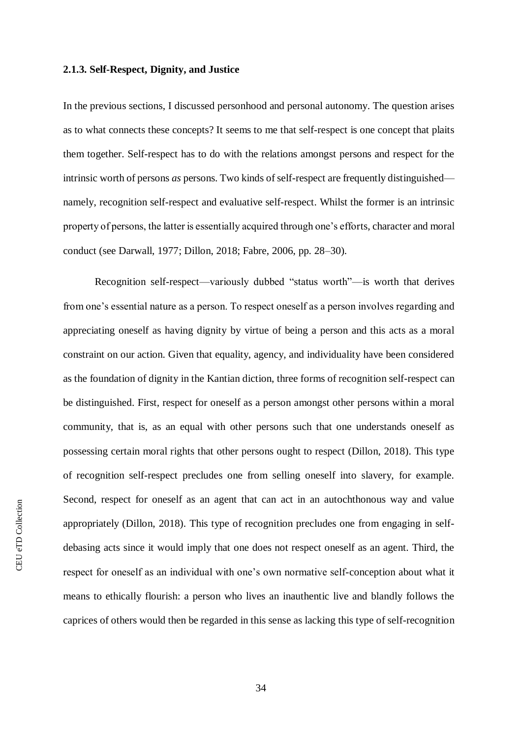### **2.1.3. Self-Respect, Dignity, and Justice**

In the previous sections, I discussed personhood and personal autonomy. The question arises as to what connects these concepts? It seems to me that self-respect is one concept that plaits them together. Self-respect has to do with the relations amongst persons and respect for the intrinsic worth of persons *as* persons. Two kinds of self-respect are frequently distinguished namely, recognition self-respect and evaluative self-respect. Whilst the former is an intrinsic property of persons, the latter is essentially acquired through one's efforts, character and moral conduct (see Darwall, 1977; Dillon, 2018; Fabre, 2006, pp. 28–30).

Recognition self-respect—variously dubbed "status worth"—is worth that derives from one's essential nature as a person. To respect oneself as a person involves regarding and appreciating oneself as having dignity by virtue of being a person and this acts as a moral constraint on our action. Given that equality, agency, and individuality have been considered as the foundation of dignity in the Kantian diction, three forms of recognition self-respect can be distinguished. First, respect for oneself as a person amongst other persons within a moral community, that is, as an equal with other persons such that one understands oneself as possessing certain moral rights that other persons ought to respect (Dillon, 2018). This type of recognition self-respect precludes one from selling oneself into slavery, for example. Second, respect for oneself as an agent that can act in an autochthonous way and value appropriately (Dillon, 2018). This type of recognition precludes one from engaging in selfdebasing acts since it would imply that one does not respect oneself as an agent. Third, the respect for oneself as an individual with one's own normative self-conception about what it means to ethically flourish: a person who lives an inauthentic live and blandly follows the caprices of others would then be regarded in this sense as lacking this type of self-recognition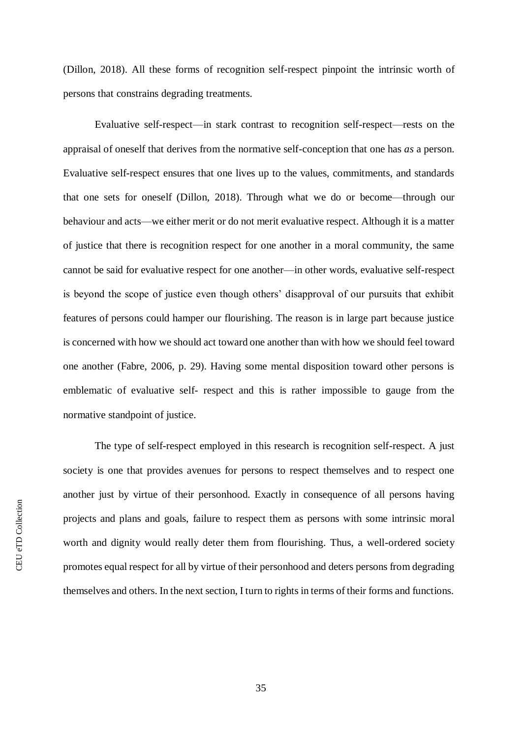(Dillon, 2018). All these forms of recognition self-respect pinpoint the intrinsic worth of persons that constrains degrading treatments.

Evaluative self-respect—in stark contrast to recognition self-respect—rests on the appraisal of oneself that derives from the normative self-conception that one has *as* a person. Evaluative self-respect ensures that one lives up to the values, commitments, and standards that one sets for oneself (Dillon, 2018). Through what we do or become—through our behaviour and acts—we either merit or do not merit evaluative respect. Although it is a matter of justice that there is recognition respect for one another in a moral community, the same cannot be said for evaluative respect for one another—in other words, evaluative self-respect is beyond the scope of justice even though others' disapproval of our pursuits that exhibit features of persons could hamper our flourishing. The reason is in large part because justice is concerned with how we should act toward one another than with how we should feel toward one another (Fabre, 2006, p. 29). Having some mental disposition toward other persons is emblematic of evaluative self- respect and this is rather impossible to gauge from the normative standpoint of justice.

The type of self-respect employed in this research is recognition self-respect. A just society is one that provides avenues for persons to respect themselves and to respect one another just by virtue of their personhood. Exactly in consequence of all persons having projects and plans and goals, failure to respect them as persons with some intrinsic moral worth and dignity would really deter them from flourishing. Thus, a well-ordered society promotes equal respect for all by virtue of their personhood and deters persons from degrading themselves and others. In the next section, I turn to rights in terms of their forms and functions.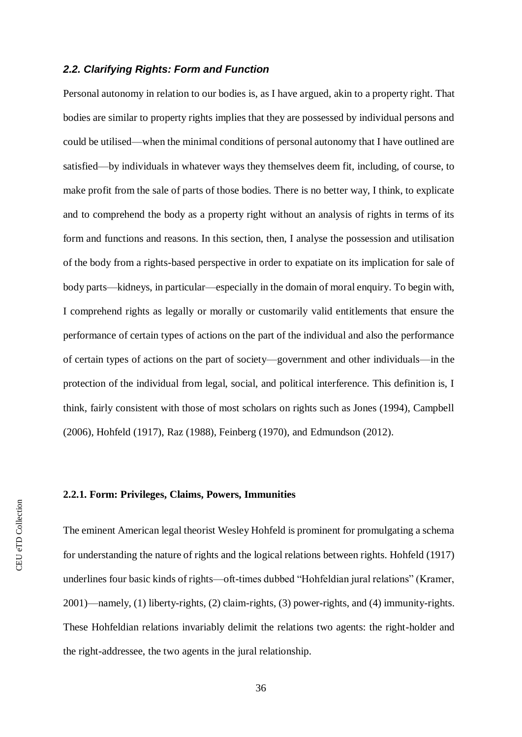# *2.2. Clarifying Rights: Form and Function*

Personal autonomy in relation to our bodies is, as I have argued, akin to a property right. That bodies are similar to property rights implies that they are possessed by individual persons and could be utilised—when the minimal conditions of personal autonomy that I have outlined are satisfied—by individuals in whatever ways they themselves deem fit, including, of course, to make profit from the sale of parts of those bodies. There is no better way, I think, to explicate and to comprehend the body as a property right without an analysis of rights in terms of its form and functions and reasons. In this section, then, I analyse the possession and utilisation of the body from a rights-based perspective in order to expatiate on its implication for sale of body parts—kidneys, in particular—especially in the domain of moral enquiry. To begin with, I comprehend rights as legally or morally or customarily valid entitlements that ensure the performance of certain types of actions on the part of the individual and also the performance of certain types of actions on the part of society—government and other individuals—in the protection of the individual from legal, social, and political interference. This definition is, I think, fairly consistent with those of most scholars on rights such as Jones (1994), Campbell (2006), Hohfeld (1917), Raz (1988), Feinberg (1970), and Edmundson (2012).

# **2.2.1. Form: Privileges, Claims, Powers, Immunities**

The eminent American legal theorist Wesley Hohfeld is prominent for promulgating a schema for understanding the nature of rights and the logical relations between rights. Hohfeld (1917) underlines four basic kinds of rights—oft-times dubbed "Hohfeldian jural relations" (Kramer, 2001)—namely, (1) liberty-rights, (2) claim-rights, (3) power-rights, and (4) immunity-rights. These Hohfeldian relations invariably delimit the relations two agents: the right-holder and the right-addressee, the two agents in the jural relationship.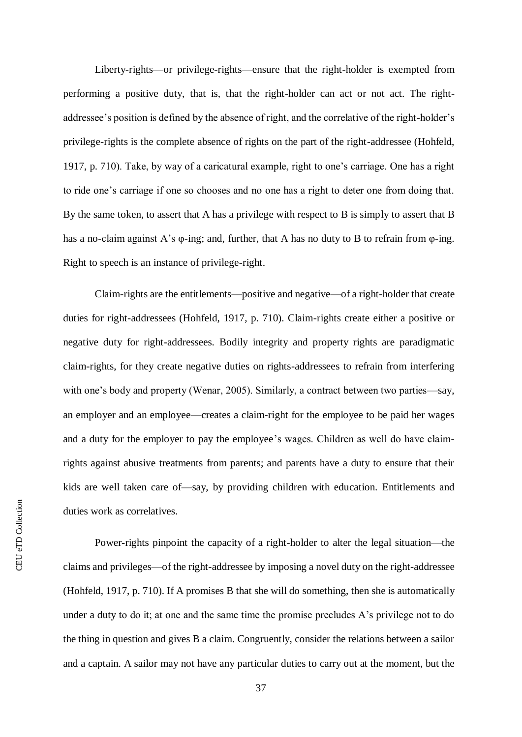Liberty-rights—or privilege-rights—ensure that the right-holder is exempted from performing a positive duty, that is, that the right-holder can act or not act. The rightaddressee's position is defined by the absence of right, and the correlative of the right-holder's privilege-rights is the complete absence of rights on the part of the right-addressee (Hohfeld, 1917, p. 710). Take, by way of a caricatural example, right to one's carriage. One has a right to ride one's carriage if one so chooses and no one has a right to deter one from doing that. By the same token, to assert that A has a privilege with respect to B is simply to assert that B has a no-claim against A's φ-ing; and, further, that A has no duty to B to refrain from φ-ing. Right to speech is an instance of privilege-right.

Claim-rights are the entitlements—positive and negative—of a right-holder that create duties for right-addressees (Hohfeld, 1917, p. 710). Claim-rights create either a positive or negative duty for right-addressees. Bodily integrity and property rights are paradigmatic claim-rights, for they create negative duties on rights-addressees to refrain from interfering with one's body and property (Wenar, 2005). Similarly, a contract between two parties—say, an employer and an employee—creates a claim-right for the employee to be paid her wages and a duty for the employer to pay the employee's wages. Children as well do have claimrights against abusive treatments from parents; and parents have a duty to ensure that their kids are well taken care of—say, by providing children with education. Entitlements and duties work as correlatives.

Power**-**rights pinpoint the capacity of a right-holder to alter the legal situation—the claims and privileges—of the right-addressee by imposing a novel duty on the right-addressee (Hohfeld, 1917, p. 710). If A promises B that she will do something, then she is automatically under a duty to do it; at one and the same time the promise precludes A's privilege not to do the thing in question and gives B a claim. Congruently, consider the relations between a sailor and a captain. A sailor may not have any particular duties to carry out at the moment, but the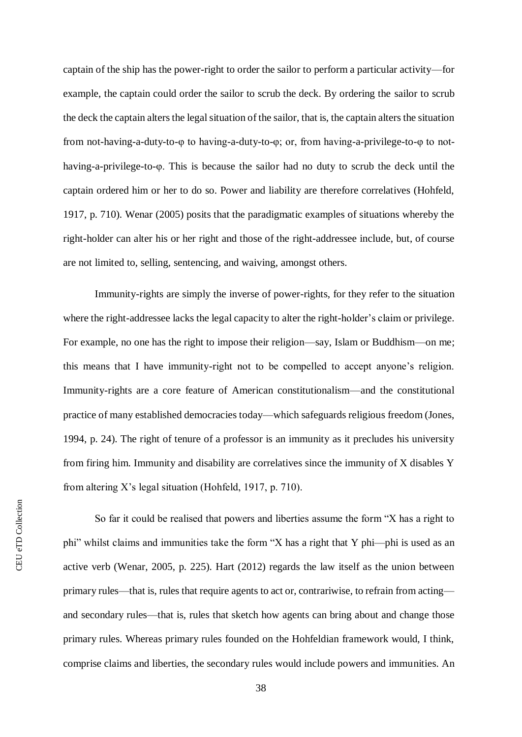captain of the ship has the power-right to order the sailor to perform a particular activity—for example, the captain could order the sailor to scrub the deck. By ordering the sailor to scrub the deck the captain alters the legal situation of the sailor, that is, the captain alters the situation from not-having-a-duty-to-φ to having-a-duty-to-φ; or, from having-a-privilege-to-φ to nothaving-a-privilege-to-φ. This is because the sailor had no duty to scrub the deck until the captain ordered him or her to do so. Power and liability are therefore correlatives (Hohfeld, 1917, p. 710). Wenar (2005) posits that the paradigmatic examples of situations whereby the right-holder can alter his or her right and those of the right-addressee include, but, of course are not limited to, selling, sentencing, and waiving, amongst others.

Immunity-rights are simply the inverse of power-rights, for they refer to the situation where the right-addressee lacks the legal capacity to alter the right-holder's claim or privilege. For example, no one has the right to impose their religion—say, Islam or Buddhism—on me; this means that I have immunity-right not to be compelled to accept anyone's religion. Immunity-rights are a core feature of American constitutionalism—and the constitutional practice of many established democracies today—which safeguards religious freedom (Jones, 1994, p. 24). The right of tenure of a professor is an immunity as it precludes his university from firing him. Immunity and disability are correlatives since the immunity of X disables Y from altering X's legal situation (Hohfeld, 1917, p. 710).

So far it could be realised that powers and liberties assume the form "X has a right to phi" whilst claims and immunities take the form "X has a right that Y phi—phi is used as an active verb (Wenar, 2005, p. 225). Hart (2012) regards the law itself as the union between primary rules—that is, rules that require agents to act or, contrariwise, to refrain from acting and secondary rules—that is, rules that sketch how agents can bring about and change those primary rules. Whereas primary rules founded on the Hohfeldian framework would, I think, comprise claims and liberties, the secondary rules would include powers and immunities. An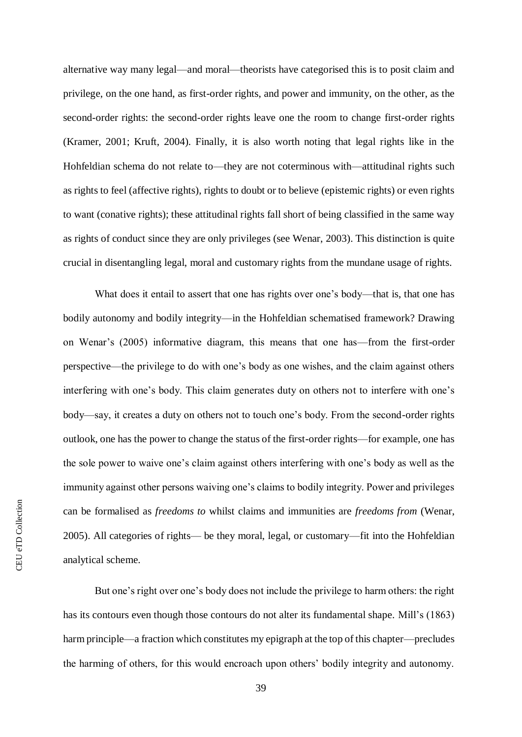alternative way many legal—and moral—theorists have categorised this is to posit claim and privilege, on the one hand, as first-order rights, and power and immunity, on the other, as the second-order rights: the second-order rights leave one the room to change first-order rights (Kramer, 2001; Kruft, 2004). Finally, it is also worth noting that legal rights like in the Hohfeldian schema do not relate to—they are not coterminous with—attitudinal rights such as rights to feel (affective rights), rights to doubt or to believe (epistemic rights) or even rights to want (conative rights); these attitudinal rights fall short of being classified in the same way as rights of conduct since they are only privileges (see Wenar, 2003). This distinction is quite crucial in disentangling legal, moral and customary rights from the mundane usage of rights.

What does it entail to assert that one has rights over one's body—that is, that one has bodily autonomy and bodily integrity—in the Hohfeldian schematised framework? Drawing on Wenar's (2005) informative diagram, this means that one has—from the first-order perspective—the privilege to do with one's body as one wishes, and the claim against others interfering with one's body. This claim generates duty on others not to interfere with one's body—say, it creates a duty on others not to touch one's body. From the second-order rights outlook, one has the power to change the status of the first-order rights—for example, one has the sole power to waive one's claim against others interfering with one's body as well as the immunity against other persons waiving one's claims to bodily integrity. Power and privileges can be formalised as *freedoms to* whilst claims and immunities are *freedoms from* (Wenar, 2005). All categories of rights— be they moral, legal, or customary—fit into the Hohfeldian analytical scheme.

But one's right over one's body does not include the privilege to harm others: the right has its contours even though those contours do not alter its fundamental shape. Mill's (1863) harm principle—a fraction which constitutes my epigraph at the top of this chapter—precludes the harming of others, for this would encroach upon others' bodily integrity and autonomy.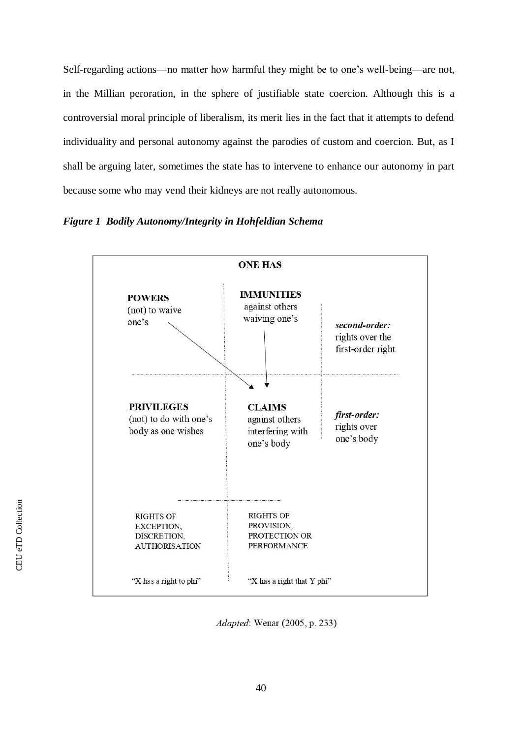Self-regarding actions—no matter how harmful they might be to one's well-being—are not, in the Millian peroration, in the sphere of justifiable state coercion. Although this is a controversial moral principle of liberalism, its merit lies in the fact that it attempts to defend individuality and personal autonomy against the parodies of custom and coercion. But, as I shall be arguing later, sometimes the state has to intervene to enhance our autonomy in part because some who may vend their kidneys are not really autonomous.

*Figure 1 Bodily Autonomy/Integrity in Hohfeldian Schema*



Adapted: Wenar (2005, p. 233)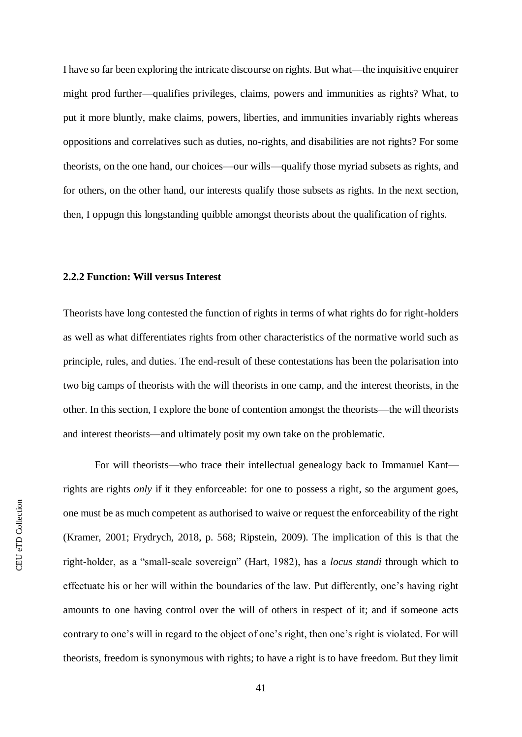I have so far been exploring the intricate discourse on rights. But what—the inquisitive enquirer might prod further—qualifies privileges, claims, powers and immunities as rights? What, to put it more bluntly, make claims, powers, liberties, and immunities invariably rights whereas oppositions and correlatives such as duties, no-rights, and disabilities are not rights? For some theorists, on the one hand, our choices—our wills—qualify those myriad subsets as rights, and for others, on the other hand, our interests qualify those subsets as rights. In the next section, then, I oppugn this longstanding quibble amongst theorists about the qualification of rights.

# **2.2.2 Function: Will versus Interest**

Theorists have long contested the function of rights in terms of what rights do for right-holders as well as what differentiates rights from other characteristics of the normative world such as principle, rules, and duties. The end-result of these contestations has been the polarisation into two big camps of theorists with the will theorists in one camp, and the interest theorists, in the other. In this section, I explore the bone of contention amongst the theorists—the will theorists and interest theorists—and ultimately posit my own take on the problematic.

For will theorists—who trace their intellectual genealogy back to Immanuel Kant rights are rights *only* if it they enforceable: for one to possess a right, so the argument goes, one must be as much competent as authorised to waive or request the enforceability of the right (Kramer, 2001; Frydrych, 2018, p. 568; Ripstein, 2009). The implication of this is that the right-holder, as a "small-scale sovereign" (Hart, 1982), has a *locus standi* through which to effectuate his or her will within the boundaries of the law. Put differently, one's having right amounts to one having control over the will of others in respect of it; and if someone acts contrary to one's will in regard to the object of one's right, then one's right is violated. For will theorists, freedom is synonymous with rights; to have a right is to have freedom. But they limit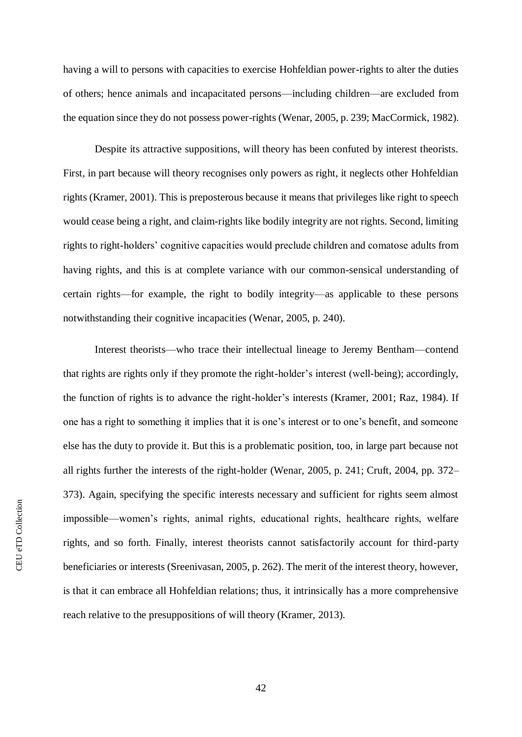having a will to persons with capacities to exercise Hohfeldian power-rights to alter the duties of others; hence animals and incapacitated persons—including children—are excluded from the equation since they do not possess power-rights (Wenar, 2005, p. 239; MacCormick, 1982).

Despite its attractive suppositions, will theory has been confuted by interest theorists. First, in part because will theory recognises only powers as right, it neglects other Hohfeldian rights (Kramer, 2001). This is preposterous because it means that privileges like right to speech would cease being a right, and claim-rights like bodily integrity are not rights. Second, limiting rights to right-holders' cognitive capacities would preclude children and comatose adults from having rights, and this is at complete variance with our common-sensical understanding of certain rights—for example, the right to bodily integrity—as applicable to these persons notwithstanding their cognitive incapacities (Wenar, 2005, p. 240).

Interest theorists—who trace their intellectual lineage to Jeremy Bentham—contend that rights are rights only if they promote the right-holder's interest (well-being); accordingly, the function of rights is to advance the right-holder's interests (Kramer, 2001; Raz, 1984). If one has a right to something it implies that it is one's interest or to one's benefit, and someone else has the duty to provide it. But this is a problematic position, too, in large part because not all rights further the interests of the right-holder (Wenar, 2005, p. 241; Cruft, 2004, pp. 372– 373). Again, specifying the specific interests necessary and sufficient for rights seem almost impossible—women's rights, animal rights, educational rights, healthcare rights, welfare rights, and so forth. Finally, interest theorists cannot satisfactorily account for third-party beneficiaries or interests (Sreenivasan, 2005, p. 262). The merit of the interest theory, however, is that it can embrace all Hohfeldian relations; thus, it intrinsically has a more comprehensive reach relative to the presuppositions of will theory (Kramer, 2013).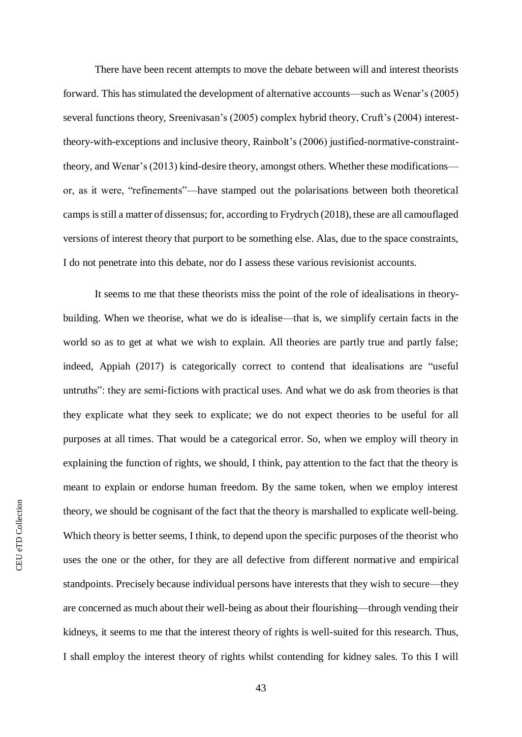There have been recent attempts to move the debate between will and interest theorists forward. This has stimulated the development of alternative accounts—such as Wenar's (2005) several functions theory, Sreenivasan's (2005) complex hybrid theory, Cruft's (2004) interesttheory-with-exceptions and inclusive theory, Rainbolt's (2006) justified-normative-constrainttheory, and Wenar's (2013) kind-desire theory, amongst others. Whether these modifications or, as it were, "refinements"—have stamped out the polarisations between both theoretical camps is still a matter of dissensus; for, according to Frydrych (2018), these are all camouflaged versions of interest theory that purport to be something else. Alas, due to the space constraints, I do not penetrate into this debate, nor do I assess these various revisionist accounts.

It seems to me that these theorists miss the point of the role of idealisations in theorybuilding. When we theorise, what we do is idealise—that is, we simplify certain facts in the world so as to get at what we wish to explain. All theories are partly true and partly false; indeed, Appiah (2017) is categorically correct to contend that idealisations are "useful untruths": they are semi-fictions with practical uses. And what we do ask from theories is that they explicate what they seek to explicate; we do not expect theories to be useful for all purposes at all times. That would be a categorical error. So, when we employ will theory in explaining the function of rights, we should, I think, pay attention to the fact that the theory is meant to explain or endorse human freedom. By the same token, when we employ interest theory, we should be cognisant of the fact that the theory is marshalled to explicate well-being. Which theory is better seems, I think, to depend upon the specific purposes of the theorist who uses the one or the other, for they are all defective from different normative and empirical standpoints. Precisely because individual persons have interests that they wish to secure—they are concerned as much about their well-being as about their flourishing—through vending their kidneys, it seems to me that the interest theory of rights is well-suited for this research. Thus, I shall employ the interest theory of rights whilst contending for kidney sales. To this I will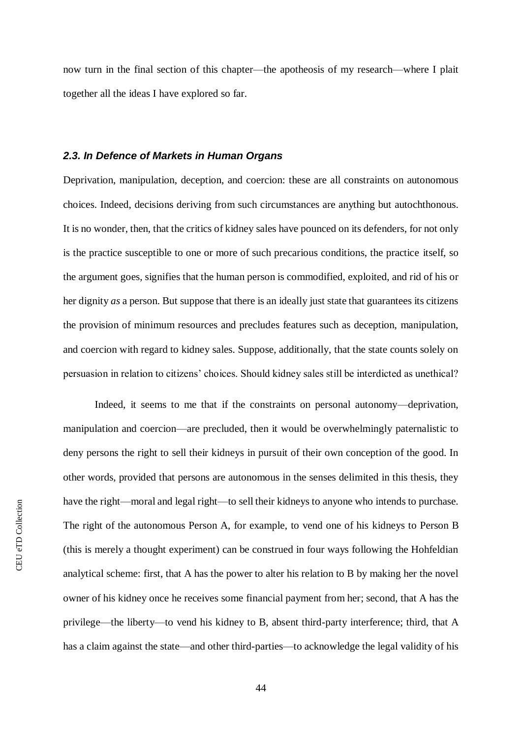now turn in the final section of this chapter—the apotheosis of my research—where I plait together all the ideas I have explored so far.

## *2.3. In Defence of Markets in Human Organs*

Deprivation, manipulation, deception, and coercion: these are all constraints on autonomous choices. Indeed, decisions deriving from such circumstances are anything but autochthonous. It is no wonder, then, that the critics of kidney sales have pounced on its defenders, for not only is the practice susceptible to one or more of such precarious conditions, the practice itself, so the argument goes, signifies that the human person is commodified, exploited, and rid of his or her dignity *as* a person. But suppose that there is an ideally just state that guarantees its citizens the provision of minimum resources and precludes features such as deception, manipulation, and coercion with regard to kidney sales. Suppose, additionally, that the state counts solely on persuasion in relation to citizens' choices. Should kidney sales still be interdicted as unethical?

Indeed, it seems to me that if the constraints on personal autonomy—deprivation, manipulation and coercion—are precluded, then it would be overwhelmingly paternalistic to deny persons the right to sell their kidneys in pursuit of their own conception of the good. In other words, provided that persons are autonomous in the senses delimited in this thesis, they have the right—moral and legal right—to sell their kidneys to anyone who intends to purchase. The right of the autonomous Person A, for example, to vend one of his kidneys to Person B (this is merely a thought experiment) can be construed in four ways following the Hohfeldian analytical scheme: first, that A has the power to alter his relation to B by making her the novel owner of his kidney once he receives some financial payment from her; second, that A has the privilege—the liberty—to vend his kidney to B, absent third-party interference; third, that A has a claim against the state—and other third-parties—to acknowledge the legal validity of his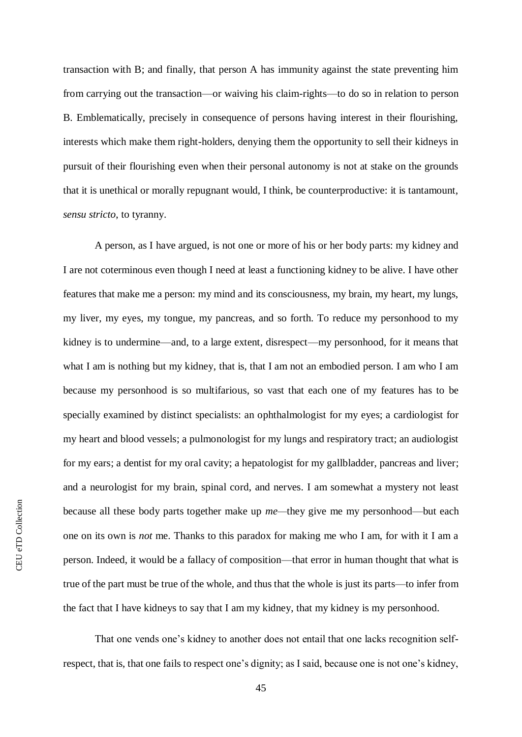transaction with B; and finally, that person A has immunity against the state preventing him from carrying out the transaction—or waiving his claim-rights—to do so in relation to person B. Emblematically, precisely in consequence of persons having interest in their flourishing, interests which make them right-holders, denying them the opportunity to sell their kidneys in pursuit of their flourishing even when their personal autonomy is not at stake on the grounds that it is unethical or morally repugnant would, I think, be counterproductive: it is tantamount, *sensu stricto*, to tyranny.

A person, as I have argued, is not one or more of his or her body parts: my kidney and I are not coterminous even though I need at least a functioning kidney to be alive. I have other features that make me a person: my mind and its consciousness, my brain, my heart, my lungs, my liver, my eyes, my tongue, my pancreas, and so forth. To reduce my personhood to my kidney is to undermine—and, to a large extent, disrespect—my personhood, for it means that what I am is nothing but my kidney, that is, that I am not an embodied person. I am who I am because my personhood is so multifarious, so vast that each one of my features has to be specially examined by distinct specialists: an ophthalmologist for my eyes; a cardiologist for my heart and blood vessels; a pulmonologist for my lungs and respiratory tract; an audiologist for my ears; a dentist for my oral cavity; a hepatologist for my gallbladder, pancreas and liver; and a neurologist for my brain, spinal cord, and nerves. I am somewhat a mystery not least because all these body parts together make up *me—*they give me my personhood—but each one on its own is *not* me. Thanks to this paradox for making me who I am, for with it I am a person. Indeed, it would be a fallacy of composition—that error in human thought that what is true of the part must be true of the whole, and thus that the whole is just its parts—to infer from the fact that I have kidneys to say that I am my kidney, that my kidney is my personhood.

That one vends one's kidney to another does not entail that one lacks recognition selfrespect, that is, that one fails to respect one's dignity; as I said, because one is not one's kidney,

45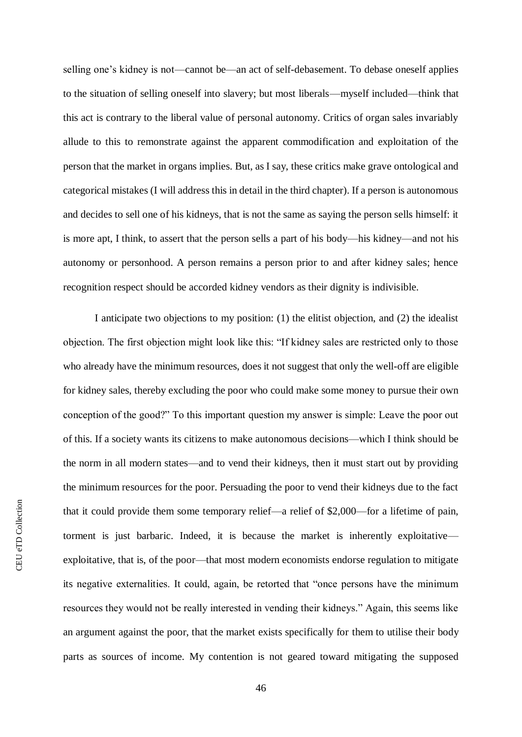selling one's kidney is not—cannot be—an act of self-debasement. To debase oneself applies to the situation of selling oneself into slavery; but most liberals—myself included—think that this act is contrary to the liberal value of personal autonomy. Critics of organ sales invariably allude to this to remonstrate against the apparent commodification and exploitation of the person that the market in organs implies. But, as I say, these critics make grave ontological and categorical mistakes (I will address this in detail in the third chapter). If a person is autonomous and decides to sell one of his kidneys, that is not the same as saying the person sells himself: it is more apt, I think, to assert that the person sells a part of his body—his kidney—and not his autonomy or personhood. A person remains a person prior to and after kidney sales; hence recognition respect should be accorded kidney vendors as their dignity is indivisible.

I anticipate two objections to my position: (1) the elitist objection, and (2) the idealist objection. The first objection might look like this: "If kidney sales are restricted only to those who already have the minimum resources, does it not suggest that only the well-off are eligible for kidney sales, thereby excluding the poor who could make some money to pursue their own conception of the good?" To this important question my answer is simple: Leave the poor out of this. If a society wants its citizens to make autonomous decisions—which I think should be the norm in all modern states—and to vend their kidneys, then it must start out by providing the minimum resources for the poor. Persuading the poor to vend their kidneys due to the fact that it could provide them some temporary relief—a relief of \$2,000—for a lifetime of pain, torment is just barbaric. Indeed, it is because the market is inherently exploitative exploitative, that is, of the poor—that most modern economists endorse regulation to mitigate its negative externalities. It could, again, be retorted that "once persons have the minimum resources they would not be really interested in vending their kidneys." Again, this seems like an argument against the poor, that the market exists specifically for them to utilise their body parts as sources of income. My contention is not geared toward mitigating the supposed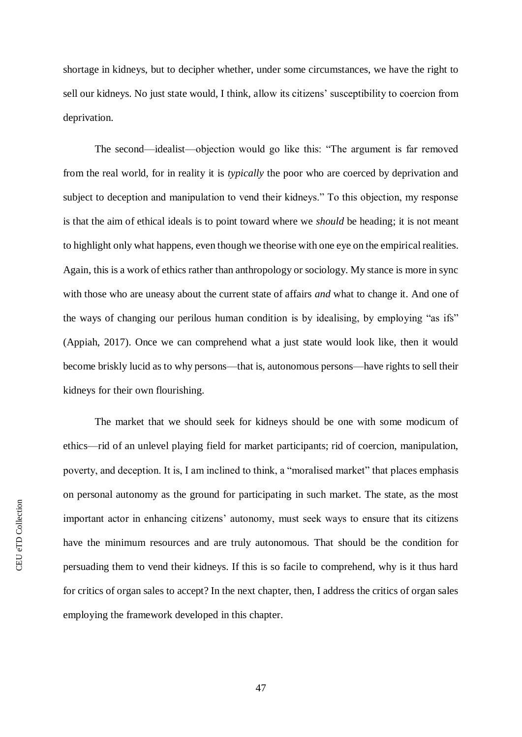shortage in kidneys, but to decipher whether, under some circumstances, we have the right to sell our kidneys. No just state would, I think, allow its citizens' susceptibility to coercion from deprivation.

The second—idealist—objection would go like this: "The argument is far removed from the real world, for in reality it is *typically* the poor who are coerced by deprivation and subject to deception and manipulation to vend their kidneys." To this objection, my response is that the aim of ethical ideals is to point toward where we *should* be heading; it is not meant to highlight only what happens, even though we theorise with one eye on the empirical realities. Again, this is a work of ethics rather than anthropology or sociology. My stance is more in sync with those who are uneasy about the current state of affairs *and* what to change it. And one of the ways of changing our perilous human condition is by idealising, by employing "as ifs" (Appiah, 2017). Once we can comprehend what a just state would look like, then it would become briskly lucid as to why persons—that is, autonomous persons—have rights to sell their kidneys for their own flourishing.

The market that we should seek for kidneys should be one with some modicum of ethics—rid of an unlevel playing field for market participants; rid of coercion, manipulation, poverty, and deception. It is, I am inclined to think, a "moralised market" that places emphasis on personal autonomy as the ground for participating in such market. The state, as the most important actor in enhancing citizens' autonomy, must seek ways to ensure that its citizens have the minimum resources and are truly autonomous. That should be the condition for persuading them to vend their kidneys. If this is so facile to comprehend, why is it thus hard for critics of organ sales to accept? In the next chapter, then, I address the critics of organ sales employing the framework developed in this chapter.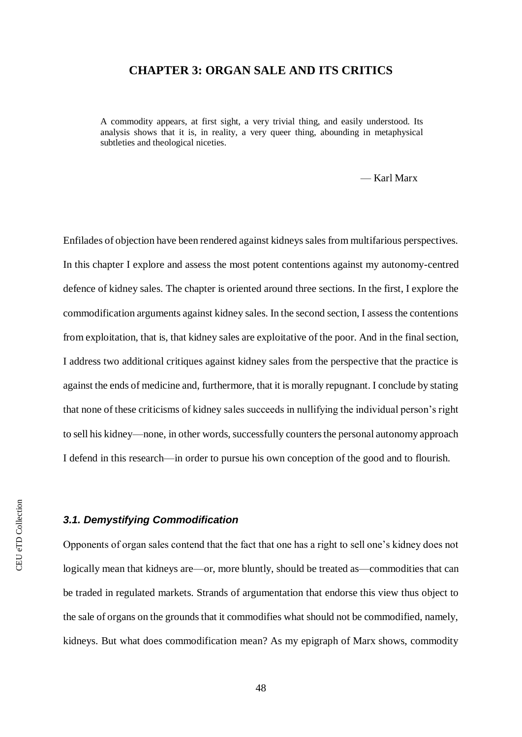# **CHAPTER 3: ORGAN SALE AND ITS CRITICS**

A commodity appears, at first sight, a very trivial thing, and easily understood. Its analysis shows that it is, in reality, a very queer thing, abounding in metaphysical subtleties and theological niceties.

— Karl Marx

Enfilades of objection have been rendered against kidneys sales from multifarious perspectives. In this chapter I explore and assess the most potent contentions against my autonomy-centred defence of kidney sales. The chapter is oriented around three sections. In the first, I explore the commodification arguments against kidney sales. In the second section, I assess the contentions from exploitation, that is, that kidney sales are exploitative of the poor. And in the final section, I address two additional critiques against kidney sales from the perspective that the practice is against the ends of medicine and, furthermore, that it is morally repugnant. I conclude by stating that none of these criticisms of kidney sales succeeds in nullifying the individual person's right to sell his kidney—none, in other words, successfully counters the personal autonomy approach I defend in this research—in order to pursue his own conception of the good and to flourish.

#### *3.1. Demystifying Commodification*

Opponents of organ sales contend that the fact that one has a right to sell one's kidney does not logically mean that kidneys are—or, more bluntly, should be treated as—commodities that can be traded in regulated markets. Strands of argumentation that endorse this view thus object to the sale of organs on the grounds that it commodifies what should not be commodified, namely, kidneys. But what does commodification mean? As my epigraph of Marx shows, commodity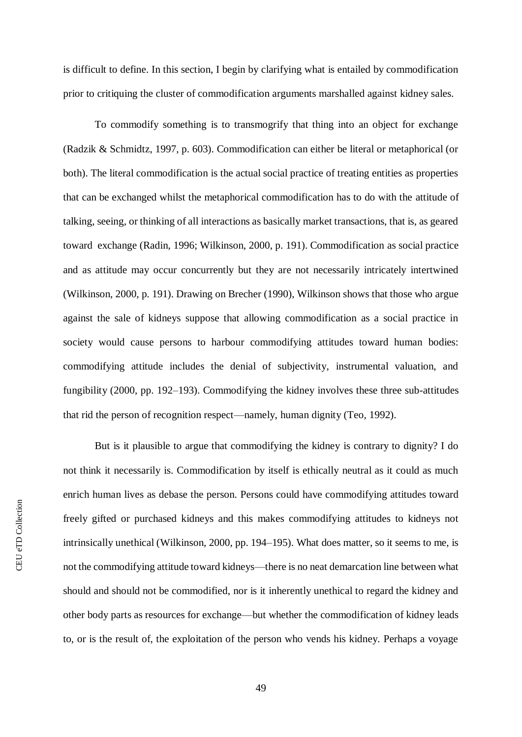is difficult to define. In this section, I begin by clarifying what is entailed by commodification prior to critiquing the cluster of commodification arguments marshalled against kidney sales.

To commodify something is to transmogrify that thing into an object for exchange (Radzik & Schmidtz, 1997, p. 603). Commodification can either be literal or metaphorical (or both). The literal commodification is the actual social practice of treating entities as properties that can be exchanged whilst the metaphorical commodification has to do with the attitude of talking, seeing, or thinking of all interactions as basically market transactions, that is, as geared toward exchange (Radin, 1996; Wilkinson, 2000, p. 191). Commodification as social practice and as attitude may occur concurrently but they are not necessarily intricately intertwined (Wilkinson, 2000, p. 191). Drawing on Brecher (1990), Wilkinson shows that those who argue against the sale of kidneys suppose that allowing commodification as a social practice in society would cause persons to harbour commodifying attitudes toward human bodies: commodifying attitude includes the denial of subjectivity, instrumental valuation, and fungibility (2000, pp. 192–193). Commodifying the kidney involves these three sub-attitudes that rid the person of recognition respect—namely, human dignity (Teo, 1992).

But is it plausible to argue that commodifying the kidney is contrary to dignity? I do not think it necessarily is. Commodification by itself is ethically neutral as it could as much enrich human lives as debase the person. Persons could have commodifying attitudes toward freely gifted or purchased kidneys and this makes commodifying attitudes to kidneys not intrinsically unethical (Wilkinson, 2000, pp. 194–195). What does matter, so it seems to me, is not the commodifying attitude toward kidneys—there is no neat demarcation line between what should and should not be commodified, nor is it inherently unethical to regard the kidney and other body parts as resources for exchange—but whether the commodification of kidney leads to, or is the result of, the exploitation of the person who vends his kidney. Perhaps a voyage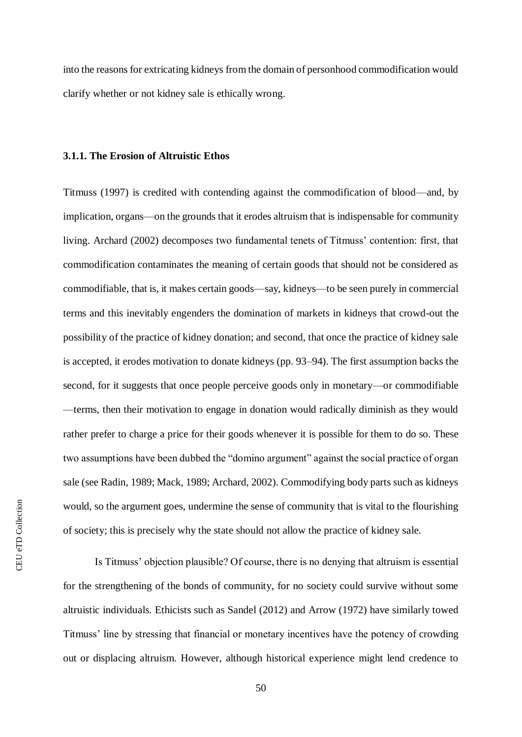into the reasons for extricating kidneys from the domain of personhood commodification would clarify whether or not kidney sale is ethically wrong.

### **3.1.1. The Erosion of Altruistic Ethos**

Titmuss (1997) is credited with contending against the commodification of blood—and, by implication, organs—on the grounds that it erodes altruism that is indispensable for community living. Archard (2002) decomposes two fundamental tenets of Titmuss' contention: first, that commodification contaminates the meaning of certain goods that should not be considered as commodifiable, that is, it makes certain goods—say, kidneys—to be seen purely in commercial terms and this inevitably engenders the domination of markets in kidneys that crowd-out the possibility of the practice of kidney donation; and second, that once the practice of kidney sale is accepted, it erodes motivation to donate kidneys (pp. 93–94). The first assumption backs the second, for it suggests that once people perceive goods only in monetary—or commodifiable —terms, then their motivation to engage in donation would radically diminish as they would rather prefer to charge a price for their goods whenever it is possible for them to do so. These two assumptions have been dubbed the "domino argument" against the social practice of organ sale (see Radin, 1989; Mack, 1989; Archard, 2002). Commodifying body parts such as kidneys would, so the argument goes, undermine the sense of community that is vital to the flourishing of society; this is precisely why the state should not allow the practice of kidney sale.

Is Titmuss' objection plausible? Of course, there is no denying that altruism is essential for the strengthening of the bonds of community, for no society could survive without some altruistic individuals. Ethicists such as Sandel (2012) and Arrow (1972) have similarly towed Titmuss' line by stressing that financial or monetary incentives have the potency of crowding out or displacing altruism. However, although historical experience might lend credence to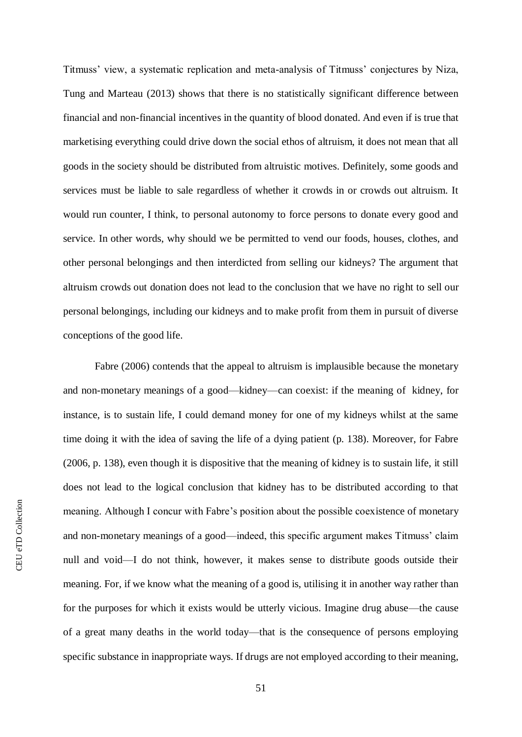Titmuss' view, a systematic replication and meta-analysis of Titmuss' conjectures by Niza, Tung and Marteau (2013) shows that there is no statistically significant difference between financial and non-financial incentives in the quantity of blood donated. And even if is true that marketising everything could drive down the social ethos of altruism, it does not mean that all goods in the society should be distributed from altruistic motives. Definitely, some goods and services must be liable to sale regardless of whether it crowds in or crowds out altruism. It would run counter, I think, to personal autonomy to force persons to donate every good and service. In other words, why should we be permitted to vend our foods, houses, clothes, and other personal belongings and then interdicted from selling our kidneys? The argument that altruism crowds out donation does not lead to the conclusion that we have no right to sell our personal belongings, including our kidneys and to make profit from them in pursuit of diverse conceptions of the good life.

Fabre (2006) contends that the appeal to altruism is implausible because the monetary and non-monetary meanings of a good—kidney—can coexist: if the meaning of kidney, for instance, is to sustain life, I could demand money for one of my kidneys whilst at the same time doing it with the idea of saving the life of a dying patient (p. 138). Moreover, for Fabre (2006, p. 138), even though it is dispositive that the meaning of kidney is to sustain life, it still does not lead to the logical conclusion that kidney has to be distributed according to that meaning. Although I concur with Fabre's position about the possible coexistence of monetary and non-monetary meanings of a good—indeed, this specific argument makes Titmuss' claim null and void—I do not think, however, it makes sense to distribute goods outside their meaning. For, if we know what the meaning of a good is, utilising it in another way rather than for the purposes for which it exists would be utterly vicious. Imagine drug abuse—the cause of a great many deaths in the world today—that is the consequence of persons employing specific substance in inappropriate ways. If drugs are not employed according to their meaning,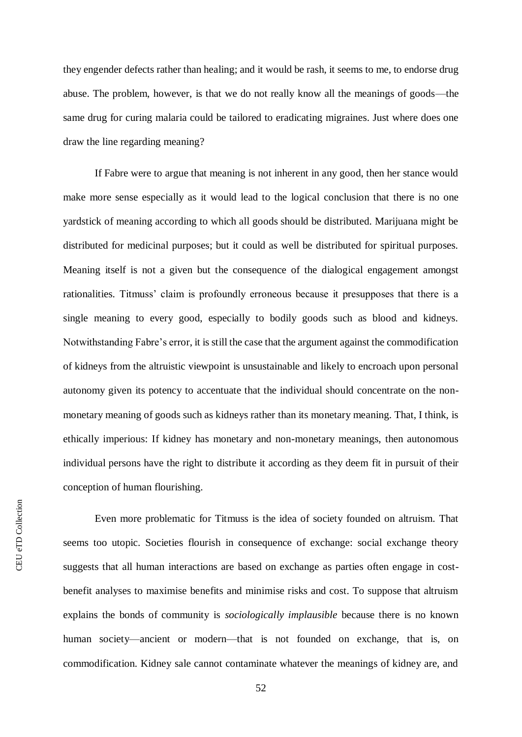they engender defects rather than healing; and it would be rash, it seems to me, to endorse drug abuse. The problem, however, is that we do not really know all the meanings of goods—the same drug for curing malaria could be tailored to eradicating migraines. Just where does one draw the line regarding meaning?

If Fabre were to argue that meaning is not inherent in any good, then her stance would make more sense especially as it would lead to the logical conclusion that there is no one yardstick of meaning according to which all goods should be distributed. Marijuana might be distributed for medicinal purposes; but it could as well be distributed for spiritual purposes. Meaning itself is not a given but the consequence of the dialogical engagement amongst rationalities. Titmuss' claim is profoundly erroneous because it presupposes that there is a single meaning to every good, especially to bodily goods such as blood and kidneys. Notwithstanding Fabre's error, it is still the case that the argument against the commodification of kidneys from the altruistic viewpoint is unsustainable and likely to encroach upon personal autonomy given its potency to accentuate that the individual should concentrate on the nonmonetary meaning of goods such as kidneys rather than its monetary meaning. That, I think, is ethically imperious: If kidney has monetary and non-monetary meanings, then autonomous individual persons have the right to distribute it according as they deem fit in pursuit of their conception of human flourishing.

Even more problematic for Titmuss is the idea of society founded on altruism. That seems too utopic. Societies flourish in consequence of exchange: social exchange theory suggests that all human interactions are based on exchange as parties often engage in costbenefit analyses to maximise benefits and minimise risks and cost. To suppose that altruism explains the bonds of community is *sociologically implausible* because there is no known human society—ancient or modern—that is not founded on exchange, that is, on commodification. Kidney sale cannot contaminate whatever the meanings of kidney are, and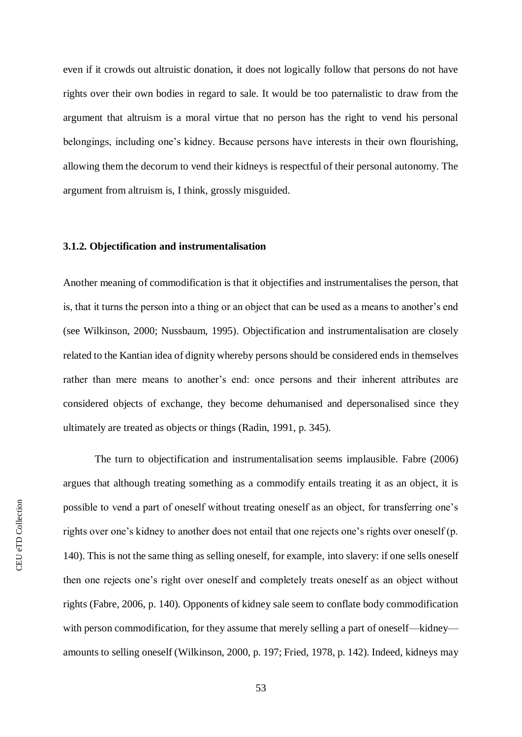even if it crowds out altruistic donation, it does not logically follow that persons do not have rights over their own bodies in regard to sale. It would be too paternalistic to draw from the argument that altruism is a moral virtue that no person has the right to vend his personal belongings, including one's kidney. Because persons have interests in their own flourishing, allowing them the decorum to vend their kidneys is respectful of their personal autonomy. The argument from altruism is, I think, grossly misguided.

# **3.1.2. Objectification and instrumentalisation**

Another meaning of commodification is that it objectifies and instrumentalises the person, that is, that it turns the person into a thing or an object that can be used as a means to another's end (see Wilkinson, 2000; Nussbaum, 1995). Objectification and instrumentalisation are closely related to the Kantian idea of dignity whereby persons should be considered ends in themselves rather than mere means to another's end: once persons and their inherent attributes are considered objects of exchange, they become dehumanised and depersonalised since they ultimately are treated as objects or things (Radin, 1991, p. 345).

The turn to objectification and instrumentalisation seems implausible. Fabre (2006) argues that although treating something as a commodify entails treating it as an object, it is possible to vend a part of oneself without treating oneself as an object, for transferring one's rights over one's kidney to another does not entail that one rejects one's rights over oneself (p. 140). This is not the same thing as selling oneself, for example, into slavery: if one sells oneself then one rejects one's right over oneself and completely treats oneself as an object without rights (Fabre, 2006, p. 140). Opponents of kidney sale seem to conflate body commodification with person commodification, for they assume that merely selling a part of oneself—kidney amounts to selling oneself (Wilkinson, 2000, p. 197; Fried, 1978, p. 142). Indeed, kidneys may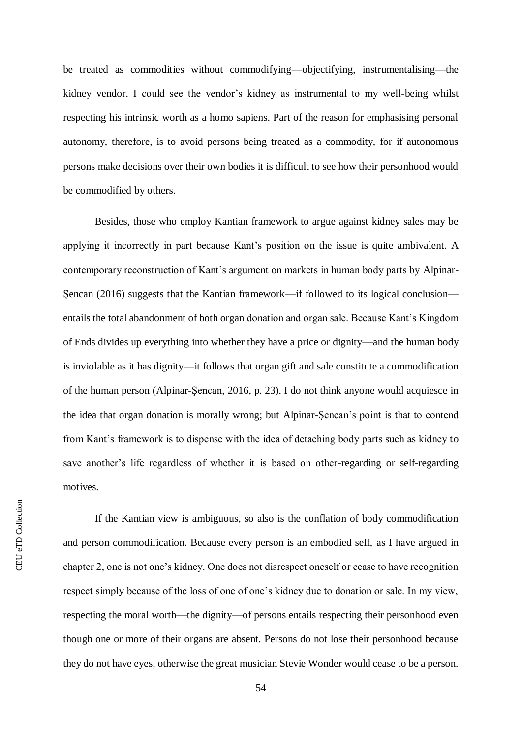be treated as commodities without commodifying—objectifying, instrumentalising—the kidney vendor. I could see the vendor's kidney as instrumental to my well-being whilst respecting his intrinsic worth as a homo sapiens. Part of the reason for emphasising personal autonomy, therefore, is to avoid persons being treated as a commodity, for if autonomous persons make decisions over their own bodies it is difficult to see how their personhood would be commodified by others.

Besides, those who employ Kantian framework to argue against kidney sales may be applying it incorrectly in part because Kant's position on the issue is quite ambivalent. A contemporary reconstruction of Kant's argument on markets in human body parts by Alpinar-Şencan (2016) suggests that the Kantian framework—if followed to its logical conclusion entails the total abandonment of both organ donation and organ sale. Because Kant's Kingdom of Ends divides up everything into whether they have a price or dignity—and the human body is inviolable as it has dignity—it follows that organ gift and sale constitute a commodification of the human person (Alpinar-Şencan, 2016, p. 23). I do not think anyone would acquiesce in the idea that organ donation is morally wrong; but Alpinar-Şencan's point is that to contend from Kant's framework is to dispense with the idea of detaching body parts such as kidney to save another's life regardless of whether it is based on other-regarding or self-regarding motives.

If the Kantian view is ambiguous, so also is the conflation of body commodification and person commodification. Because every person is an embodied self, as I have argued in chapter 2, one is not one's kidney. One does not disrespect oneself or cease to have recognition respect simply because of the loss of one of one's kidney due to donation or sale. In my view, respecting the moral worth—the dignity—of persons entails respecting their personhood even though one or more of their organs are absent. Persons do not lose their personhood because they do not have eyes, otherwise the great musician Stevie Wonder would cease to be a person.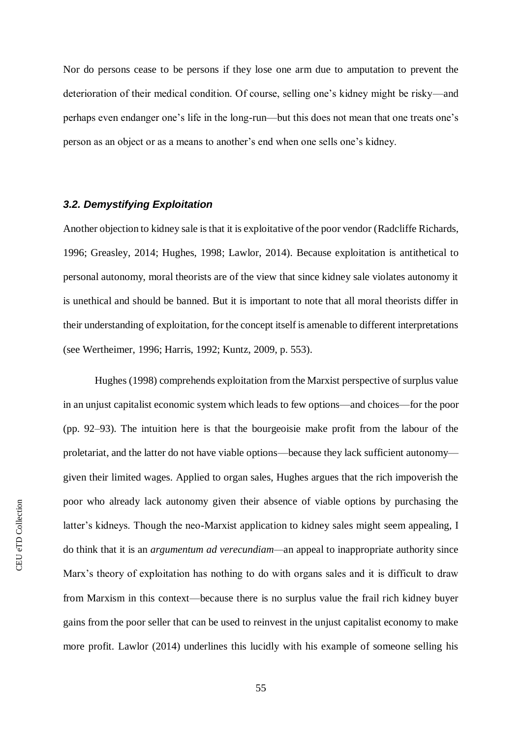Nor do persons cease to be persons if they lose one arm due to amputation to prevent the deterioration of their medical condition. Of course, selling one's kidney might be risky—and perhaps even endanger one's life in the long-run—but this does not mean that one treats one's person as an object or as a means to another's end when one sells one's kidney.

### *3.2. Demystifying Exploitation*

Another objection to kidney sale is that it is exploitative of the poor vendor (Radcliffe Richards, 1996; Greasley, 2014; Hughes, 1998; Lawlor, 2014). Because exploitation is antithetical to personal autonomy, moral theorists are of the view that since kidney sale violates autonomy it is unethical and should be banned. But it is important to note that all moral theorists differ in their understanding of exploitation, for the concept itself is amenable to different interpretations (see Wertheimer, 1996; Harris, 1992; Kuntz, 2009, p. 553).

Hughes (1998) comprehends exploitation from the Marxist perspective of surplus value in an unjust capitalist economic system which leads to few options—and choices—for the poor (pp. 92–93). The intuition here is that the bourgeoisie make profit from the labour of the proletariat, and the latter do not have viable options—because they lack sufficient autonomy given their limited wages. Applied to organ sales, Hughes argues that the rich impoverish the poor who already lack autonomy given their absence of viable options by purchasing the latter's kidneys. Though the neo-Marxist application to kidney sales might seem appealing, I do think that it is an *argumentum ad verecundiam—*an appeal to inappropriate authority since Marx's theory of exploitation has nothing to do with organs sales and it is difficult to draw from Marxism in this context—because there is no surplus value the frail rich kidney buyer gains from the poor seller that can be used to reinvest in the unjust capitalist economy to make more profit. Lawlor (2014) underlines this lucidly with his example of someone selling his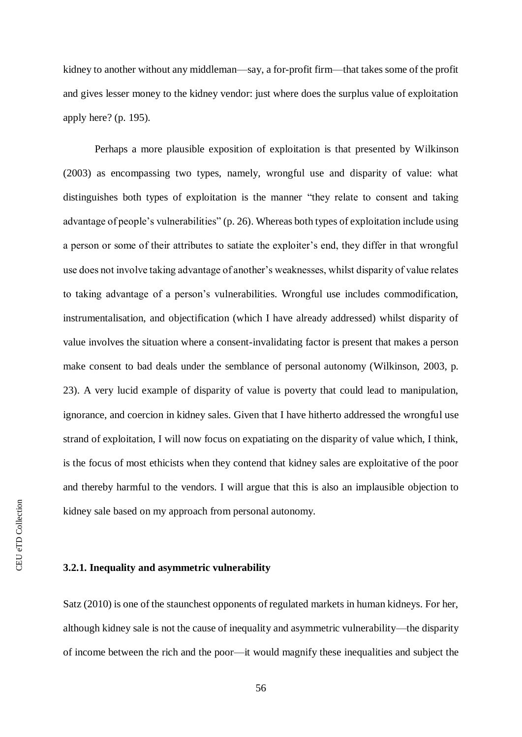kidney to another without any middleman—say, a for-profit firm—that takes some of the profit and gives lesser money to the kidney vendor: just where does the surplus value of exploitation apply here? (p. 195).

Perhaps a more plausible exposition of exploitation is that presented by Wilkinson (2003) as encompassing two types, namely, wrongful use and disparity of value: what distinguishes both types of exploitation is the manner "they relate to consent and taking advantage of people's vulnerabilities" (p. 26). Whereas both types of exploitation include using a person or some of their attributes to satiate the exploiter's end, they differ in that wrongful use does not involve taking advantage of another's weaknesses, whilst disparity of value relates to taking advantage of a person's vulnerabilities. Wrongful use includes commodification, instrumentalisation, and objectification (which I have already addressed) whilst disparity of value involves the situation where a consent-invalidating factor is present that makes a person make consent to bad deals under the semblance of personal autonomy (Wilkinson, 2003, p. 23). A very lucid example of disparity of value is poverty that could lead to manipulation, ignorance, and coercion in kidney sales. Given that I have hitherto addressed the wrongful use strand of exploitation, I will now focus on expatiating on the disparity of value which, I think, is the focus of most ethicists when they contend that kidney sales are exploitative of the poor and thereby harmful to the vendors. I will argue that this is also an implausible objection to kidney sale based on my approach from personal autonomy.

### **3.2.1. Inequality and asymmetric vulnerability**

Satz (2010) is one of the staunchest opponents of regulated markets in human kidneys. For her, although kidney sale is not the cause of inequality and asymmetric vulnerability—the disparity of income between the rich and the poor—it would magnify these inequalities and subject the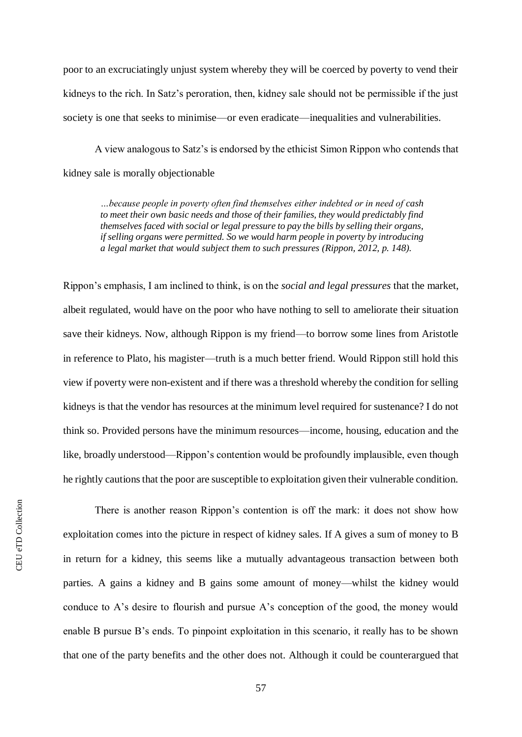poor to an excruciatingly unjust system whereby they will be coerced by poverty to vend their kidneys to the rich. In Satz's peroration, then, kidney sale should not be permissible if the just society is one that seeks to minimise—or even eradicate—inequalities and vulnerabilities.

A view analogous to Satz's is endorsed by the ethicist Simon Rippon who contends that kidney sale is morally objectionable

*…because people in poverty often find themselves either indebted or in need of cash to meet their own basic needs and those of their families, they would predictably find themselves faced with social or legal pressure to pay the bills by selling their organs, if selling organs were permitted. So we would harm people in poverty by introducing a legal market that would subject them to such pressures (Rippon, 2012, p. 148).*

Rippon's emphasis, I am inclined to think, is on the *social and legal pressures* that the market, albeit regulated, would have on the poor who have nothing to sell to ameliorate their situation save their kidneys. Now, although Rippon is my friend—to borrow some lines from Aristotle in reference to Plato, his magister—truth is a much better friend. Would Rippon still hold this view if poverty were non-existent and if there was a threshold whereby the condition for selling kidneys is that the vendor has resources at the minimum level required for sustenance? I do not think so. Provided persons have the minimum resources—income, housing, education and the like, broadly understood—Rippon's contention would be profoundly implausible, even though he rightly cautions that the poor are susceptible to exploitation given their vulnerable condition.

**CEU** eTD Collection CEU eTD Collection

There is another reason Rippon's contention is off the mark: it does not show how exploitation comes into the picture in respect of kidney sales. If A gives a sum of money to B in return for a kidney, this seems like a mutually advantageous transaction between both parties. A gains a kidney and B gains some amount of money—whilst the kidney would conduce to A's desire to flourish and pursue A's conception of the good, the money would enable B pursue B's ends. To pinpoint exploitation in this scenario, it really has to be shown that one of the party benefits and the other does not. Although it could be counterargued that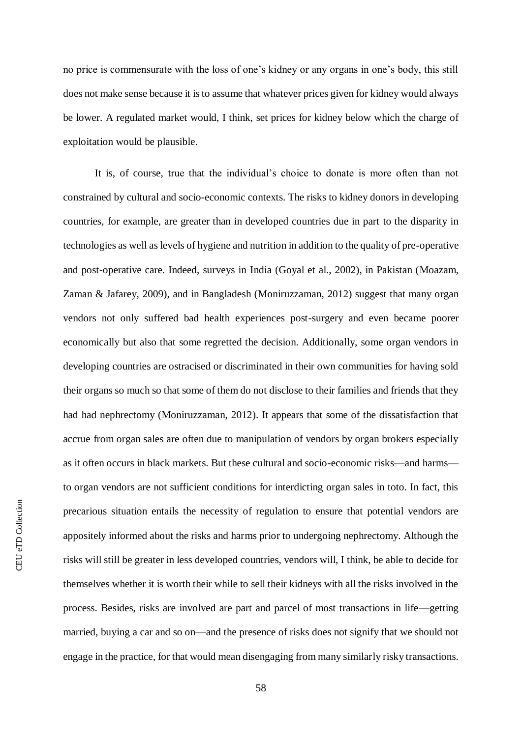no price is commensurate with the loss of one's kidney or any organs in one's body, this still does not make sense because it is to assume that whatever prices given for kidney would always be lower. A regulated market would, I think, set prices for kidney below which the charge of exploitation would be plausible.

It is, of course, true that the individual's choice to donate is more often than not constrained by cultural and socio-economic contexts. The risks to kidney donors in developing countries, for example, are greater than in developed countries due in part to the disparity in technologies as well as levels of hygiene and nutrition in addition to the quality of pre-operative and post-operative care. Indeed, surveys in India (Goyal et al., 2002), in Pakistan (Moazam, Zaman & Jafarey, 2009), and in Bangladesh (Moniruzzaman, 2012) suggest that many organ vendors not only suffered bad health experiences post-surgery and even became poorer economically but also that some regretted the decision. Additionally, some organ vendors in developing countries are ostracised or discriminated in their own communities for having sold their organs so much so that some of them do not disclose to their families and friends that they had had nephrectomy (Moniruzzaman, 2012). It appears that some of the dissatisfaction that accrue from organ sales are often due to manipulation of vendors by organ brokers especially as it often occurs in black markets. But these cultural and socio-economic risks—and harms to organ vendors are not sufficient conditions for interdicting organ sales in toto. In fact, this precarious situation entails the necessity of regulation to ensure that potential vendors are appositely informed about the risks and harms prior to undergoing nephrectomy. Although the risks will still be greater in less developed countries, vendors will, I think, be able to decide for themselves whether it is worth their while to sell their kidneys with all the risks involved in the process. Besides, risks are involved are part and parcel of most transactions in life—getting married, buying a car and so on—and the presence of risks does not signify that we should not engage in the practice, for that would mean disengaging from many similarly risky transactions.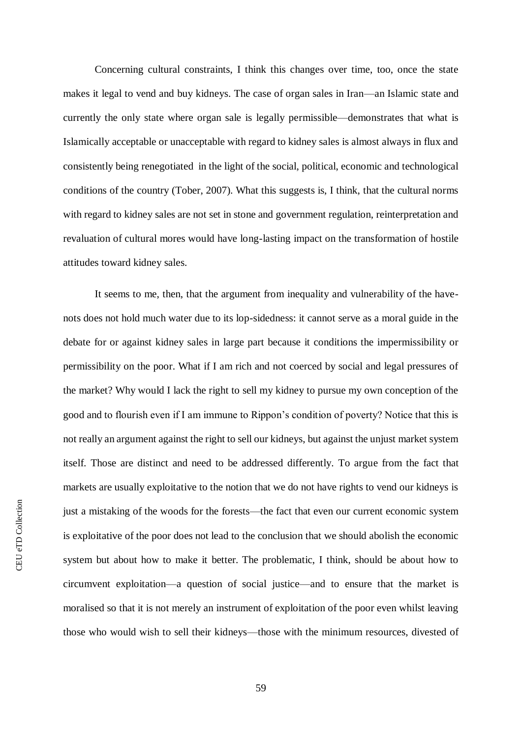Concerning cultural constraints, I think this changes over time, too, once the state makes it legal to vend and buy kidneys. The case of organ sales in Iran—an Islamic state and currently the only state where organ sale is legally permissible—demonstrates that what is Islamically acceptable or unacceptable with regard to kidney sales is almost always in flux and consistently being renegotiated in the light of the social, political, economic and technological conditions of the country (Tober, 2007). What this suggests is, I think, that the cultural norms with regard to kidney sales are not set in stone and government regulation, reinterpretation and revaluation of cultural mores would have long-lasting impact on the transformation of hostile attitudes toward kidney sales.

It seems to me, then, that the argument from inequality and vulnerability of the havenots does not hold much water due to its lop-sidedness: it cannot serve as a moral guide in the debate for or against kidney sales in large part because it conditions the impermissibility or permissibility on the poor. What if I am rich and not coerced by social and legal pressures of the market? Why would I lack the right to sell my kidney to pursue my own conception of the good and to flourish even if I am immune to Rippon's condition of poverty? Notice that this is not really an argument against the right to sell our kidneys, but against the unjust market system itself. Those are distinct and need to be addressed differently. To argue from the fact that markets are usually exploitative to the notion that we do not have rights to vend our kidneys is just a mistaking of the woods for the forests—the fact that even our current economic system is exploitative of the poor does not lead to the conclusion that we should abolish the economic system but about how to make it better. The problematic, I think, should be about how to circumvent exploitation—a question of social justice—and to ensure that the market is moralised so that it is not merely an instrument of exploitation of the poor even whilst leaving those who would wish to sell their kidneys—those with the minimum resources, divested of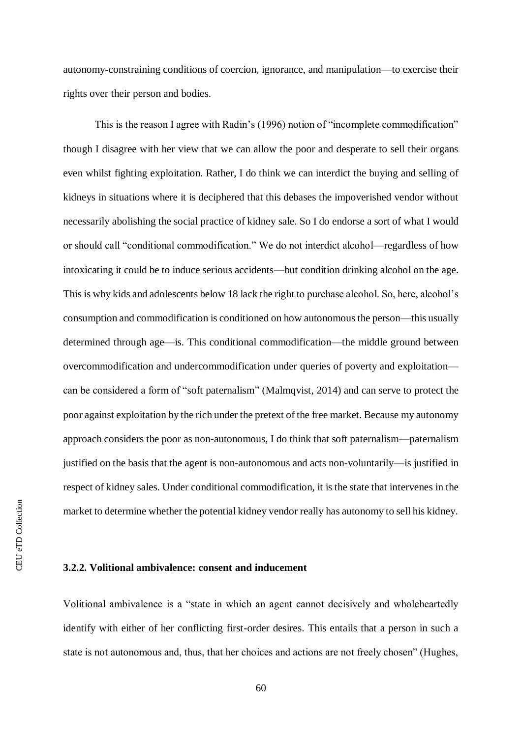autonomy-constraining conditions of coercion, ignorance, and manipulation—to exercise their rights over their person and bodies.

This is the reason I agree with Radin's (1996) notion of "incomplete commodification" though I disagree with her view that we can allow the poor and desperate to sell their organs even whilst fighting exploitation. Rather, I do think we can interdict the buying and selling of kidneys in situations where it is deciphered that this debases the impoverished vendor without necessarily abolishing the social practice of kidney sale. So I do endorse a sort of what I would or should call "conditional commodification." We do not interdict alcohol—regardless of how intoxicating it could be to induce serious accidents—but condition drinking alcohol on the age. This is why kids and adolescents below 18 lack the right to purchase alcohol. So, here, alcohol's consumption and commodification is conditioned on how autonomous the person—this usually determined through age—is. This conditional commodification—the middle ground between overcommodification and undercommodification under queries of poverty and exploitation can be considered a form of "soft paternalism" (Malmqvist, 2014) and can serve to protect the poor against exploitation by the rich under the pretext of the free market. Because my autonomy approach considers the poor as non-autonomous, I do think that soft paternalism—paternalism justified on the basis that the agent is non-autonomous and acts non-voluntarily—is justified in respect of kidney sales. Under conditional commodification, it is the state that intervenes in the market to determine whether the potential kidney vendor really has autonomy to sell his kidney.

### **3.2.2. Volitional ambivalence: consent and inducement**

Volitional ambivalence is a "state in which an agent cannot decisively and wholeheartedly identify with either of her conflicting first-order desires. This entails that a person in such a state is not autonomous and, thus, that her choices and actions are not freely chosen" (Hughes,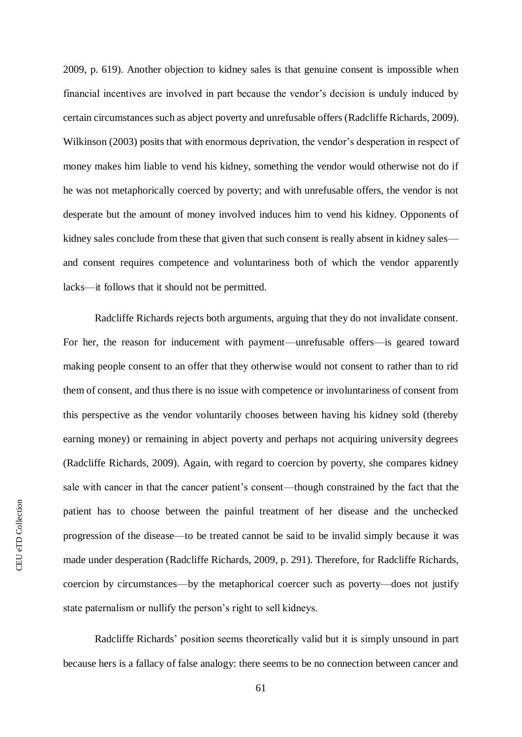2009, p. 619). Another objection to kidney sales is that genuine consent is impossible when financial incentives are involved in part because the vendor's decision is unduly induced by certain circumstances such as abject poverty and unrefusable offers (Radcliffe Richards, 2009). Wilkinson (2003) posits that with enormous deprivation, the vendor's desperation in respect of money makes him liable to vend his kidney, something the vendor would otherwise not do if he was not metaphorically coerced by poverty; and with unrefusable offers, the vendor is not desperate but the amount of money involved induces him to vend his kidney. Opponents of kidney sales conclude from these that given that such consent is really absent in kidney sales and consent requires competence and voluntariness both of which the vendor apparently lacks—it follows that it should not be permitted.

Radcliffe Richards rejects both arguments, arguing that they do not invalidate consent. For her, the reason for inducement with payment—unrefusable offers—is geared toward making people consent to an offer that they otherwise would not consent to rather than to rid them of consent, and thus there is no issue with competence or involuntariness of consent from this perspective as the vendor voluntarily chooses between having his kidney sold (thereby earning money) or remaining in abject poverty and perhaps not acquiring university degrees (Radcliffe Richards, 2009). Again, with regard to coercion by poverty, she compares kidney sale with cancer in that the cancer patient's consent—though constrained by the fact that the patient has to choose between the painful treatment of her disease and the unchecked progression of the disease—to be treated cannot be said to be invalid simply because it was made under desperation (Radcliffe Richards, 2009, p. 291). Therefore, for Radcliffe Richards, coercion by circumstances—by the metaphorical coercer such as poverty—does not justify state paternalism or nullify the person's right to sell kidneys.

Radcliffe Richards' position seems theoretically valid but it is simply unsound in part because hers is a fallacy of false analogy: there seems to be no connection between cancer and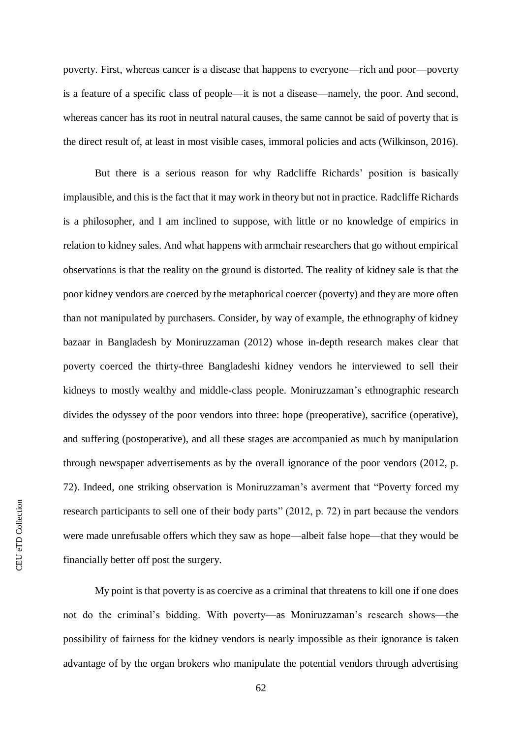poverty. First, whereas cancer is a disease that happens to everyone—rich and poor—poverty is a feature of a specific class of people—it is not a disease—namely, the poor. And second, whereas cancer has its root in neutral natural causes, the same cannot be said of poverty that is the direct result of, at least in most visible cases, immoral policies and acts (Wilkinson, 2016).

But there is a serious reason for why Radcliffe Richards' position is basically implausible, and this is the fact that it may work in theory but not in practice. Radcliffe Richards is a philosopher, and I am inclined to suppose, with little or no knowledge of empirics in relation to kidney sales. And what happens with armchair researchers that go without empirical observations is that the reality on the ground is distorted. The reality of kidney sale is that the poor kidney vendors are coerced by the metaphorical coercer (poverty) and they are more often than not manipulated by purchasers. Consider, by way of example, the ethnography of kidney bazaar in Bangladesh by Moniruzzaman (2012) whose in-depth research makes clear that poverty coerced the thirty-three Bangladeshi kidney vendors he interviewed to sell their kidneys to mostly wealthy and middle-class people. Moniruzzaman's ethnographic research divides the odyssey of the poor vendors into three: hope (preoperative), sacrifice (operative), and suffering (postoperative), and all these stages are accompanied as much by manipulation through newspaper advertisements as by the overall ignorance of the poor vendors (2012, p. 72). Indeed, one striking observation is Moniruzzaman's averment that "Poverty forced my research participants to sell one of their body parts" (2012, p. 72) in part because the vendors were made unrefusable offers which they saw as hope—albeit false hope—that they would be financially better off post the surgery.

My point is that poverty is as coercive as a criminal that threatens to kill one if one does not do the criminal's bidding. With poverty—as Moniruzzaman's research shows—the possibility of fairness for the kidney vendors is nearly impossible as their ignorance is taken advantage of by the organ brokers who manipulate the potential vendors through advertising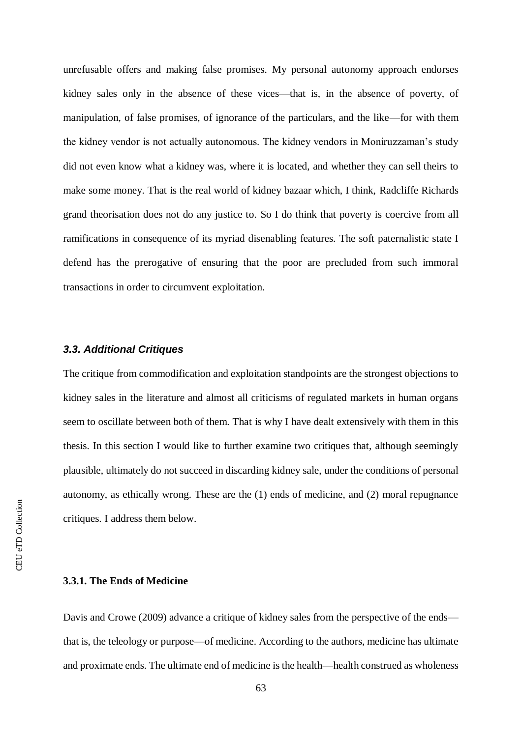unrefusable offers and making false promises. My personal autonomy approach endorses kidney sales only in the absence of these vices—that is, in the absence of poverty, of manipulation, of false promises, of ignorance of the particulars, and the like—for with them the kidney vendor is not actually autonomous. The kidney vendors in Moniruzzaman's study did not even know what a kidney was, where it is located, and whether they can sell theirs to make some money. That is the real world of kidney bazaar which, I think, Radcliffe Richards grand theorisation does not do any justice to. So I do think that poverty is coercive from all ramifications in consequence of its myriad disenabling features. The soft paternalistic state I defend has the prerogative of ensuring that the poor are precluded from such immoral transactions in order to circumvent exploitation.

## *3.3. Additional Critiques*

The critique from commodification and exploitation standpoints are the strongest objections to kidney sales in the literature and almost all criticisms of regulated markets in human organs seem to oscillate between both of them. That is why I have dealt extensively with them in this thesis. In this section I would like to further examine two critiques that, although seemingly plausible, ultimately do not succeed in discarding kidney sale, under the conditions of personal autonomy, as ethically wrong. These are the (1) ends of medicine, and (2) moral repugnance critiques. I address them below.

# **3.3.1. The Ends of Medicine**

Davis and Crowe (2009) advance a critique of kidney sales from the perspective of the ends that is, the teleology or purpose—of medicine. According to the authors, medicine has ultimate and proximate ends. The ultimate end of medicine is the health—health construed as wholeness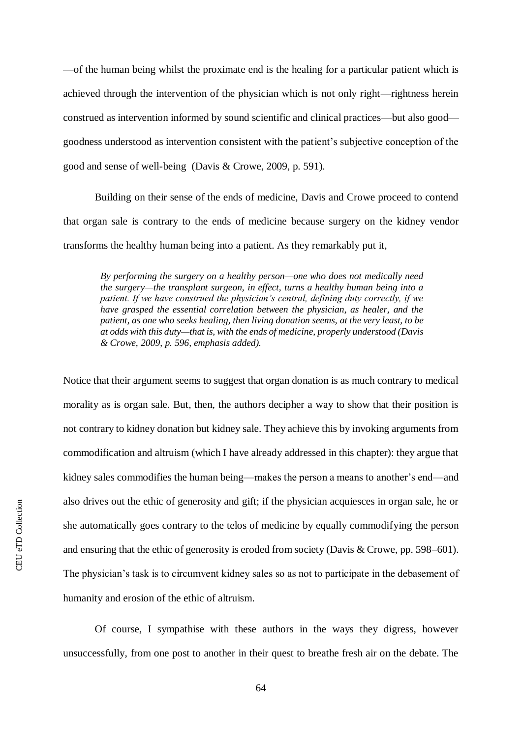—of the human being whilst the proximate end is the healing for a particular patient which is achieved through the intervention of the physician which is not only right—rightness herein construed as intervention informed by sound scientific and clinical practices—but also good goodness understood as intervention consistent with the patient's subjective conception of the good and sense of well-being (Davis & Crowe, 2009, p. 591).

Building on their sense of the ends of medicine, Davis and Crowe proceed to contend that organ sale is contrary to the ends of medicine because surgery on the kidney vendor transforms the healthy human being into a patient. As they remarkably put it,

*By performing the surgery on a healthy person—one who does not medically need the surgery—the transplant surgeon, in effect, turns a healthy human being into a patient. If we have construed the physician's central, defining duty correctly, if we have grasped the essential correlation between the physician, as healer, and the patient, as one who seeks healing, then living donation seems, at the very least, to be at odds with this duty—that is, with the ends of medicine, properly understood (Davis & Crowe, 2009, p. 596, emphasis added).*

Notice that their argument seems to suggest that organ donation is as much contrary to medical morality as is organ sale. But, then, the authors decipher a way to show that their position is not contrary to kidney donation but kidney sale. They achieve this by invoking arguments from commodification and altruism (which I have already addressed in this chapter): they argue that kidney sales commodifies the human being—makes the person a means to another's end—and also drives out the ethic of generosity and gift; if the physician acquiesces in organ sale, he or she automatically goes contrary to the telos of medicine by equally commodifying the person and ensuring that the ethic of generosity is eroded from society (Davis & Crowe, pp. 598–601). The physician's task is to circumvent kidney sales so as not to participate in the debasement of humanity and erosion of the ethic of altruism.

Of course, I sympathise with these authors in the ways they digress, however unsuccessfully, from one post to another in their quest to breathe fresh air on the debate. The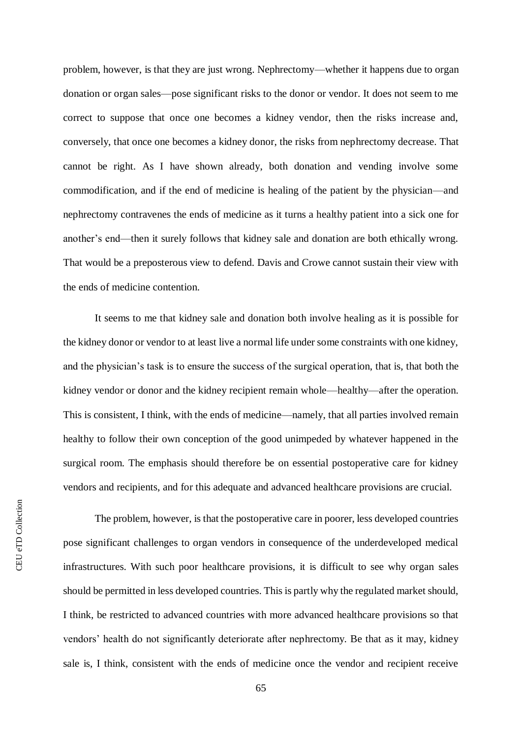problem, however, is that they are just wrong. Nephrectomy—whether it happens due to organ donation or organ sales—pose significant risks to the donor or vendor. It does not seem to me correct to suppose that once one becomes a kidney vendor, then the risks increase and, conversely, that once one becomes a kidney donor, the risks from nephrectomy decrease. That cannot be right. As I have shown already, both donation and vending involve some commodification, and if the end of medicine is healing of the patient by the physician—and nephrectomy contravenes the ends of medicine as it turns a healthy patient into a sick one for another's end—then it surely follows that kidney sale and donation are both ethically wrong. That would be a preposterous view to defend. Davis and Crowe cannot sustain their view with the ends of medicine contention.

It seems to me that kidney sale and donation both involve healing as it is possible for the kidney donor or vendor to at least live a normal life under some constraints with one kidney, and the physician's task is to ensure the success of the surgical operation, that is, that both the kidney vendor or donor and the kidney recipient remain whole—healthy—after the operation. This is consistent, I think, with the ends of medicine—namely, that all parties involved remain healthy to follow their own conception of the good unimpeded by whatever happened in the surgical room. The emphasis should therefore be on essential postoperative care for kidney vendors and recipients, and for this adequate and advanced healthcare provisions are crucial.

The problem, however, is that the postoperative care in poorer, less developed countries pose significant challenges to organ vendors in consequence of the underdeveloped medical infrastructures. With such poor healthcare provisions, it is difficult to see why organ sales should be permitted in less developed countries. This is partly why the regulated market should, I think, be restricted to advanced countries with more advanced healthcare provisions so that vendors' health do not significantly deteriorate after nephrectomy. Be that as it may, kidney sale is, I think, consistent with the ends of medicine once the vendor and recipient receive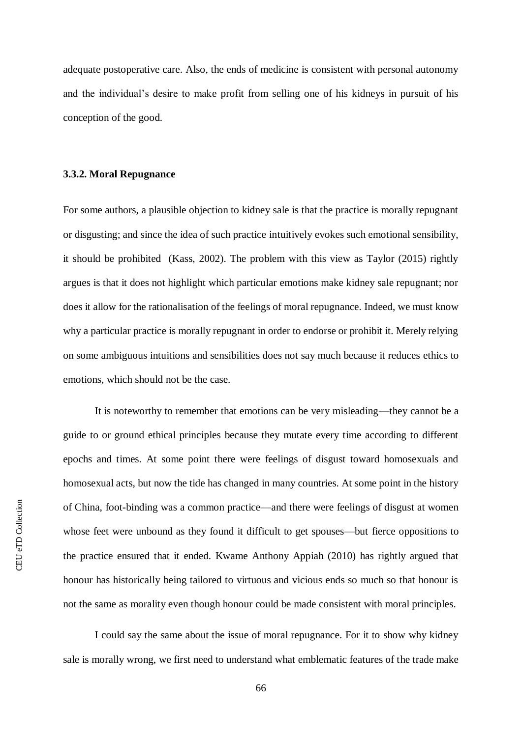adequate postoperative care. Also, the ends of medicine is consistent with personal autonomy and the individual's desire to make profit from selling one of his kidneys in pursuit of his conception of the good.

#### **3.3.2. Moral Repugnance**

For some authors, a plausible objection to kidney sale is that the practice is morally repugnant or disgusting; and since the idea of such practice intuitively evokes such emotional sensibility, it should be prohibited (Kass, 2002). The problem with this view as Taylor (2015) rightly argues is that it does not highlight which particular emotions make kidney sale repugnant; nor does it allow for the rationalisation of the feelings of moral repugnance. Indeed, we must know why a particular practice is morally repugnant in order to endorse or prohibit it. Merely relying on some ambiguous intuitions and sensibilities does not say much because it reduces ethics to emotions, which should not be the case.

It is noteworthy to remember that emotions can be very misleading—they cannot be a guide to or ground ethical principles because they mutate every time according to different epochs and times. At some point there were feelings of disgust toward homosexuals and homosexual acts, but now the tide has changed in many countries. At some point in the history of China, foot-binding was a common practice—and there were feelings of disgust at women whose feet were unbound as they found it difficult to get spouses—but fierce oppositions to the practice ensured that it ended. Kwame Anthony Appiah (2010) has rightly argued that honour has historically being tailored to virtuous and vicious ends so much so that honour is not the same as morality even though honour could be made consistent with moral principles.

I could say the same about the issue of moral repugnance. For it to show why kidney sale is morally wrong, we first need to understand what emblematic features of the trade make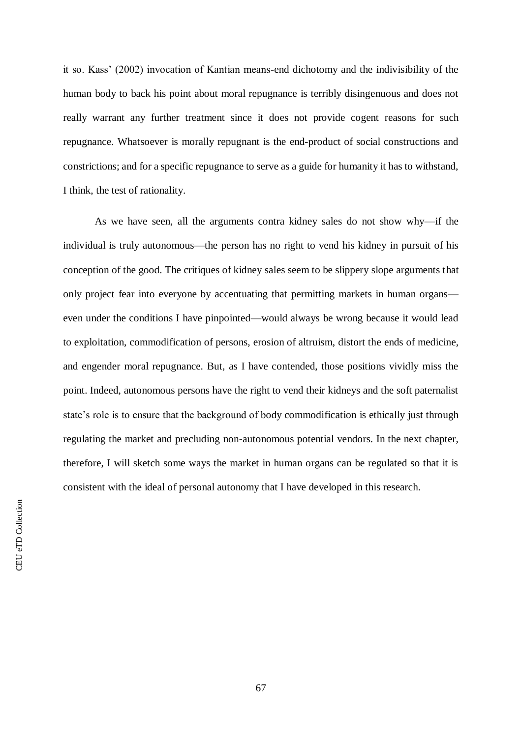it so. Kass' (2002) invocation of Kantian means-end dichotomy and the indivisibility of the human body to back his point about moral repugnance is terribly disingenuous and does not really warrant any further treatment since it does not provide cogent reasons for such repugnance. Whatsoever is morally repugnant is the end-product of social constructions and constrictions; and for a specific repugnance to serve as a guide for humanity it has to withstand, I think, the test of rationality.

As we have seen, all the arguments contra kidney sales do not show why—if the individual is truly autonomous—the person has no right to vend his kidney in pursuit of his conception of the good. The critiques of kidney sales seem to be slippery slope arguments that only project fear into everyone by accentuating that permitting markets in human organs even under the conditions I have pinpointed—would always be wrong because it would lead to exploitation, commodification of persons, erosion of altruism, distort the ends of medicine, and engender moral repugnance. But, as I have contended, those positions vividly miss the point. Indeed, autonomous persons have the right to vend their kidneys and the soft paternalist state's role is to ensure that the background of body commodification is ethically just through regulating the market and precluding non-autonomous potential vendors. In the next chapter, therefore, I will sketch some ways the market in human organs can be regulated so that it is consistent with the ideal of personal autonomy that I have developed in this research.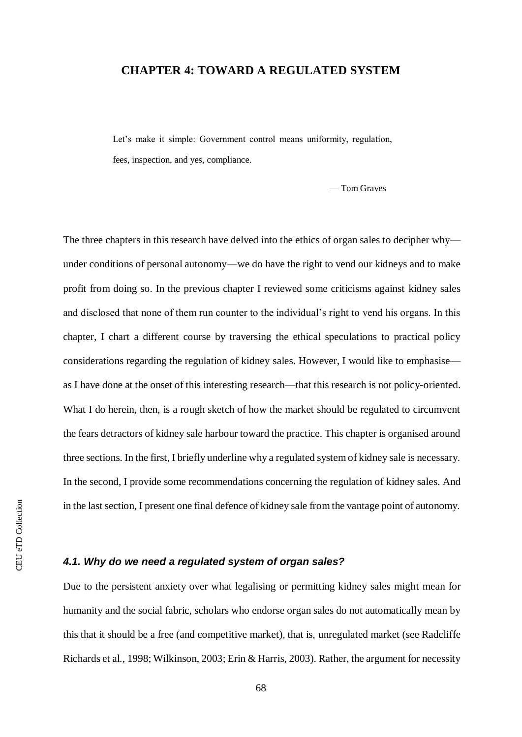# **CHAPTER 4: TOWARD A REGULATED SYSTEM**

Let's make it simple: Government control means uniformity, regulation, fees, inspection, and yes, compliance.

— Tom Graves

The three chapters in this research have delved into the ethics of organ sales to decipher why under conditions of personal autonomy—we do have the right to vend our kidneys and to make profit from doing so. In the previous chapter I reviewed some criticisms against kidney sales and disclosed that none of them run counter to the individual's right to vend his organs. In this chapter, I chart a different course by traversing the ethical speculations to practical policy considerations regarding the regulation of kidney sales. However, I would like to emphasise as I have done at the onset of this interesting research—that this research is not policy-oriented. What I do herein, then, is a rough sketch of how the market should be regulated to circumvent the fears detractors of kidney sale harbour toward the practice. This chapter is organised around three sections. In the first, I briefly underline why a regulated system of kidney sale is necessary. In the second, I provide some recommendations concerning the regulation of kidney sales. And in the last section, I present one final defence of kidney sale from the vantage point of autonomy.

# *4.1. Why do we need a regulated system of organ sales?*

Due to the persistent anxiety over what legalising or permitting kidney sales might mean for humanity and the social fabric, scholars who endorse organ sales do not automatically mean by this that it should be a free (and competitive market), that is, unregulated market (see Radcliffe Richards et al., 1998; Wilkinson, 2003; Erin & Harris, 2003). Rather, the argument for necessity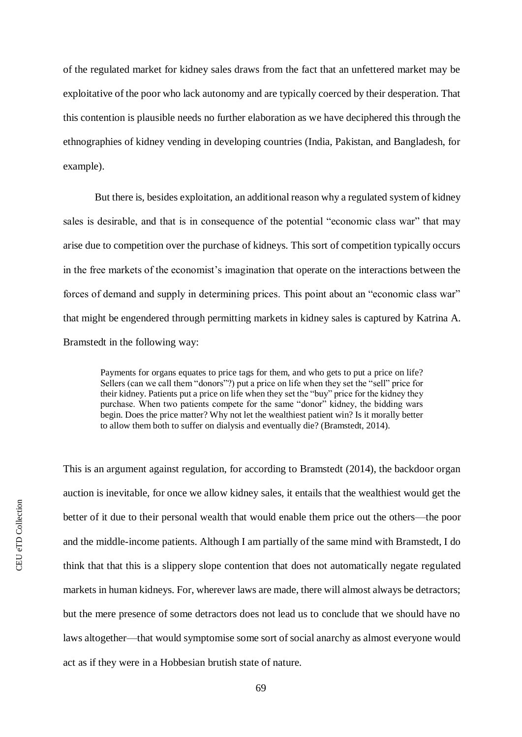of the regulated market for kidney sales draws from the fact that an unfettered market may be exploitative of the poor who lack autonomy and are typically coerced by their desperation. That this contention is plausible needs no further elaboration as we have deciphered this through the ethnographies of kidney vending in developing countries (India, Pakistan, and Bangladesh, for example).

But there is, besides exploitation, an additional reason why a regulated system of kidney sales is desirable, and that is in consequence of the potential "economic class war" that may arise due to competition over the purchase of kidneys. This sort of competition typically occurs in the free markets of the economist's imagination that operate on the interactions between the forces of demand and supply in determining prices. This point about an "economic class war" that might be engendered through permitting markets in kidney sales is captured by Katrina A. Bramstedt in the following way:

Payments for organs equates to price tags for them, and who gets to put a price on life? Sellers (can we call them "donors"?) put a price on life when they set the "sell" price for their kidney. Patients put a price on life when they set the "buy" price for the kidney they purchase. When two patients compete for the same "donor" kidney, the bidding wars begin. Does the price matter? Why not let the wealthiest patient win? Is it morally better to allow them both to suffer on dialysis and eventually die? (Bramstedt, 2014).

This is an argument against regulation, for according to Bramstedt (2014), the backdoor organ auction is inevitable, for once we allow kidney sales, it entails that the wealthiest would get the better of it due to their personal wealth that would enable them price out the others—the poor and the middle-income patients. Although I am partially of the same mind with Bramstedt, I do think that that this is a slippery slope contention that does not automatically negate regulated markets in human kidneys. For, wherever laws are made, there will almost always be detractors; but the mere presence of some detractors does not lead us to conclude that we should have no laws altogether—that would symptomise some sort of social anarchy as almost everyone would act as if they were in a Hobbesian brutish state of nature.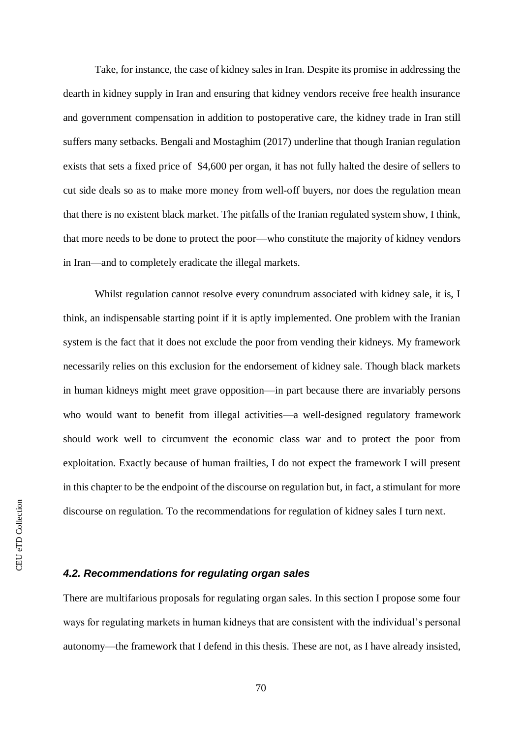Take, for instance, the case of kidney sales in Iran. Despite its promise in addressing the dearth in kidney supply in Iran and ensuring that kidney vendors receive free health insurance and government compensation in addition to postoperative care, the kidney trade in Iran still suffers many setbacks. Bengali and Mostaghim (2017) underline that though Iranian regulation exists that sets a fixed price of \$4,600 per organ, it has not fully halted the desire of sellers to cut side deals so as to make more money from well-off buyers, nor does the regulation mean that there is no existent black market. The pitfalls of the Iranian regulated system show, I think, that more needs to be done to protect the poor—who constitute the majority of kidney vendors in Iran—and to completely eradicate the illegal markets.

Whilst regulation cannot resolve every conundrum associated with kidney sale, it is, I think, an indispensable starting point if it is aptly implemented. One problem with the Iranian system is the fact that it does not exclude the poor from vending their kidneys. My framework necessarily relies on this exclusion for the endorsement of kidney sale. Though black markets in human kidneys might meet grave opposition—in part because there are invariably persons who would want to benefit from illegal activities—a well-designed regulatory framework should work well to circumvent the economic class war and to protect the poor from exploitation. Exactly because of human frailties, I do not expect the framework I will present in this chapter to be the endpoint of the discourse on regulation but, in fact, a stimulant for more discourse on regulation. To the recommendations for regulation of kidney sales I turn next.

## *4.2. Recommendations for regulating organ sales*

There are multifarious proposals for regulating organ sales. In this section I propose some four ways for regulating markets in human kidneys that are consistent with the individual's personal autonomy—the framework that I defend in this thesis. These are not, as I have already insisted,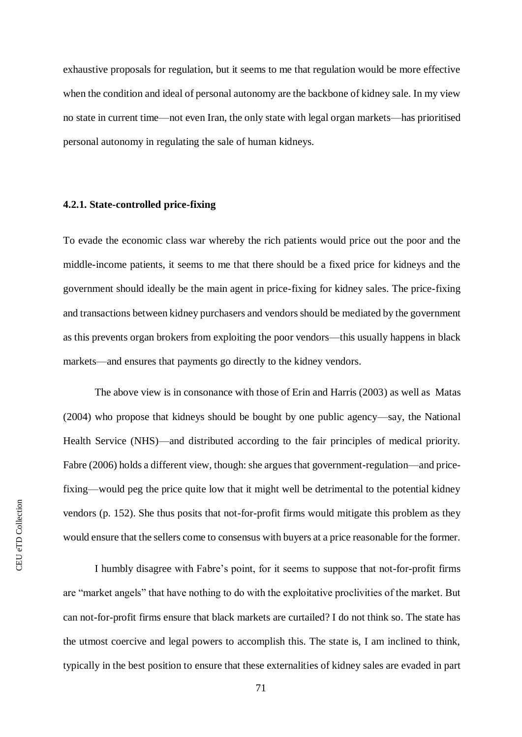exhaustive proposals for regulation, but it seems to me that regulation would be more effective when the condition and ideal of personal autonomy are the backbone of kidney sale. In my view no state in current time—not even Iran, the only state with legal organ markets—has prioritised personal autonomy in regulating the sale of human kidneys.

## **4.2.1. State-controlled price-fixing**

To evade the economic class war whereby the rich patients would price out the poor and the middle-income patients, it seems to me that there should be a fixed price for kidneys and the government should ideally be the main agent in price-fixing for kidney sales. The price-fixing and transactions between kidney purchasers and vendors should be mediated by the government as this prevents organ brokers from exploiting the poor vendors—this usually happens in black markets—and ensures that payments go directly to the kidney vendors.

The above view is in consonance with those of Erin and Harris (2003) as well as Matas (2004) who propose that kidneys should be bought by one public agency—say, the National Health Service (NHS)—and distributed according to the fair principles of medical priority. Fabre (2006) holds a different view, though: she argues that government-regulation—and pricefixing—would peg the price quite low that it might well be detrimental to the potential kidney vendors (p. 152). She thus posits that not-for-profit firms would mitigate this problem as they would ensure that the sellers come to consensus with buyers at a price reasonable for the former.

I humbly disagree with Fabre's point, for it seems to suppose that not-for-profit firms are "market angels" that have nothing to do with the exploitative proclivities of the market. But can not-for-profit firms ensure that black markets are curtailed? I do not think so. The state has the utmost coercive and legal powers to accomplish this. The state is, I am inclined to think, typically in the best position to ensure that these externalities of kidney sales are evaded in part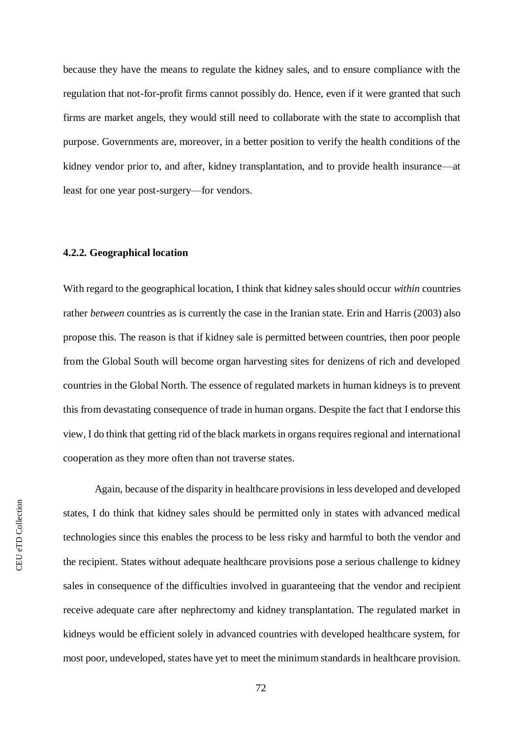because they have the means to regulate the kidney sales, and to ensure compliance with the regulation that not-for-profit firms cannot possibly do. Hence, even if it were granted that such firms are market angels, they would still need to collaborate with the state to accomplish that purpose. Governments are, moreover, in a better position to verify the health conditions of the kidney vendor prior to, and after, kidney transplantation, and to provide health insurance—at least for one year post-surgery—for vendors.

#### **4.2.2. Geographical location**

With regard to the geographical location, I think that kidney sales should occur *within* countries rather *between* countries as is currently the case in the Iranian state. Erin and Harris (2003) also propose this. The reason is that if kidney sale is permitted between countries, then poor people from the Global South will become organ harvesting sites for denizens of rich and developed countries in the Global North. The essence of regulated markets in human kidneys is to prevent this from devastating consequence of trade in human organs. Despite the fact that I endorse this view, I do think that getting rid of the black markets in organs requires regional and international cooperation as they more often than not traverse states.

Again, because of the disparity in healthcare provisions in less developed and developed states, I do think that kidney sales should be permitted only in states with advanced medical technologies since this enables the process to be less risky and harmful to both the vendor and the recipient. States without adequate healthcare provisions pose a serious challenge to kidney sales in consequence of the difficulties involved in guaranteeing that the vendor and recipient receive adequate care after nephrectomy and kidney transplantation. The regulated market in kidneys would be efficient solely in advanced countries with developed healthcare system, for most poor, undeveloped, states have yet to meet the minimum standards in healthcare provision.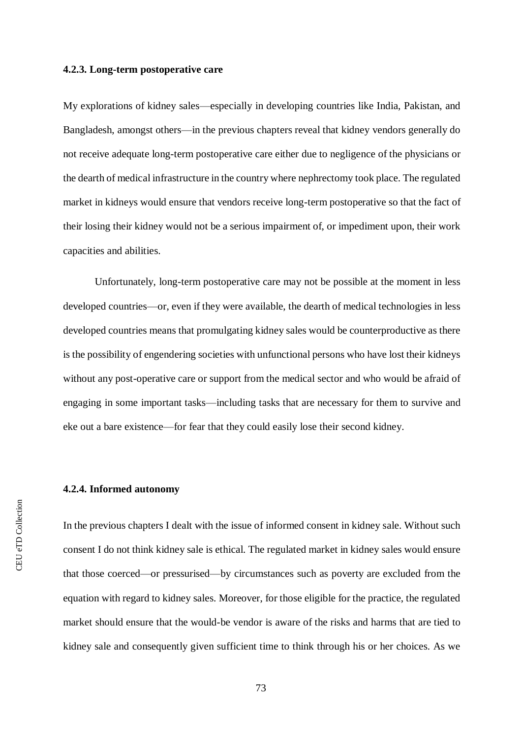#### **4.2.3. Long-term postoperative care**

My explorations of kidney sales—especially in developing countries like India, Pakistan, and Bangladesh, amongst others—in the previous chapters reveal that kidney vendors generally do not receive adequate long-term postoperative care either due to negligence of the physicians or the dearth of medical infrastructure in the country where nephrectomy took place. The regulated market in kidneys would ensure that vendors receive long-term postoperative so that the fact of their losing their kidney would not be a serious impairment of, or impediment upon, their work capacities and abilities.

Unfortunately, long-term postoperative care may not be possible at the moment in less developed countries—or, even if they were available, the dearth of medical technologies in less developed countries means that promulgating kidney sales would be counterproductive as there is the possibility of engendering societies with unfunctional persons who have lost their kidneys without any post-operative care or support from the medical sector and who would be afraid of engaging in some important tasks—including tasks that are necessary for them to survive and eke out a bare existence—for fear that they could easily lose their second kidney.

## **4.2.4. Informed autonomy**

In the previous chapters I dealt with the issue of informed consent in kidney sale. Without such consent I do not think kidney sale is ethical. The regulated market in kidney sales would ensure that those coerced—or pressurised—by circumstances such as poverty are excluded from the equation with regard to kidney sales. Moreover, for those eligible for the practice, the regulated market should ensure that the would-be vendor is aware of the risks and harms that are tied to kidney sale and consequently given sufficient time to think through his or her choices. As we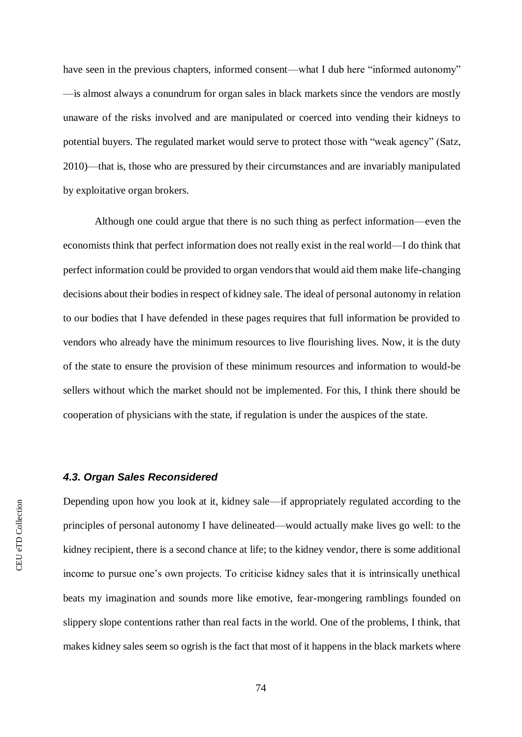have seen in the previous chapters, informed consent—what I dub here "informed autonomy" —is almost always a conundrum for organ sales in black markets since the vendors are mostly unaware of the risks involved and are manipulated or coerced into vending their kidneys to potential buyers. The regulated market would serve to protect those with "weak agency" (Satz, 2010)—that is, those who are pressured by their circumstances and are invariably manipulated by exploitative organ brokers.

Although one could argue that there is no such thing as perfect information—even the economists think that perfect information does not really exist in the real world—I do think that perfect information could be provided to organ vendors that would aid them make life-changing decisions about their bodies in respect of kidney sale. The ideal of personal autonomy in relation to our bodies that I have defended in these pages requires that full information be provided to vendors who already have the minimum resources to live flourishing lives. Now, it is the duty of the state to ensure the provision of these minimum resources and information to would-be sellers without which the market should not be implemented. For this, I think there should be cooperation of physicians with the state, if regulation is under the auspices of the state.

## *4.3. Organ Sales Reconsidered*

Depending upon how you look at it, kidney sale—if appropriately regulated according to the principles of personal autonomy I have delineated—would actually make lives go well: to the kidney recipient, there is a second chance at life; to the kidney vendor, there is some additional income to pursue one's own projects. To criticise kidney sales that it is intrinsically unethical beats my imagination and sounds more like emotive, fear-mongering ramblings founded on slippery slope contentions rather than real facts in the world. One of the problems, I think, that makes kidney sales seem so ogrish is the fact that most of it happens in the black markets where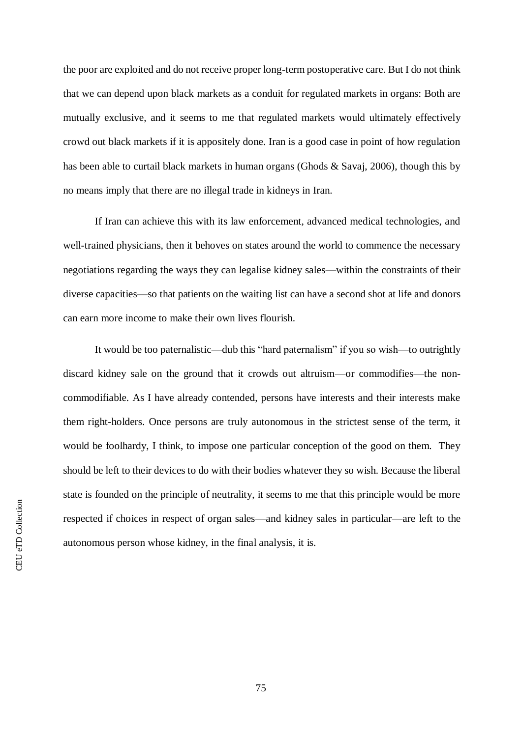the poor are exploited and do not receive proper long-term postoperative care. But I do not think that we can depend upon black markets as a conduit for regulated markets in organs: Both are mutually exclusive, and it seems to me that regulated markets would ultimately effectively crowd out black markets if it is appositely done. Iran is a good case in point of how regulation has been able to curtail black markets in human organs (Ghods & Savaj, 2006), though this by no means imply that there are no illegal trade in kidneys in Iran.

If Iran can achieve this with its law enforcement, advanced medical technologies, and well-trained physicians, then it behoves on states around the world to commence the necessary negotiations regarding the ways they can legalise kidney sales—within the constraints of their diverse capacities—so that patients on the waiting list can have a second shot at life and donors can earn more income to make their own lives flourish.

It would be too paternalistic—dub this "hard paternalism" if you so wish—to outrightly discard kidney sale on the ground that it crowds out altruism—or commodifies—the noncommodifiable. As I have already contended, persons have interests and their interests make them right-holders. Once persons are truly autonomous in the strictest sense of the term, it would be foolhardy, I think, to impose one particular conception of the good on them. They should be left to their devices to do with their bodies whatever they so wish. Because the liberal state is founded on the principle of neutrality, it seems to me that this principle would be more respected if choices in respect of organ sales—and kidney sales in particular—are left to the autonomous person whose kidney, in the final analysis, it is.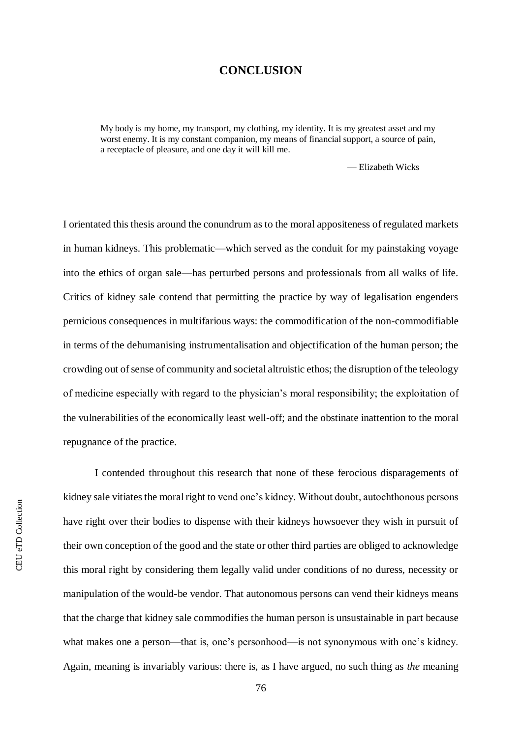# **CONCLUSION**

My body is my home, my transport, my clothing, my identity. It is my greatest asset and my worst enemy. It is my constant companion, my means of financial support, a source of pain, a receptacle of pleasure, and one day it will kill me.

— Elizabeth Wicks

I orientated this thesis around the conundrum as to the moral appositeness of regulated markets in human kidneys. This problematic—which served as the conduit for my painstaking voyage into the ethics of organ sale—has perturbed persons and professionals from all walks of life. Critics of kidney sale contend that permitting the practice by way of legalisation engenders pernicious consequences in multifarious ways: the commodification of the non-commodifiable in terms of the dehumanising instrumentalisation and objectification of the human person; the crowding out of sense of community and societal altruistic ethos; the disruption of the teleology of medicine especially with regard to the physician's moral responsibility; the exploitation of the vulnerabilities of the economically least well-off; and the obstinate inattention to the moral repugnance of the practice.

I contended throughout this research that none of these ferocious disparagements of kidney sale vitiates the moral right to vend one's kidney. Without doubt, autochthonous persons have right over their bodies to dispense with their kidneys howsoever they wish in pursuit of their own conception of the good and the state or other third parties are obliged to acknowledge this moral right by considering them legally valid under conditions of no duress, necessity or manipulation of the would-be vendor. That autonomous persons can vend their kidneys means that the charge that kidney sale commodifies the human person is unsustainable in part because what makes one a person—that is, one's personhood—is not synonymous with one's kidney. Again, meaning is invariably various: there is, as I have argued, no such thing as *the* meaning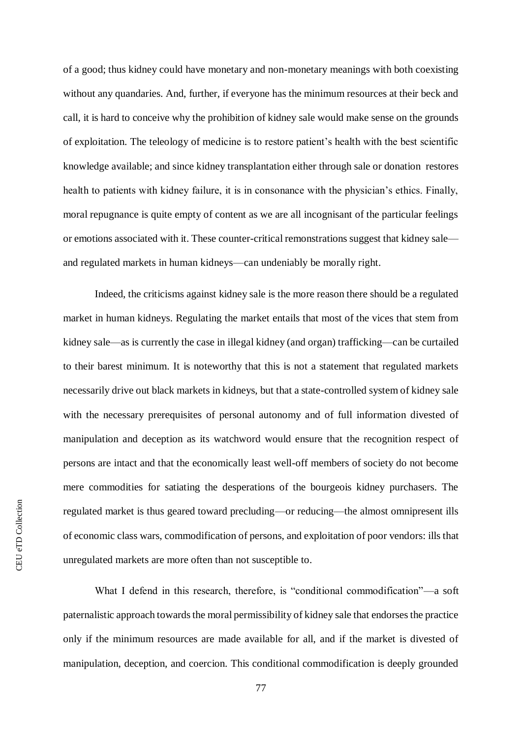of a good; thus kidney could have monetary and non-monetary meanings with both coexisting without any quandaries. And, further, if everyone has the minimum resources at their beck and call, it is hard to conceive why the prohibition of kidney sale would make sense on the grounds of exploitation. The teleology of medicine is to restore patient's health with the best scientific knowledge available; and since kidney transplantation either through sale or donation restores health to patients with kidney failure, it is in consonance with the physician's ethics. Finally, moral repugnance is quite empty of content as we are all incognisant of the particular feelings or emotions associated with it. These counter-critical remonstrations suggest that kidney sale and regulated markets in human kidneys—can undeniably be morally right.

Indeed, the criticisms against kidney sale is the more reason there should be a regulated market in human kidneys. Regulating the market entails that most of the vices that stem from kidney sale—as is currently the case in illegal kidney (and organ) trafficking—can be curtailed to their barest minimum. It is noteworthy that this is not a statement that regulated markets necessarily drive out black markets in kidneys, but that a state-controlled system of kidney sale with the necessary prerequisites of personal autonomy and of full information divested of manipulation and deception as its watchword would ensure that the recognition respect of persons are intact and that the economically least well-off members of society do not become mere commodities for satiating the desperations of the bourgeois kidney purchasers. The regulated market is thus geared toward precluding—or reducing—the almost omnipresent ills of economic class wars, commodification of persons, and exploitation of poor vendors: ills that unregulated markets are more often than not susceptible to.

What I defend in this research, therefore, is "conditional commodification"—a soft paternalistic approach towards the moral permissibility of kidney sale that endorses the practice only if the minimum resources are made available for all, and if the market is divested of manipulation, deception, and coercion. This conditional commodification is deeply grounded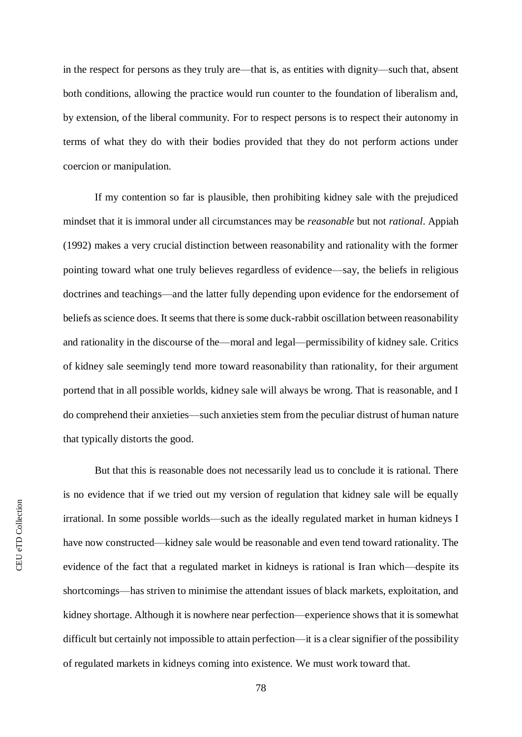in the respect for persons as they truly are—that is, as entities with dignity—such that, absent both conditions, allowing the practice would run counter to the foundation of liberalism and, by extension, of the liberal community. For to respect persons is to respect their autonomy in terms of what they do with their bodies provided that they do not perform actions under coercion or manipulation.

If my contention so far is plausible, then prohibiting kidney sale with the prejudiced mindset that it is immoral under all circumstances may be *reasonable* but not *rational*. Appiah (1992) makes a very crucial distinction between reasonability and rationality with the former pointing toward what one truly believes regardless of evidence—say, the beliefs in religious doctrines and teachings—and the latter fully depending upon evidence for the endorsement of beliefs as science does. It seems that there is some duck-rabbit oscillation between reasonability and rationality in the discourse of the—moral and legal—permissibility of kidney sale. Critics of kidney sale seemingly tend more toward reasonability than rationality, for their argument portend that in all possible worlds, kidney sale will always be wrong. That is reasonable, and I do comprehend their anxieties—such anxieties stem from the peculiar distrust of human nature that typically distorts the good.

But that this is reasonable does not necessarily lead us to conclude it is rational. There is no evidence that if we tried out my version of regulation that kidney sale will be equally irrational. In some possible worlds—such as the ideally regulated market in human kidneys I have now constructed—kidney sale would be reasonable and even tend toward rationality. The evidence of the fact that a regulated market in kidneys is rational is Iran which—despite its shortcomings—has striven to minimise the attendant issues of black markets, exploitation, and kidney shortage. Although it is nowhere near perfection—experience shows that it is somewhat difficult but certainly not impossible to attain perfection—it is a clear signifier of the possibility of regulated markets in kidneys coming into existence. We must work toward that.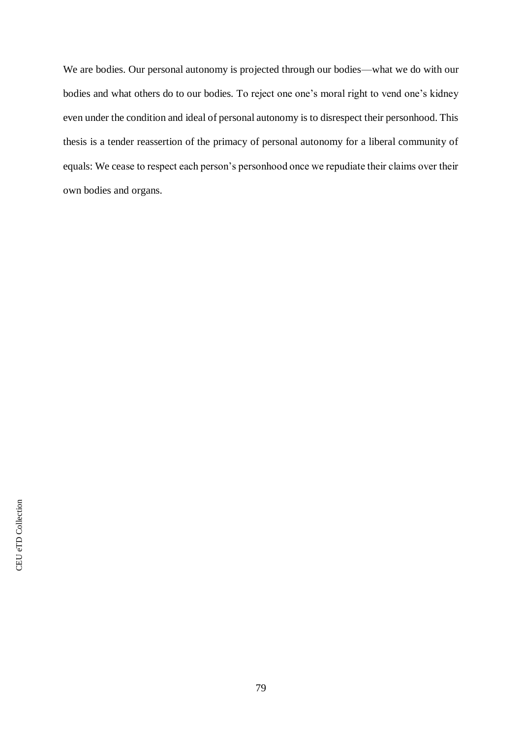We are bodies. Our personal autonomy is projected through our bodies—what we do with our bodies and what others do to our bodies. To reject one one's moral right to vend one's kidney even under the condition and ideal of personal autonomy is to disrespect their personhood. This thesis is a tender reassertion of the primacy of personal autonomy for a liberal community of equals: We cease to respect each person's personhood once we repudiate their claims over their own bodies and organs.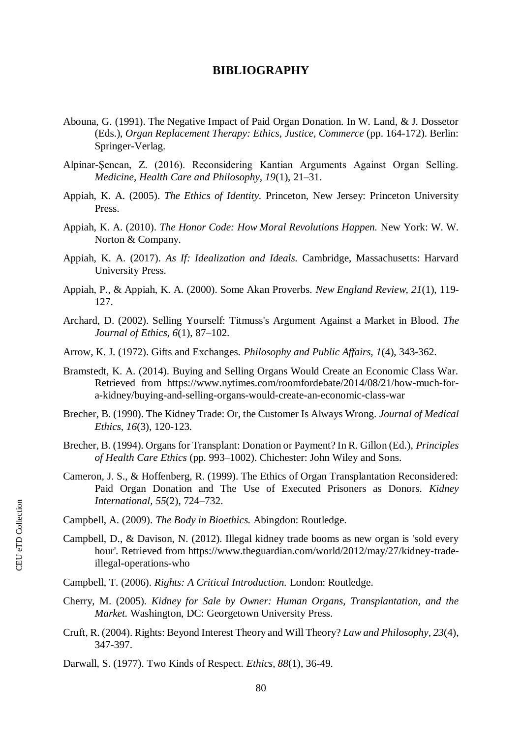# **BIBLIOGRAPHY**

- Abouna, G. (1991). The Negative Impact of Paid Organ Donation. In W. Land, & J. Dossetor (Eds.), *Organ Replacement Therapy: Ethics, Justice, Commerce* (pp. 164-172). Berlin: Springer-Verlag.
- Alpinar-Şencan, Z. (2016). Reconsidering Kantian Arguments Against Organ Selling. *Medicine, Health Care and Philosophy, 19*(1), 21–31.
- Appiah, K. A. (2005). *The Ethics of Identity.* Princeton, New Jersey: Princeton University Press.
- Appiah, K. A. (2010). *The Honor Code: How Moral Revolutions Happen.* New York: W. W. Norton & Company.
- Appiah, K. A. (2017). *As If: Idealization and Ideals.* Cambridge, Massachusetts: Harvard University Press.
- Appiah, P., & Appiah, K. A. (2000). Some Akan Proverbs. *New England Review, 21*(1), 119- 127.
- Archard, D. (2002). Selling Yourself: Titmuss's Argument Against a Market in Blood. *The Journal of Ethics, 6*(1), 87–102.
- Arrow, K. J. (1972). Gifts and Exchanges. *Philosophy and Public Affairs, 1*(4), 343-362.
- Bramstedt, K. A. (2014). Buying and Selling Organs Would Create an Economic Class War. Retrieved from https://www.nytimes.com/roomfordebate/2014/08/21/how-much-fora-kidney/buying-and-selling-organs-would-create-an-economic-class-war
- Brecher, B. (1990). The Kidney Trade: Or, the Customer Is Always Wrong. *Journal of Medical Ethics, 16*(3), 120-123.
- Brecher, B. (1994). Organs for Transplant: Donation or Payment? In R. Gillon (Ed.), *Principles of Health Care Ethics* (pp. 993–1002). Chichester: John Wiley and Sons.
- Cameron, J. S., & Hoffenberg, R. (1999). The Ethics of Organ Transplantation Reconsidered: Paid Organ Donation and The Use of Executed Prisoners as Donors. *Kidney International, 55*(2), 724–732.

Campbell, A. (2009). *The Body in Bioethics.* Abingdon: Routledge.

- Campbell, D., & Davison, N. (2012). Illegal kidney trade booms as new organ is 'sold every hour'. Retrieved from https://www.theguardian.com/world/2012/may/27/kidney-tradeillegal-operations-who
- Campbell, T. (2006). *Rights: A Critical Introduction.* London: Routledge.
- Cherry, M. (2005). *Kidney for Sale by Owner: Human Organs, Transplantation, and the Market.* Washington, DC: Georgetown University Press.
- Cruft, R. (2004). Rights: Beyond Interest Theory and Will Theory? *Law and Philosophy, 23*(4), 347-397.

Darwall, S. (1977). Two Kinds of Respect. *Ethics, 88*(1), 36-49.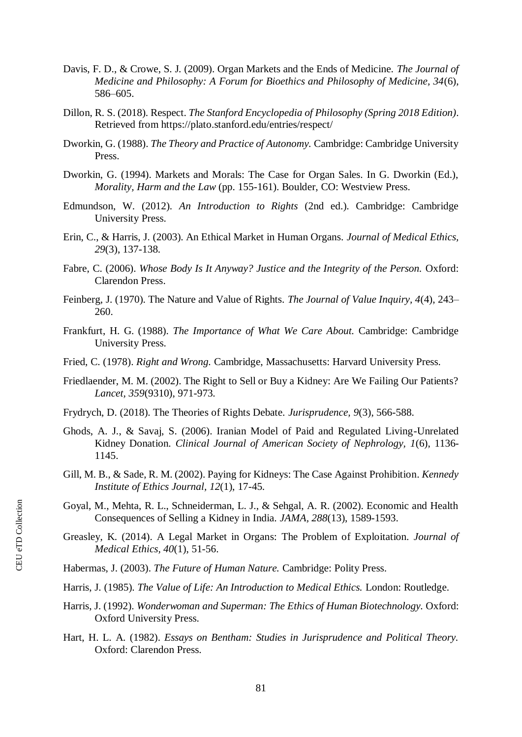- Davis, F. D., & Crowe, S. J. (2009). Organ Markets and the Ends of Medicine. *The Journal of Medicine and Philosophy: A Forum for Bioethics and Philosophy of Medicine, 34*(6), 586–605.
- Dillon, R. S. (2018). Respect. *The Stanford Encyclopedia of Philosophy (Spring 2018 Edition)*. Retrieved from https://plato.stanford.edu/entries/respect/
- Dworkin, G. (1988). *The Theory and Practice of Autonomy.* Cambridge: Cambridge University Press.
- Dworkin, G. (1994). Markets and Morals: The Case for Organ Sales. In G. Dworkin (Ed.), *Morality, Harm and the Law* (pp. 155-161). Boulder, CO: Westview Press.
- Edmundson, W. (2012). *An Introduction to Rights* (2nd ed.). Cambridge: Cambridge University Press.
- Erin, C., & Harris, J. (2003). An Ethical Market in Human Organs. *Journal of Medical Ethics, 29*(3), 137-138.
- Fabre, C. (2006). *Whose Body Is It Anyway? Justice and the Integrity of the Person.* Oxford: Clarendon Press.
- Feinberg, J. (1970). The Nature and Value of Rights. *The Journal of Value Inquiry, 4*(4), 243– 260.
- Frankfurt, H. G. (1988). *The Importance of What We Care About.* Cambridge: Cambridge University Press.
- Fried, C. (1978). *Right and Wrong.* Cambridge, Massachusetts: Harvard University Press.
- Friedlaender, M. M. (2002). The Right to Sell or Buy a Kidney: Are We Failing Our Patients? *Lancet, 359*(9310), 971-973.
- Frydrych, D. (2018). The Theories of Rights Debate. *Jurisprudence, 9*(3), 566-588.
- Ghods, A. J., & Savaj, S. (2006). Iranian Model of Paid and Regulated Living-Unrelated Kidney Donation. *Clinical Journal of American Society of Nephrology, 1*(6), 1136- 1145.
- Gill, M. B., & Sade, R. M. (2002). Paying for Kidneys: The Case Against Prohibition. *Kennedy Institute of Ethics Journal, 12*(1), 17-45.
- Goyal, M., Mehta, R. L., Schneiderman, L. J., & Sehgal, A. R. (2002). Economic and Health Consequences of Selling a Kidney in India. *JAMA, 288*(13), 1589-1593.
- Greasley, K. (2014). A Legal Market in Organs: The Problem of Exploitation. *Journal of Medical Ethics, 40*(1), 51-56.
- Habermas, J. (2003). *The Future of Human Nature.* Cambridge: Polity Press.
- Harris, J. (1985). *The Value of Life: An Introduction to Medical Ethics.* London: Routledge.
- Harris, J. (1992). *Wonderwoman and Superman: The Ethics of Human Biotechnology.* Oxford: Oxford University Press.
- Hart, H. L. A. (1982). *Essays on Bentham: Studies in Jurisprudence and Political Theory.* Oxford: Clarendon Press.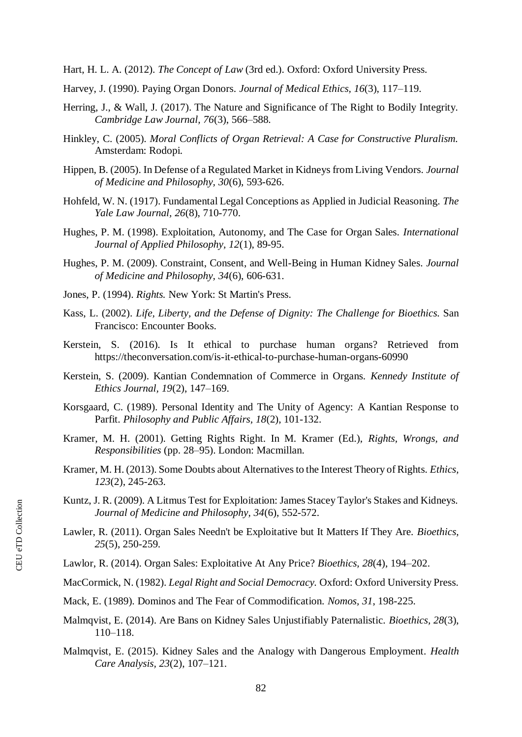Hart, H. L. A. (2012). *The Concept of Law* (3rd ed.). Oxford: Oxford University Press.

- Harvey, J. (1990). Paying Organ Donors. *Journal of Medical Ethics, 16*(3), 117–119.
- Herring, J., & Wall, J. (2017). The Nature and Significance of The Right to Bodily Integrity. *Cambridge Law Journal, 76*(3), 566–588.
- Hinkley, C. (2005). *Moral Conflicts of Organ Retrieval: A Case for Constructive Pluralism.* Amsterdam: Rodopi.
- Hippen, B. (2005). In Defense of a Regulated Market in Kidneys from Living Vendors. *Journal of Medicine and Philosophy, 30*(6), 593-626.
- Hohfeld, W. N. (1917). Fundamental Legal Conceptions as Applied in Judicial Reasoning. *The Yale Law Journal, 26*(8), 710-770.
- Hughes, P. M. (1998). Exploitation, Autonomy, and The Case for Organ Sales. *International Journal of Applied Philosophy, 12*(1), 89-95.
- Hughes, P. M. (2009). Constraint, Consent, and Well-Being in Human Kidney Sales. *Journal of Medicine and Philosophy, 34*(6), 606-631.
- Jones, P. (1994). *Rights.* New York: St Martin's Press.
- Kass, L. (2002). *Life, Liberty, and the Defense of Dignity: The Challenge for Bioethics.* San Francisco: Encounter Books.
- Kerstein, S. (2016). Is It ethical to purchase human organs? Retrieved from https://theconversation.com/is-it-ethical-to-purchase-human-organs-60990
- Kerstein, S. (2009). Kantian Condemnation of Commerce in Organs. *Kennedy Institute of Ethics Journal, 19*(2), 147–169.
- Korsgaard, C. (1989). Personal Identity and The Unity of Agency: A Kantian Response to Parfit. *Philosophy and Public Affairs, 18*(2), 101-132.
- Kramer, M. H. (2001). Getting Rights Right. In M. Kramer (Ed.), *Rights, Wrongs, and Responsibilities* (pp. 28–95). London: Macmillan.
- Kramer, M. H. (2013). Some Doubts about Alternatives to the Interest Theory of Rights. *Ethics, 123*(2), 245-263.
- Kuntz, J. R. (2009). A Litmus Test for Exploitation: James Stacey Taylor's Stakes and Kidneys. *Journal of Medicine and Philosophy, 34*(6), 552-572.
- Lawler, R. (2011). Organ Sales Needn't be Exploitative but It Matters If They Are. *Bioethics, 25*(5), 250-259.
- Lawlor, R. (2014). Organ Sales: Exploitative At Any Price? *Bioethics, 28*(4), 194–202.
- MacCormick, N. (1982). *Legal Right and Social Democracy.* Oxford: Oxford University Press.
- Mack, E. (1989). Dominos and The Fear of Commodification. *Nomos, 31*, 198-225.
- Malmqvist, E. (2014). Are Bans on Kidney Sales Unjustifiably Paternalistic. *Bioethics, 28*(3), 110–118.
- Malmqvist, E. (2015). Kidney Sales and the Analogy with Dangerous Employment. *Health Care Analysis, 23*(2), 107–121.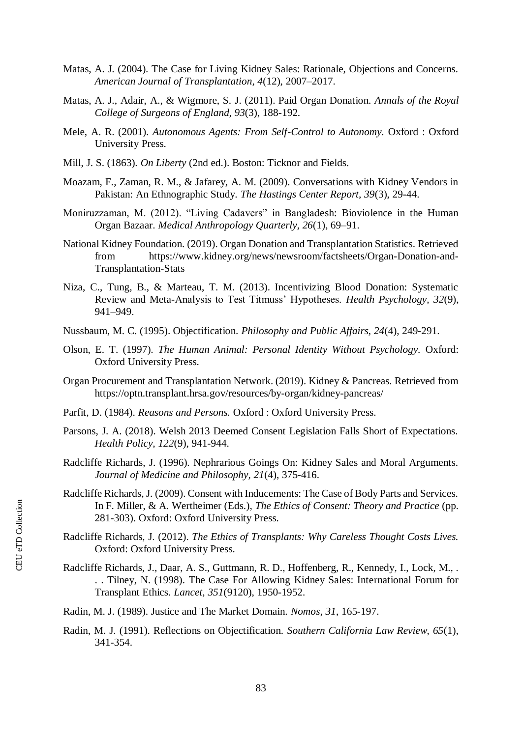- Matas, A. J. (2004). The Case for Living Kidney Sales: Rationale, Objections and Concerns. *American Journal of Transplantation, 4*(12), 2007–2017.
- Matas, A. J., Adair, A., & Wigmore, S. J. (2011). Paid Organ Donation. *Annals of the Royal College of Surgeons of England, 93*(3), 188-192.
- Mele, A. R. (2001). *Autonomous Agents: From Self-Control to Autonomy.* Oxford : Oxford University Press.
- Mill, J. S. (1863). *On Liberty* (2nd ed.). Boston: Ticknor and Fields.
- Moazam, F., Zaman, R. M., & Jafarey, A. M. (2009). Conversations with Kidney Vendors in Pakistan: An Ethnographic Study. *The Hastings Center Report, 39*(3), 29-44.
- Moniruzzaman, M. (2012). "Living Cadavers" in Bangladesh: Bioviolence in the Human Organ Bazaar. *Medical Anthropology Quarterly, 26*(1), 69–91.
- National Kidney Foundation. (2019). Organ Donation and Transplantation Statistics. Retrieved from https://www.kidney.org/news/newsroom/factsheets/Organ-Donation-and-Transplantation-Stats
- Niza, C., Tung, B., & Marteau, T. M. (2013). Incentivizing Blood Donation: Systematic Review and Meta-Analysis to Test Titmuss' Hypotheses. *Health Psychology, 32*(9), 941–949.
- Nussbaum, M. C. (1995). Objectification. *Philosophy and Public Affairs, 24*(4), 249-291.
- Olson, E. T. (1997). *The Human Animal: Personal Identity Without Psychology.* Oxford: Oxford University Press.
- Organ Procurement and Transplantation Network. (2019). Kidney & Pancreas. Retrieved from https://optn.transplant.hrsa.gov/resources/by-organ/kidney-pancreas/
- Parfit, D. (1984). *Reasons and Persons.* Oxford : Oxford University Press.
- Parsons, J. A. (2018). Welsh 2013 Deemed Consent Legislation Falls Short of Expectations. *Health Policy, 122*(9), 941-944.
- Radcliffe Richards, J. (1996). Nephrarious Goings On: Kidney Sales and Moral Arguments. *Journal of Medicine and Philosophy, 21*(4), 375-416.
- Radcliffe Richards, J. (2009). Consent with Inducements: The Case of Body Parts and Services. In F. Miller, & A. Wertheimer (Eds.), *The Ethics of Consent: Theory and Practice* (pp. 281-303). Oxford: Oxford University Press.
- Radcliffe Richards, J. (2012). *The Ethics of Transplants: Why Careless Thought Costs Lives.* Oxford: Oxford University Press.
- Radcliffe Richards, J., Daar, A. S., Guttmann, R. D., Hoffenberg, R., Kennedy, I., Lock, M., . . . Tilney, N. (1998). The Case For Allowing Kidney Sales: International Forum for Transplant Ethics. *Lancet, 351*(9120), 1950-1952.
- Radin, M. J. (1989). Justice and The Market Domain. *Nomos, 31*, 165-197.
- Radin, M. J. (1991). Reflections on Objectification. *Southern California Law Review, 65*(1), 341-354.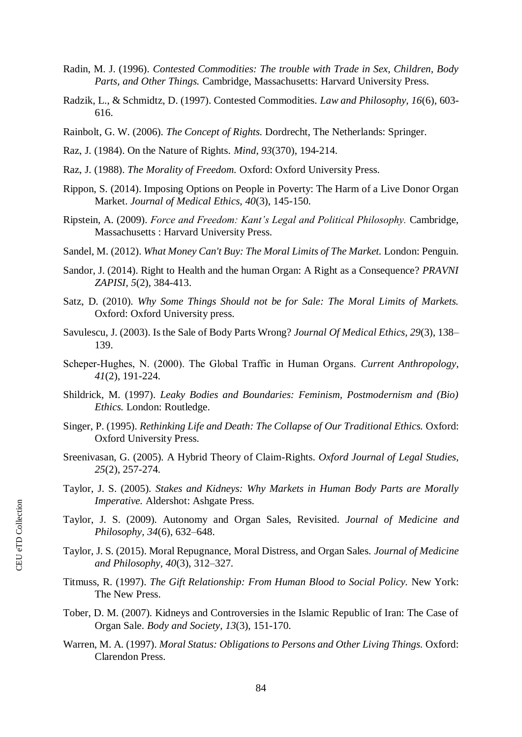- Radin, M. J. (1996). *Contested Commodities: The trouble with Trade in Sex, Children, Body Parts, and Other Things.* Cambridge, Massachusetts: Harvard University Press.
- Radzik, L., & Schmidtz, D. (1997). Contested Commodities. *Law and Philosophy, 16*(6), 603- 616.
- Rainbolt, G. W. (2006). *The Concept of Rights.* Dordrecht, The Netherlands: Springer.
- Raz, J. (1984). On the Nature of Rights. *Mind, 93*(370), 194-214.
- Raz, J. (1988). *The Morality of Freedom.* Oxford: Oxford University Press.
- Rippon, S. (2014). Imposing Options on People in Poverty: The Harm of a Live Donor Organ Market. *Journal of Medical Ethics, 40*(3), 145-150.
- Ripstein, A. (2009). *Force and Freedom: Kant's Legal and Political Philosophy.* Cambridge, Massachusetts : Harvard University Press.
- Sandel, M. (2012). *What Money Can't Buy: The Moral Limits of The Market.* London: Penguin.
- Sandor, J. (2014). Right to Health and the human Organ: A Right as a Consequence? *PRAVNI ZAPISI, 5*(2), 384-413.
- Satz, D. (2010). *Why Some Things Should not be for Sale: The Moral Limits of Markets.* Oxford: Oxford University press.
- Savulescu, J. (2003). Is the Sale of Body Parts Wrong? *Journal Of Medical Ethics, 29*(3), 138– 139.
- Scheper‐Hughes, N. (2000). The Global Traffic in Human Organs. *Current Anthropology, 41*(2), 191-224.
- Shildrick, M. (1997). *Leaky Bodies and Boundaries: Feminism, Postmodernism and (Bio) Ethics.* London: Routledge.
- Singer, P. (1995). *Rethinking Life and Death: The Collapse of Our Traditional Ethics.* Oxford: Oxford University Press.
- Sreenivasan, G. (2005). A Hybrid Theory of Claim-Rights. *Oxford Journal of Legal Studies, 25*(2), 257-274.
- Taylor, J. S. (2005). *Stakes and Kidneys: Why Markets in Human Body Parts are Morally Imperative.* Aldershot: Ashgate Press.
- Taylor, J. S. (2009). Autonomy and Organ Sales, Revisited. *Journal of Medicine and Philosophy, 34*(6), 632–648.
- Taylor, J. S. (2015). Moral Repugnance, Moral Distress, and Organ Sales. *Journal of Medicine and Philosophy, 40*(3), 312–327.
- Titmuss, R. (1997). *The Gift Relationship: From Human Blood to Social Policy.* New York: The New Press.
- Tober, D. M. (2007). Kidneys and Controversies in the Islamic Republic of Iran: The Case of Organ Sale. *Body and Society, 13*(3), 151-170.
- Warren, M. A. (1997). *Moral Status: Obligations to Persons and Other Living Things.* Oxford: Clarendon Press.